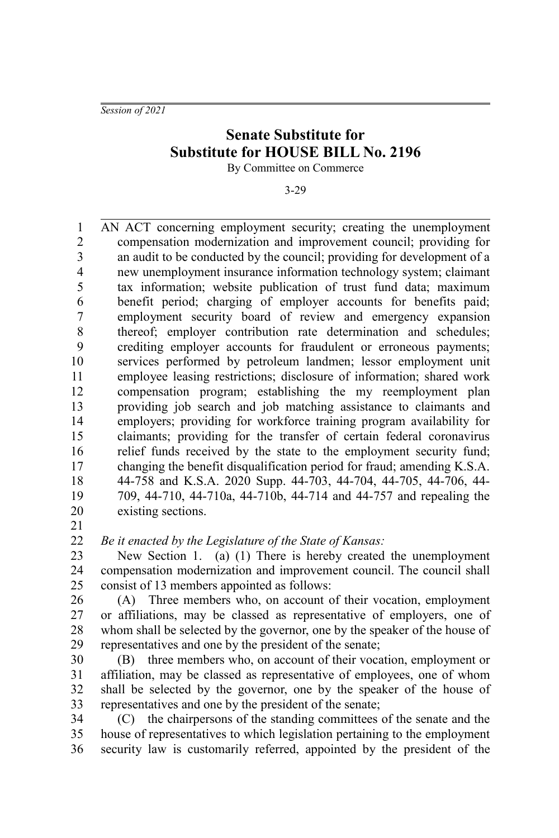*Session of 2021*

## **Senate Substitute for Substitute for HOUSE BILL No. 2196**

By Committee on Commerce

3-29

AN ACT concerning employment security; creating the unemployment compensation modernization and improvement council; providing for an audit to be conducted by the council; providing for development of a new unemployment insurance information technology system; claimant tax information; website publication of trust fund data; maximum benefit period; charging of employer accounts for benefits paid; employment security board of review and emergency expansion thereof; employer contribution rate determination and schedules; crediting employer accounts for fraudulent or erroneous payments; services performed by petroleum landmen; lessor employment unit employee leasing restrictions; disclosure of information; shared work compensation program; establishing the my reemployment plan providing job search and job matching assistance to claimants and employers; providing for workforce training program availability for claimants; providing for the transfer of certain federal coronavirus relief funds received by the state to the employment security fund; changing the benefit disqualification period for fraud; amending K.S.A. 44-758 and K.S.A. 2020 Supp. 44-703, 44-704, 44-705, 44-706, 44- 709, 44-710, 44-710a, 44-710b, 44-714 and 44-757 and repealing the existing sections. 1 2 3 4 5 6 7 8 9 10 11 12 13 14 15 16 17 18 19 20

21

*Be it enacted by the Legislature of the State of Kansas:* 22

New Section 1. (a) (1) There is hereby created the unemployment compensation modernization and improvement council. The council shall consist of 13 members appointed as follows: 23 24 25

(A) Three members who, on account of their vocation, employment or affiliations, may be classed as representative of employers, one of whom shall be selected by the governor, one by the speaker of the house of representatives and one by the president of the senate; 26 27 28 29

(B) three members who, on account of their vocation, employment or affiliation, may be classed as representative of employees, one of whom shall be selected by the governor, one by the speaker of the house of representatives and one by the president of the senate; 30 31 32 33

(C) the chairpersons of the standing committees of the senate and the house of representatives to which legislation pertaining to the employment security law is customarily referred, appointed by the president of the 34 35 36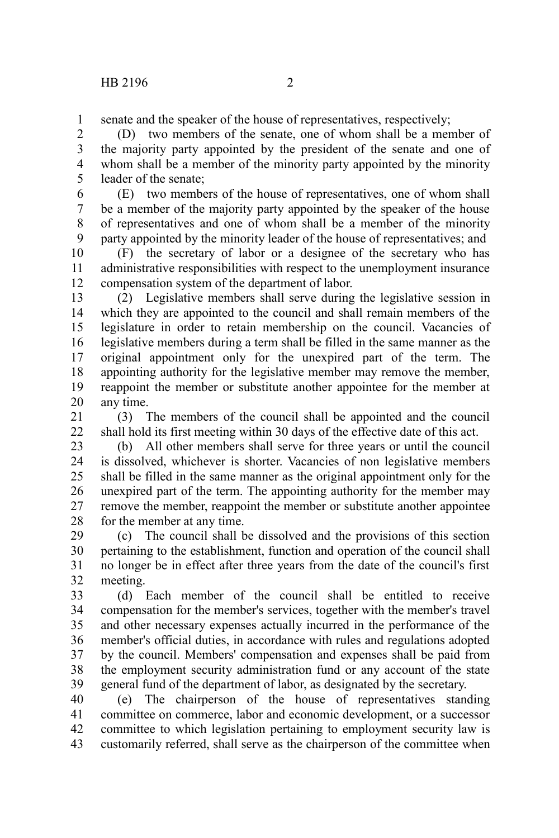senate and the speaker of the house of representatives, respectively; 1

(D) two members of the senate, one of whom shall be a member of the majority party appointed by the president of the senate and one of whom shall be a member of the minority party appointed by the minority leader of the senate; 2 3 4 5

(E) two members of the house of representatives, one of whom shall be a member of the majority party appointed by the speaker of the house of representatives and one of whom shall be a member of the minority party appointed by the minority leader of the house of representatives; and 6 7 8 9

(F) the secretary of labor or a designee of the secretary who has administrative responsibilities with respect to the unemployment insurance compensation system of the department of labor. 10 11 12

(2) Legislative members shall serve during the legislative session in which they are appointed to the council and shall remain members of the legislature in order to retain membership on the council. Vacancies of legislative members during a term shall be filled in the same manner as the original appointment only for the unexpired part of the term. The appointing authority for the legislative member may remove the member, reappoint the member or substitute another appointee for the member at any time. 13 14 15 16 17 18 19 20

(3) The members of the council shall be appointed and the council shall hold its first meeting within 30 days of the effective date of this act. 21 22

(b) All other members shall serve for three years or until the council is dissolved, whichever is shorter. Vacancies of non legislative members shall be filled in the same manner as the original appointment only for the unexpired part of the term. The appointing authority for the member may remove the member, reappoint the member or substitute another appointee for the member at any time. 23 24 25 26 27 28

(c) The council shall be dissolved and the provisions of this section pertaining to the establishment, function and operation of the council shall no longer be in effect after three years from the date of the council's first meeting. 29 30 31 32

(d) Each member of the council shall be entitled to receive compensation for the member's services, together with the member's travel and other necessary expenses actually incurred in the performance of the member's official duties, in accordance with rules and regulations adopted by the council. Members' compensation and expenses shall be paid from the employment security administration fund or any account of the state general fund of the department of labor, as designated by the secretary. 33 34 35 36 37 38 39

(e) The chairperson of the house of representatives standing committee on commerce, labor and economic development, or a successor committee to which legislation pertaining to employment security law is customarily referred, shall serve as the chairperson of the committee when 40 41 42 43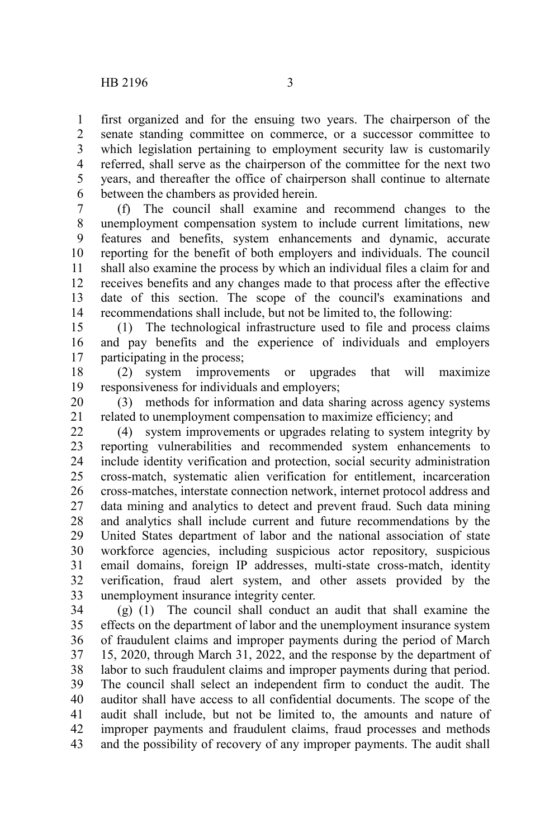first organized and for the ensuing two years. The chairperson of the senate standing committee on commerce, or a successor committee to which legislation pertaining to employment security law is customarily referred, shall serve as the chairperson of the committee for the next two years, and thereafter the office of chairperson shall continue to alternate between the chambers as provided herein. 1 2 3 4 5 6

(f) The council shall examine and recommend changes to the unemployment compensation system to include current limitations, new features and benefits, system enhancements and dynamic, accurate reporting for the benefit of both employers and individuals. The council shall also examine the process by which an individual files a claim for and receives benefits and any changes made to that process after the effective date of this section. The scope of the council's examinations and recommendations shall include, but not be limited to, the following: 7 8 9 10 11 12 13 14

(1) The technological infrastructure used to file and process claims and pay benefits and the experience of individuals and employers participating in the process; 15 16 17

(2) system improvements or upgrades that will maximize responsiveness for individuals and employers; 18 19

(3) methods for information and data sharing across agency systems related to unemployment compensation to maximize efficiency; and 20 21

(4) system improvements or upgrades relating to system integrity by reporting vulnerabilities and recommended system enhancements to include identity verification and protection, social security administration cross-match, systematic alien verification for entitlement, incarceration cross-matches, interstate connection network, internet protocol address and data mining and analytics to detect and prevent fraud. Such data mining and analytics shall include current and future recommendations by the United States department of labor and the national association of state workforce agencies, including suspicious actor repository, suspicious email domains, foreign IP addresses, multi-state cross-match, identity verification, fraud alert system, and other assets provided by the unemployment insurance integrity center. 22 23 24 25 26 27 28 29 30 31 32 33

(g) (1) The council shall conduct an audit that shall examine the effects on the department of labor and the unemployment insurance system of fraudulent claims and improper payments during the period of March 15, 2020, through March 31, 2022, and the response by the department of labor to such fraudulent claims and improper payments during that period. The council shall select an independent firm to conduct the audit. The auditor shall have access to all confidential documents. The scope of the audit shall include, but not be limited to, the amounts and nature of improper payments and fraudulent claims, fraud processes and methods and the possibility of recovery of any improper payments. The audit shall 34 35 36 37 38 39 40 41 42 43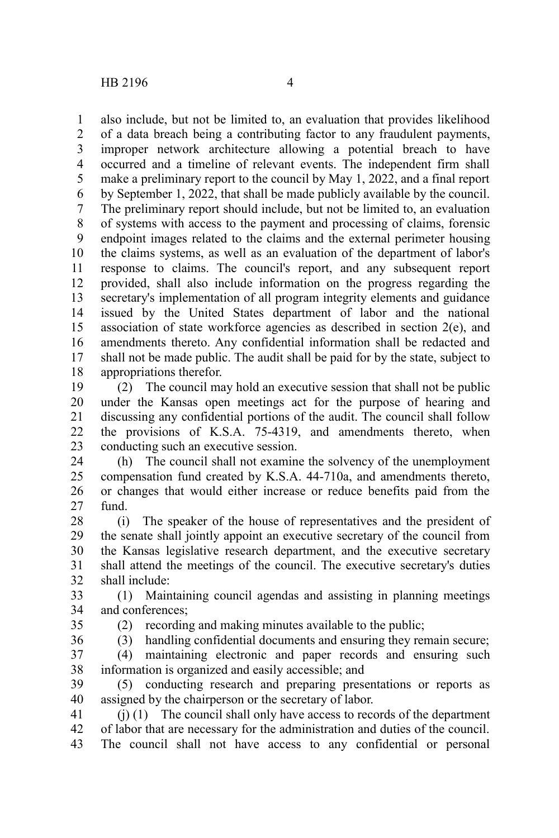also include, but not be limited to, an evaluation that provides likelihood of a data breach being a contributing factor to any fraudulent payments, improper network architecture allowing a potential breach to have occurred and a timeline of relevant events. The independent firm shall make a preliminary report to the council by May 1, 2022, and a final report by September 1, 2022, that shall be made publicly available by the council. The preliminary report should include, but not be limited to, an evaluation of systems with access to the payment and processing of claims, forensic endpoint images related to the claims and the external perimeter housing the claims systems, as well as an evaluation of the department of labor's response to claims. The council's report, and any subsequent report provided, shall also include information on the progress regarding the secretary's implementation of all program integrity elements and guidance issued by the United States department of labor and the national association of state workforce agencies as described in section 2(e), and amendments thereto. Any confidential information shall be redacted and shall not be made public. The audit shall be paid for by the state, subject to appropriations therefor. 1 2 3 4 5 6 7 8 9 10 11 12 13 14 15 16 17 18

(2) The council may hold an executive session that shall not be public under the Kansas open meetings act for the purpose of hearing and discussing any confidential portions of the audit. The council shall follow the provisions of K.S.A. 75-4319, and amendments thereto, when conducting such an executive session. 19 20 21 22 23

(h) The council shall not examine the solvency of the unemployment compensation fund created by K.S.A. 44-710a, and amendments thereto, or changes that would either increase or reduce benefits paid from the fund. 24 25 26 27

(i) The speaker of the house of representatives and the president of the senate shall jointly appoint an executive secretary of the council from the Kansas legislative research department, and the executive secretary shall attend the meetings of the council. The executive secretary's duties shall include: 28 29 30 31 32

(1) Maintaining council agendas and assisting in planning meetings and conferences; 33 34

35

(2) recording and making minutes available to the public;

(3) handling confidential documents and ensuring they remain secure; (4) maintaining electronic and paper records and ensuring such information is organized and easily accessible; and 36 37 38

(5) conducting research and preparing presentations or reports as assigned by the chairperson or the secretary of labor. 39 40

(j) (1) The council shall only have access to records of the department of labor that are necessary for the administration and duties of the council. The council shall not have access to any confidential or personal 41 42 43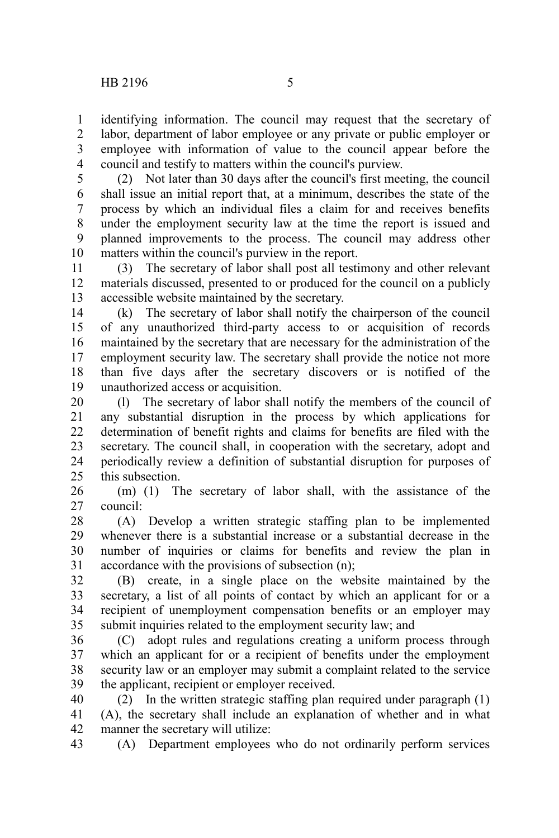identifying information. The council may request that the secretary of labor, department of labor employee or any private or public employer or employee with information of value to the council appear before the council and testify to matters within the council's purview. 1 2 3 4

(2) Not later than 30 days after the council's first meeting, the council shall issue an initial report that, at a minimum, describes the state of the process by which an individual files a claim for and receives benefits under the employment security law at the time the report is issued and planned improvements to the process. The council may address other matters within the council's purview in the report. 5 6 7 8 9 10

(3) The secretary of labor shall post all testimony and other relevant materials discussed, presented to or produced for the council on a publicly accessible website maintained by the secretary. 11 12 13

(k) The secretary of labor shall notify the chairperson of the council of any unauthorized third-party access to or acquisition of records maintained by the secretary that are necessary for the administration of the employment security law. The secretary shall provide the notice not more than five days after the secretary discovers or is notified of the unauthorized access or acquisition. 14 15 16 17 18 19

(l) The secretary of labor shall notify the members of the council of any substantial disruption in the process by which applications for determination of benefit rights and claims for benefits are filed with the secretary. The council shall, in cooperation with the secretary, adopt and periodically review a definition of substantial disruption for purposes of this subsection. 20 21 22 23 24  $25$ 

(m) (1) The secretary of labor shall, with the assistance of the council: 26 27

(A) Develop a written strategic staffing plan to be implemented whenever there is a substantial increase or a substantial decrease in the number of inquiries or claims for benefits and review the plan in accordance with the provisions of subsection (n); 28 29 30 31

(B) create, in a single place on the website maintained by the secretary, a list of all points of contact by which an applicant for or a recipient of unemployment compensation benefits or an employer may submit inquiries related to the employment security law; and 32 33 34 35

(C) adopt rules and regulations creating a uniform process through which an applicant for or a recipient of benefits under the employment security law or an employer may submit a complaint related to the service the applicant, recipient or employer received. 36 37 38 39

(2) In the written strategic staffing plan required under paragraph (1) (A), the secretary shall include an explanation of whether and in what manner the secretary will utilize: 40 41 42

(A) Department employees who do not ordinarily perform services 43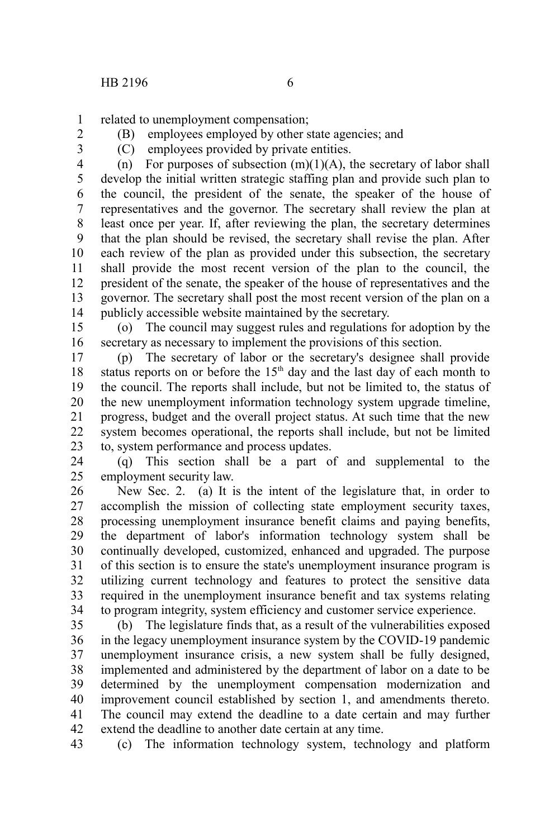related to unemployment compensation; 1

2 3 (B) employees employed by other state agencies; and (C) employees provided by private entities.

(n) For purposes of subsection  $(m)(1)(A)$ , the secretary of labor shall develop the initial written strategic staffing plan and provide such plan to the council, the president of the senate, the speaker of the house of representatives and the governor. The secretary shall review the plan at least once per year. If, after reviewing the plan, the secretary determines that the plan should be revised, the secretary shall revise the plan. After each review of the plan as provided under this subsection, the secretary shall provide the most recent version of the plan to the council, the president of the senate, the speaker of the house of representatives and the governor. The secretary shall post the most recent version of the plan on a publicly accessible website maintained by the secretary. 4 5 6 7 8 9 10 11 12 13 14

(o) The council may suggest rules and regulations for adoption by the secretary as necessary to implement the provisions of this section. 15 16

(p) The secretary of labor or the secretary's designee shall provide status reports on or before the  $15<sup>th</sup>$  day and the last day of each month to the council. The reports shall include, but not be limited to, the status of the new unemployment information technology system upgrade timeline, progress, budget and the overall project status. At such time that the new system becomes operational, the reports shall include, but not be limited to, system performance and process updates. 17 18 19 20 21 22 23

(q) This section shall be a part of and supplemental to the employment security law. 24 25

New Sec. 2. (a) It is the intent of the legislature that, in order to accomplish the mission of collecting state employment security taxes, processing unemployment insurance benefit claims and paying benefits, the department of labor's information technology system shall be continually developed, customized, enhanced and upgraded. The purpose of this section is to ensure the state's unemployment insurance program is utilizing current technology and features to protect the sensitive data required in the unemployment insurance benefit and tax systems relating to program integrity, system efficiency and customer service experience. 26 27 28 29 30 31 32 33 34

(b) The legislature finds that, as a result of the vulnerabilities exposed in the legacy unemployment insurance system by the COVID-19 pandemic unemployment insurance crisis, a new system shall be fully designed, implemented and administered by the department of labor on a date to be determined by the unemployment compensation modernization and improvement council established by section 1, and amendments thereto. The council may extend the deadline to a date certain and may further extend the deadline to another date certain at any time. 35 36 37 38 39 40 41 42

(c) The information technology system, technology and platform 43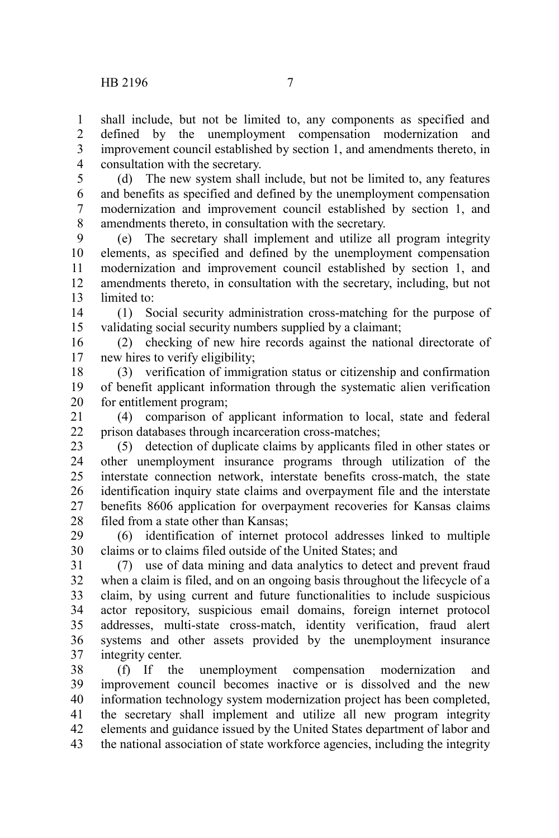shall include, but not be limited to, any components as specified and defined by the unemployment compensation modernization and improvement council established by section 1, and amendments thereto, in consultation with the secretary. 1 2 3 4

(d) The new system shall include, but not be limited to, any features and benefits as specified and defined by the unemployment compensation modernization and improvement council established by section 1, and amendments thereto, in consultation with the secretary. 5 6 7 8

(e) The secretary shall implement and utilize all program integrity elements, as specified and defined by the unemployment compensation modernization and improvement council established by section 1, and amendments thereto, in consultation with the secretary, including, but not limited to: 9 10 11 12 13

(1) Social security administration cross-matching for the purpose of validating social security numbers supplied by a claimant; 14 15

(2) checking of new hire records against the national directorate of new hires to verify eligibility; 16 17

(3) verification of immigration status or citizenship and confirmation of benefit applicant information through the systematic alien verification for entitlement program; 18 19 20

(4) comparison of applicant information to local, state and federal prison databases through incarceration cross-matches; 21 22

(5) detection of duplicate claims by applicants filed in other states or other unemployment insurance programs through utilization of the interstate connection network, interstate benefits cross-match, the state identification inquiry state claims and overpayment file and the interstate benefits 8606 application for overpayment recoveries for Kansas claims filed from a state other than Kansas; 23 24 25 26 27 28

(6) identification of internet protocol addresses linked to multiple claims or to claims filed outside of the United States; and 29 30

(7) use of data mining and data analytics to detect and prevent fraud when a claim is filed, and on an ongoing basis throughout the lifecycle of a claim, by using current and future functionalities to include suspicious actor repository, suspicious email domains, foreign internet protocol addresses, multi-state cross-match, identity verification, fraud alert systems and other assets provided by the unemployment insurance integrity center. 31 32 33 34 35 36 37

(f) If the unemployment compensation modernization and improvement council becomes inactive or is dissolved and the new information technology system modernization project has been completed, the secretary shall implement and utilize all new program integrity elements and guidance issued by the United States department of labor and the national association of state workforce agencies, including the integrity 38 39 40 41 42 43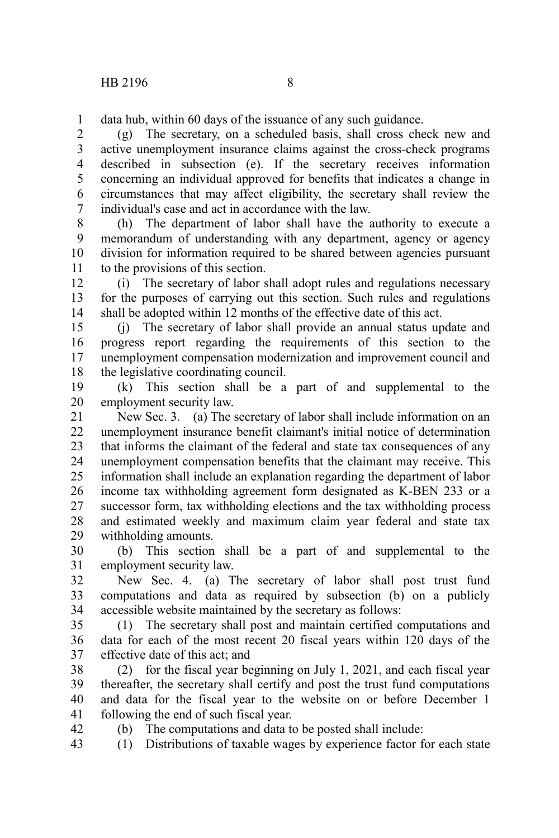data hub, within 60 days of the issuance of any such guidance. 1

(g) The secretary, on a scheduled basis, shall cross check new and active unemployment insurance claims against the cross-check programs described in subsection (e). If the secretary receives information concerning an individual approved for benefits that indicates a change in circumstances that may affect eligibility, the secretary shall review the individual's case and act in accordance with the law. 2 3 4 5 6 7

(h) The department of labor shall have the authority to execute a memorandum of understanding with any department, agency or agency division for information required to be shared between agencies pursuant to the provisions of this section. 8 9 10 11

(i) The secretary of labor shall adopt rules and regulations necessary for the purposes of carrying out this section. Such rules and regulations shall be adopted within 12 months of the effective date of this act. 12 13 14

(j) The secretary of labor shall provide an annual status update and progress report regarding the requirements of this section to the unemployment compensation modernization and improvement council and the legislative coordinating council. 15 16 17 18

(k) This section shall be a part of and supplemental to the employment security law. 19 20

New Sec. 3. (a) The secretary of labor shall include information on an unemployment insurance benefit claimant's initial notice of determination that informs the claimant of the federal and state tax consequences of any unemployment compensation benefits that the claimant may receive. This information shall include an explanation regarding the department of labor income tax withholding agreement form designated as K-BEN 233 or a successor form, tax withholding elections and the tax withholding process and estimated weekly and maximum claim year federal and state tax withholding amounts. 21 22 23 24 25 26 27 28 29

(b) This section shall be a part of and supplemental to the employment security law. 30 31

New Sec. 4. (a) The secretary of labor shall post trust fund computations and data as required by subsection (b) on a publicly accessible website maintained by the secretary as follows: 32 33 34

(1) The secretary shall post and maintain certified computations and data for each of the most recent 20 fiscal years within 120 days of the effective date of this act; and 35 36 37

(2) for the fiscal year beginning on July 1, 2021, and each fiscal year thereafter, the secretary shall certify and post the trust fund computations and data for the fiscal year to the website on or before December 1 following the end of such fiscal year. 38 39 40 41 42

(b) The computations and data to be posted shall include:

(1) Distributions of taxable wages by experience factor for each state 43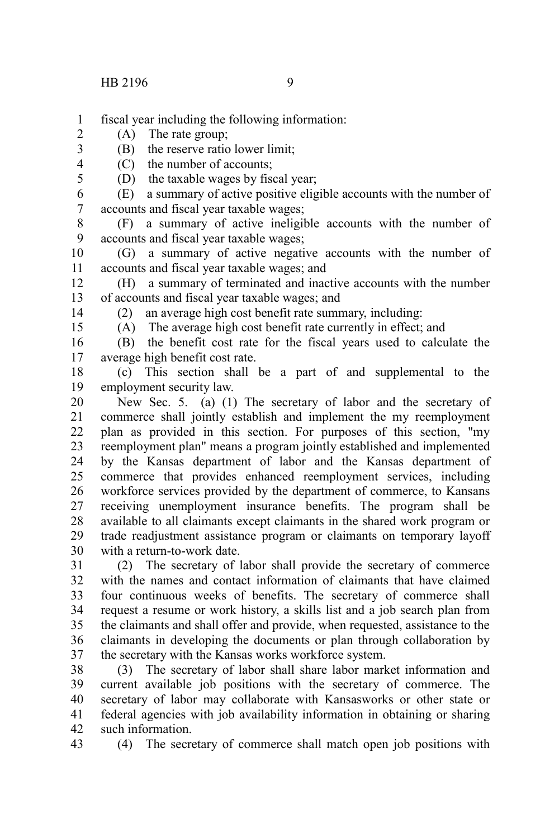- fiscal year including the following information: 1
- (A) The rate group; 2
	- (B) the reserve ratio lower limit;
	- (C) the number of accounts;
	- (D) the taxable wages by fiscal year;
- (E) a summary of active positive eligible accounts with the number of accounts and fiscal year taxable wages; 6 7
- (F) a summary of active ineligible accounts with the number of accounts and fiscal year taxable wages; 8 9
- (G) a summary of active negative accounts with the number of accounts and fiscal year taxable wages; and 10 11
- (H) a summary of terminated and inactive accounts with the number of accounts and fiscal year taxable wages; and 12 13
- 14 15

3 4 5

(2) an average high cost benefit rate summary, including:

(A) The average high cost benefit rate currently in effect; and

(B) the benefit cost rate for the fiscal years used to calculate the average high benefit cost rate. 16 17

(c) This section shall be a part of and supplemental to the employment security law. 18 19

New Sec. 5. (a) (1) The secretary of labor and the secretary of commerce shall jointly establish and implement the my reemployment plan as provided in this section. For purposes of this section, "my reemployment plan" means a program jointly established and implemented by the Kansas department of labor and the Kansas department of commerce that provides enhanced reemployment services, including workforce services provided by the department of commerce, to Kansans receiving unemployment insurance benefits. The program shall be available to all claimants except claimants in the shared work program or trade readjustment assistance program or claimants on temporary layoff with a return-to-work date. 20 21 22 23 24 25 26 27 28 29 30

(2) The secretary of labor shall provide the secretary of commerce with the names and contact information of claimants that have claimed four continuous weeks of benefits. The secretary of commerce shall request a resume or work history, a skills list and a job search plan from the claimants and shall offer and provide, when requested, assistance to the claimants in developing the documents or plan through collaboration by the secretary with the Kansas works workforce system. 31 32 33 34 35 36 37

(3) The secretary of labor shall share labor market information and current available job positions with the secretary of commerce. The secretary of labor may collaborate with Kansasworks or other state or federal agencies with job availability information in obtaining or sharing such information. 38 39 40 41 42

43

(4) The secretary of commerce shall match open job positions with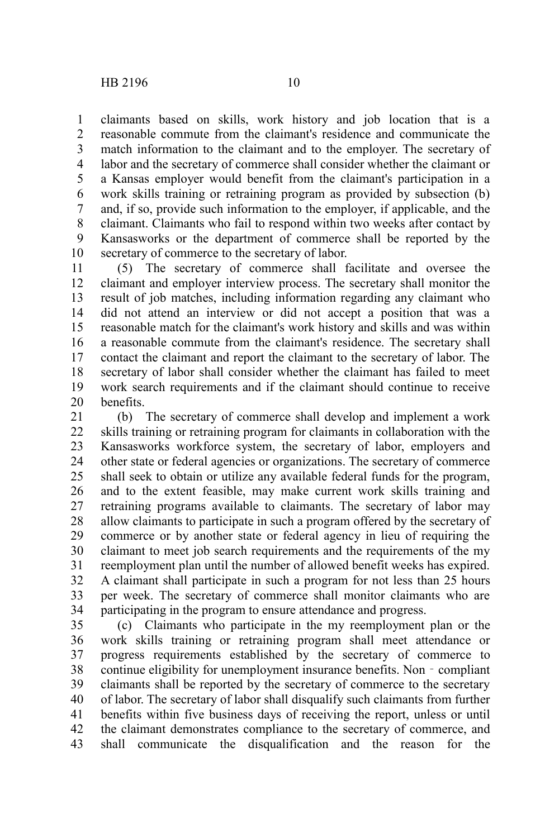claimants based on skills, work history and job location that is a reasonable commute from the claimant's residence and communicate the match information to the claimant and to the employer. The secretary of labor and the secretary of commerce shall consider whether the claimant or a Kansas employer would benefit from the claimant's participation in a work skills training or retraining program as provided by subsection (b) and, if so, provide such information to the employer, if applicable, and the claimant. Claimants who fail to respond within two weeks after contact by Kansasworks or the department of commerce shall be reported by the secretary of commerce to the secretary of labor. 1 2 3 4 5 6 7 8 9 10

(5) The secretary of commerce shall facilitate and oversee the claimant and employer interview process. The secretary shall monitor the result of job matches, including information regarding any claimant who did not attend an interview or did not accept a position that was a reasonable match for the claimant's work history and skills and was within a reasonable commute from the claimant's residence. The secretary shall contact the claimant and report the claimant to the secretary of labor. The secretary of labor shall consider whether the claimant has failed to meet work search requirements and if the claimant should continue to receive benefits. 11 12 13 14 15 16 17 18 19 20

(b) The secretary of commerce shall develop and implement a work skills training or retraining program for claimants in collaboration with the Kansasworks workforce system, the secretary of labor, employers and other state or federal agencies or organizations. The secretary of commerce shall seek to obtain or utilize any available federal funds for the program, and to the extent feasible, may make current work skills training and retraining programs available to claimants. The secretary of labor may allow claimants to participate in such a program offered by the secretary of commerce or by another state or federal agency in lieu of requiring the claimant to meet job search requirements and the requirements of the my reemployment plan until the number of allowed benefit weeks has expired. A claimant shall participate in such a program for not less than 25 hours per week. The secretary of commerce shall monitor claimants who are participating in the program to ensure attendance and progress. 21 22 23 24 25 26 27 28 29 30 31 32 33 34

(c) Claimants who participate in the my reemployment plan or the work skills training or retraining program shall meet attendance or progress requirements established by the secretary of commerce to continue eligibility for unemployment insurance benefits. Non - compliant claimants shall be reported by the secretary of commerce to the secretary of labor. The secretary of labor shall disqualify such claimants from further benefits within five business days of receiving the report, unless or until the claimant demonstrates compliance to the secretary of commerce, and shall communicate the disqualification and the reason for the 35 36 37 38 39 40 41 42 43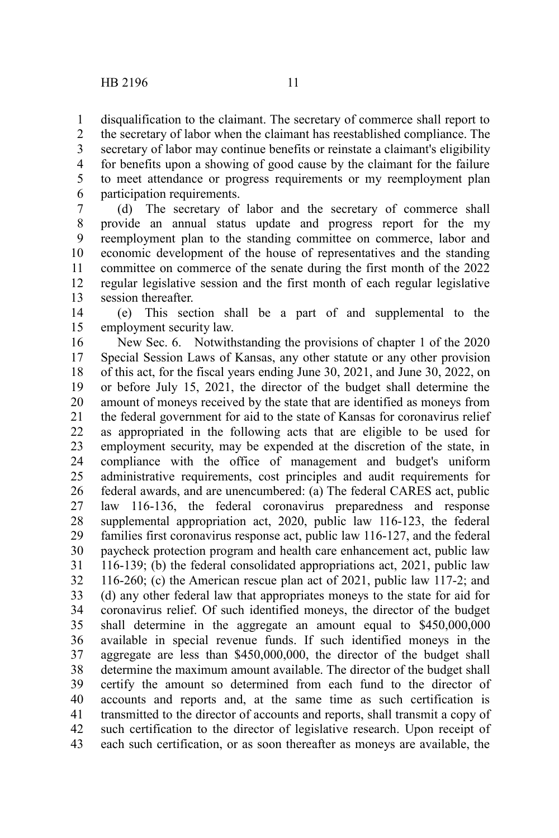disqualification to the claimant. The secretary of commerce shall report to 1

the secretary of labor when the claimant has reestablished compliance. The secretary of labor may continue benefits or reinstate a claimant's eligibility for benefits upon a showing of good cause by the claimant for the failure to meet attendance or progress requirements or my reemployment plan participation requirements. 2 3 4 5 6

(d) The secretary of labor and the secretary of commerce shall provide an annual status update and progress report for the my reemployment plan to the standing committee on commerce, labor and economic development of the house of representatives and the standing committee on commerce of the senate during the first month of the 2022 regular legislative session and the first month of each regular legislative session thereafter. 7 8 9 10 11 12 13

(e) This section shall be a part of and supplemental to the employment security law. 14 15

New Sec. 6. Notwithstanding the provisions of chapter 1 of the 2020 Special Session Laws of Kansas, any other statute or any other provision of this act, for the fiscal years ending June 30, 2021, and June 30, 2022, on or before July 15, 2021, the director of the budget shall determine the amount of moneys received by the state that are identified as moneys from the federal government for aid to the state of Kansas for coronavirus relief as appropriated in the following acts that are eligible to be used for employment security, may be expended at the discretion of the state, in compliance with the office of management and budget's uniform administrative requirements, cost principles and audit requirements for federal awards, and are unencumbered: (a) The federal CARES act, public law 116-136, the federal coronavirus preparedness and response supplemental appropriation act, 2020, public law 116-123, the federal families first coronavirus response act, public law 116-127, and the federal paycheck protection program and health care enhancement act, public law 116-139; (b) the federal consolidated appropriations act, 2021, public law 116-260; (c) the American rescue plan act of 2021, public law 117-2; and (d) any other federal law that appropriates moneys to the state for aid for coronavirus relief. Of such identified moneys, the director of the budget shall determine in the aggregate an amount equal to \$450,000,000 available in special revenue funds. If such identified moneys in the aggregate are less than \$450,000,000, the director of the budget shall determine the maximum amount available. The director of the budget shall certify the amount so determined from each fund to the director of accounts and reports and, at the same time as such certification is transmitted to the director of accounts and reports, shall transmit a copy of such certification to the director of legislative research. Upon receipt of each such certification, or as soon thereafter as moneys are available, the 16 17 18 19 20 21 22 23 24 25 26 27 28 29 30 31 32 33 34 35 36 37 38 39 40 41 42 43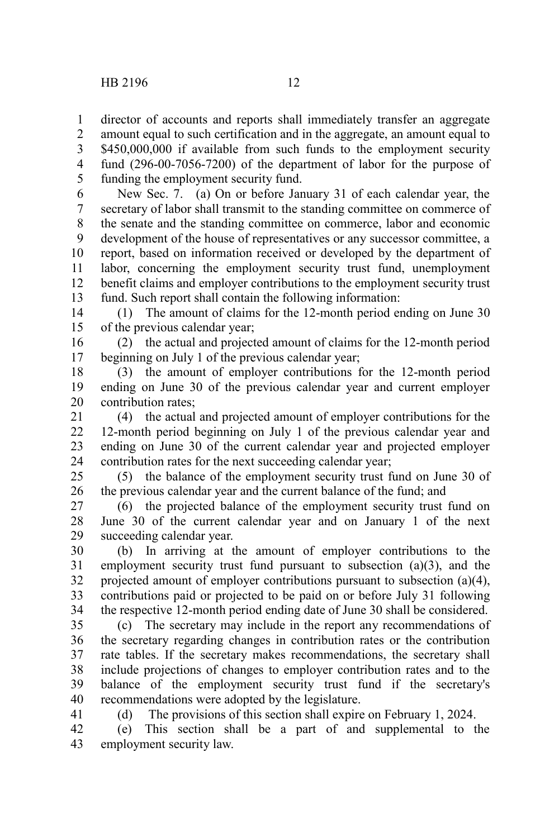41

amount equal to such certification and in the aggregate, an amount equal to \$450,000,000 if available from such funds to the employment security 1 2 3

fund (296-00-7056-7200) of the department of labor for the purpose of funding the employment security fund. 4 5

New Sec. 7. (a) On or before January 31 of each calendar year, the secretary of labor shall transmit to the standing committee on commerce of the senate and the standing committee on commerce, labor and economic development of the house of representatives or any successor committee, a report, based on information received or developed by the department of labor, concerning the employment security trust fund, unemployment benefit claims and employer contributions to the employment security trust fund. Such report shall contain the following information: 6 7 8 9 10 11 12 13

(1) The amount of claims for the 12-month period ending on June 30 of the previous calendar year; 14 15

(2) the actual and projected amount of claims for the 12-month period beginning on July 1 of the previous calendar year; 16 17

(3) the amount of employer contributions for the 12-month period ending on June 30 of the previous calendar year and current employer contribution rates; 18 19 20

(4) the actual and projected amount of employer contributions for the 12-month period beginning on July 1 of the previous calendar year and ending on June 30 of the current calendar year and projected employer contribution rates for the next succeeding calendar year; 21 22 23 24

(5) the balance of the employment security trust fund on June 30 of the previous calendar year and the current balance of the fund; and 25 26

(6) the projected balance of the employment security trust fund on June 30 of the current calendar year and on January 1 of the next succeeding calendar year. 27 28 29

(b) In arriving at the amount of employer contributions to the employment security trust fund pursuant to subsection (a)(3), and the projected amount of employer contributions pursuant to subsection (a)(4), contributions paid or projected to be paid on or before July 31 following the respective 12-month period ending date of June 30 shall be considered. 30 31 32 33 34

(c) The secretary may include in the report any recommendations of the secretary regarding changes in contribution rates or the contribution rate tables. If the secretary makes recommendations, the secretary shall include projections of changes to employer contribution rates and to the balance of the employment security trust fund if the secretary's recommendations were adopted by the legislature. 35 36 37 38 39 40

(d) The provisions of this section shall expire on February 1, 2024.

(e) This section shall be a part of and supplemental to the employment security law. 42 43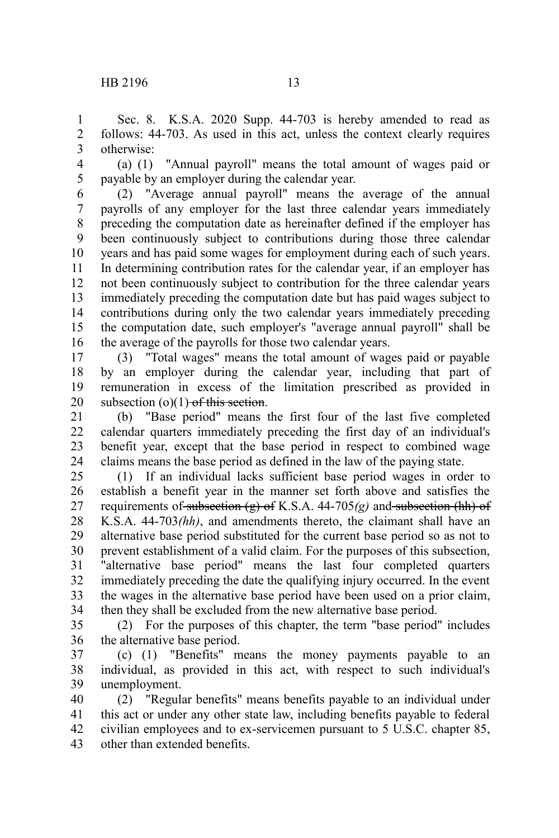Sec. 8. K.S.A. 2020 Supp. 44-703 is hereby amended to read as follows: 44-703. As used in this act, unless the context clearly requires otherwise: 1 2 3

(a) (1) "Annual payroll" means the total amount of wages paid or payable by an employer during the calendar year. 4 5

(2) "Average annual payroll" means the average of the annual payrolls of any employer for the last three calendar years immediately preceding the computation date as hereinafter defined if the employer has been continuously subject to contributions during those three calendar years and has paid some wages for employment during each of such years. In determining contribution rates for the calendar year, if an employer has not been continuously subject to contribution for the three calendar years immediately preceding the computation date but has paid wages subject to contributions during only the two calendar years immediately preceding the computation date, such employer's "average annual payroll" shall be the average of the payrolls for those two calendar years. 6 7 8 9 10 11 12 13 14 15 16

(3) "Total wages" means the total amount of wages paid or payable by an employer during the calendar year, including that part of remuneration in excess of the limitation prescribed as provided in subsection  $(o)(1)$  of this section. 17 18 19 20

(b) "Base period" means the first four of the last five completed calendar quarters immediately preceding the first day of an individual's benefit year, except that the base period in respect to combined wage claims means the base period as defined in the law of the paying state. 21 22 23 24

(1) If an individual lacks sufficient base period wages in order to establish a benefit year in the manner set forth above and satisfies the requirements of subsection (g) of K.S.A. 44-705*(g)* and subsection (hh) of K.S.A. 44-703*(hh)*, and amendments thereto, the claimant shall have an alternative base period substituted for the current base period so as not to prevent establishment of a valid claim. For the purposes of this subsection, "alternative base period" means the last four completed quarters immediately preceding the date the qualifying injury occurred. In the event the wages in the alternative base period have been used on a prior claim, then they shall be excluded from the new alternative base period. 25 26 27 28 29 30 31 32 33 34

(2) For the purposes of this chapter, the term "base period" includes the alternative base period. 35 36

(c) (1) "Benefits" means the money payments payable to an individual, as provided in this act, with respect to such individual's unemployment. 37 38 39

(2) "Regular benefits" means benefits payable to an individual under this act or under any other state law, including benefits payable to federal civilian employees and to ex-servicemen pursuant to 5 U.S.C. chapter 85, other than extended benefits. 40 41 42 43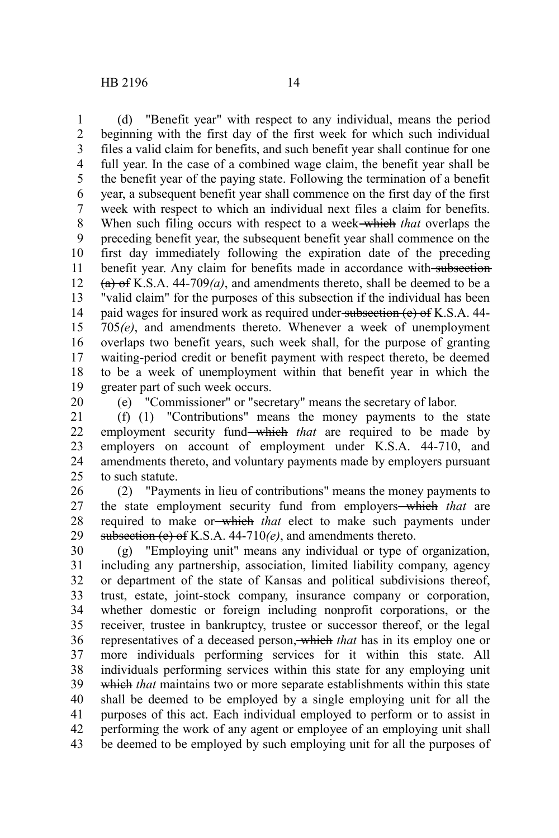(d) "Benefit year" with respect to any individual, means the period beginning with the first day of the first week for which such individual files a valid claim for benefits, and such benefit year shall continue for one full year. In the case of a combined wage claim, the benefit year shall be the benefit year of the paying state. Following the termination of a benefit year, a subsequent benefit year shall commence on the first day of the first week with respect to which an individual next files a claim for benefits. When such filing occurs with respect to a week which *that* overlaps the preceding benefit year, the subsequent benefit year shall commence on the first day immediately following the expiration date of the preceding benefit year. Any claim for benefits made in accordance with subsection (a) of K.S.A. 44-709*(a)*, and amendments thereto, shall be deemed to be a "valid claim" for the purposes of this subsection if the individual has been paid wages for insured work as required under subsection (e) of K.S.A. 44-705*(e)*, and amendments thereto. Whenever a week of unemployment overlaps two benefit years, such week shall, for the purpose of granting waiting-period credit or benefit payment with respect thereto, be deemed to be a week of unemployment within that benefit year in which the greater part of such week occurs. 1 2 3 4 5 6 7 8 9 10 11 12 13 14 15 16 17 18 19

20

(e) "Commissioner" or "secretary" means the secretary of labor.

(f) (1) "Contributions" means the money payments to the state employment security fund—which *that* are required to be made by employers on account of employment under K.S.A. 44-710, and amendments thereto, and voluntary payments made by employers pursuant to such statute. 21 22 23 24 25

(2) "Payments in lieu of contributions" means the money payments to the state employment security fund from employers which *that* are required to make or which *that* elect to make such payments under subsection (e) of K.S.A. 44-710*(e)*, and amendments thereto. 26 27 28 29

(g) "Employing unit" means any individual or type of organization, including any partnership, association, limited liability company, agency or department of the state of Kansas and political subdivisions thereof, trust, estate, joint-stock company, insurance company or corporation, whether domestic or foreign including nonprofit corporations, or the receiver, trustee in bankruptcy, trustee or successor thereof, or the legal representatives of a deceased person, which *that* has in its employ one or more individuals performing services for it within this state. All individuals performing services within this state for any employing unit which *that* maintains two or more separate establishments within this state shall be deemed to be employed by a single employing unit for all the purposes of this act. Each individual employed to perform or to assist in performing the work of any agent or employee of an employing unit shall be deemed to be employed by such employing unit for all the purposes of 30 31 32 33 34 35 36 37 38 39 40 41 42 43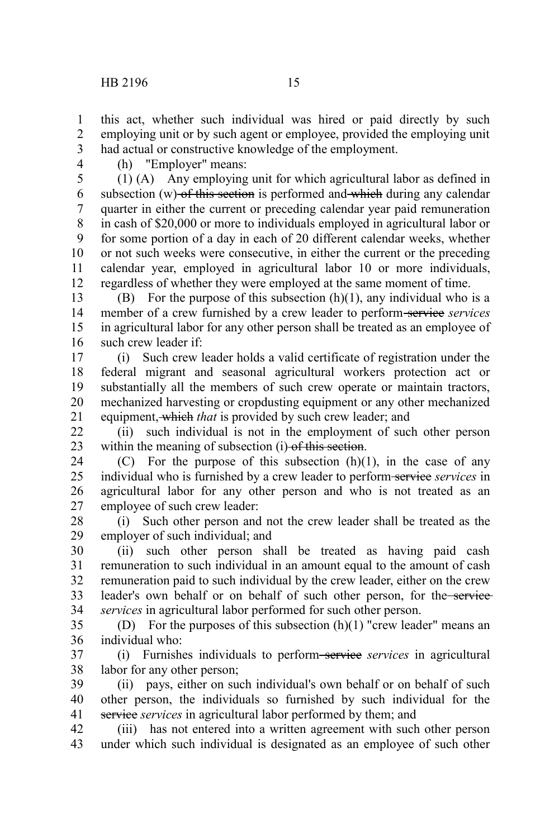3 4

1 2

(h) "Employer" means:

(1) (A) Any employing unit for which agricultural labor as defined in subsection  $(w)$  of this section is performed and which during any calendar quarter in either the current or preceding calendar year paid remuneration in cash of \$20,000 or more to individuals employed in agricultural labor or for some portion of a day in each of 20 different calendar weeks, whether or not such weeks were consecutive, in either the current or the preceding calendar year, employed in agricultural labor 10 or more individuals, regardless of whether they were employed at the same moment of time. 5 6 7 8 9 10 11 12

(B) For the purpose of this subsection  $(h)(1)$ , any individual who is a member of a crew furnished by a crew leader to perform-services services in agricultural labor for any other person shall be treated as an employee of such crew leader if: 13 14 15 16

(i) Such crew leader holds a valid certificate of registration under the federal migrant and seasonal agricultural workers protection act or substantially all the members of such crew operate or maintain tractors, mechanized harvesting or cropdusting equipment or any other mechanized equipment, which *that* is provided by such crew leader; and 17 18 19 20 21

(ii) such individual is not in the employment of such other person within the meaning of subsection (i) of this section.  $22$ 23

(C) For the purpose of this subsection  $(h)(1)$ , in the case of any individual who is furnished by a crew leader to perform service *services* in agricultural labor for any other person and who is not treated as an employee of such crew leader: 24 25 26 27

(i) Such other person and not the crew leader shall be treated as the employer of such individual; and 28 29

(ii) such other person shall be treated as having paid cash remuneration to such individual in an amount equal to the amount of cash remuneration paid to such individual by the crew leader, either on the crew leader's own behalf or on behalf of such other person, for the service *services* in agricultural labor performed for such other person. 30 31 32 33 34

(D) For the purposes of this subsection  $(h)(1)$  "crew leader" means an individual who: 35 36

(i) Furnishes individuals to perform service *services* in agricultural labor for any other person; 37 38

(ii) pays, either on such individual's own behalf or on behalf of such other person, the individuals so furnished by such individual for the service *services* in agricultural labor performed by them; and 39 40 41

(iii) has not entered into a written agreement with such other person under which such individual is designated as an employee of such other 42 43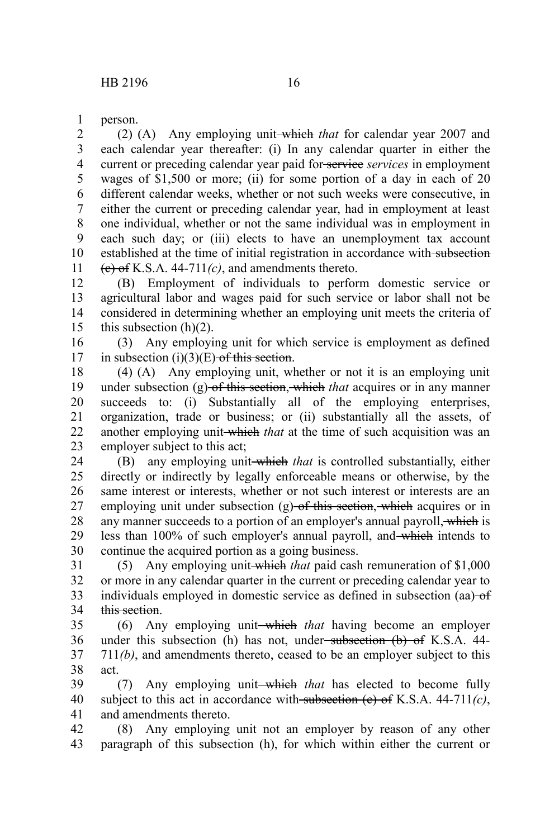person. 1

(2) (A) Any employing unit which *that* for calendar year 2007 and each calendar year thereafter: (i) In any calendar quarter in either the current or preceding calendar year paid for service *services* in employment wages of \$1,500 or more; (ii) for some portion of a day in each of 20 different calendar weeks, whether or not such weeks were consecutive, in either the current or preceding calendar year, had in employment at least one individual, whether or not the same individual was in employment in each such day; or (iii) elects to have an unemployment tax account established at the time of initial registration in accordance with subsection  $(e)$  of K.S.A. 44-711 $(c)$ , and amendments thereto. 2 3 4 5 6 7 8 9 10 11

(B) Employment of individuals to perform domestic service or agricultural labor and wages paid for such service or labor shall not be considered in determining whether an employing unit meets the criteria of this subsection  $(h)(2)$ . 12 13 14 15

(3) Any employing unit for which service is employment as defined in subsection  $(i)(3)(E)$  of this section. 16 17

(4) (A) Any employing unit, whether or not it is an employing unit under subsection (g) of this section, which *that* acquires or in any manner succeeds to: (i) Substantially all of the employing enterprises, organization, trade or business; or (ii) substantially all the assets, of another employing unit-which *that* at the time of such acquisition was an employer subject to this act; 18 19 20 21 22 23

(B) any employing unit which *that* is controlled substantially, either directly or indirectly by legally enforceable means or otherwise, by the same interest or interests, whether or not such interest or interests are an employing unit under subsection (g) of this section, which acquires or in any manner succeeds to a portion of an employer's annual payroll, which is less than 100% of such employer's annual payroll, and which intends to continue the acquired portion as a going business. 24 25 26 27 28 29 30

(5) Any employing unit which *that* paid cash remuneration of \$1,000 or more in any calendar quarter in the current or preceding calendar year to individuals employed in domestic service as defined in subsection (aa) of this section. 31 32 33 34

(6) Any employing unit which *that* having become an employer under this subsection (h) has not, under-subsection (b) of K.S.A. 44-711*(b)*, and amendments thereto, ceased to be an employer subject to this act. 35 36 37 38

(7) Any employing unit—which *that* has elected to become fully subject to this act in accordance with subsection (e) of K.S.A. 44-711*(c)*, and amendments thereto. 39 40 41

(8) Any employing unit not an employer by reason of any other paragraph of this subsection (h), for which within either the current or 42 43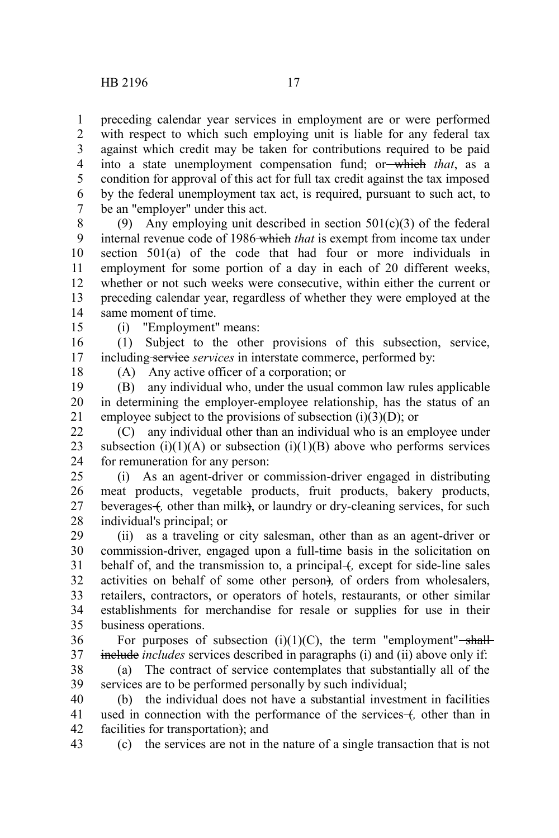preceding calendar year services in employment are or were performed with respect to which such employing unit is liable for any federal tax against which credit may be taken for contributions required to be paid into a state unemployment compensation fund; or which *that*, as a condition for approval of this act for full tax credit against the tax imposed by the federal unemployment tax act, is required, pursuant to such act, to be an "employer" under this act. 1 2 3 4 5 6 7

(9) Any employing unit described in section  $501(c)(3)$  of the federal internal revenue code of 1986 which *that* is exempt from income tax under section 501(a) of the code that had four or more individuals in employment for some portion of a day in each of 20 different weeks, whether or not such weeks were consecutive, within either the current or preceding calendar year, regardless of whether they were employed at the same moment of time. 8 9 10 11 12 13 14

15

(i) "Employment" means:

(1) Subject to the other provisions of this subsection, service, including service *services* in interstate commerce, performed by: 16 17

18

(A) Any active officer of a corporation; or

(B) any individual who, under the usual common law rules applicable in determining the employer-employee relationship, has the status of an employee subject to the provisions of subsection  $(i)(3)(D)$ ; or 19 20 21

(C) any individual other than an individual who is an employee under subsection (i)(1)(A) or subsection (i)(1)(B) above who performs services for remuneration for any person: 22 23 24

(i) As an agent-driver or commission-driver engaged in distributing meat products, vegetable products, fruit products, bakery products, beverages +, other than milk), or laundry or dry-cleaning services, for such individual's principal; or 25 26 27 28

(ii) as a traveling or city salesman, other than as an agent-driver or commission-driver, engaged upon a full-time basis in the solicitation on behalf of, and the transmission to, a principal +, except for side-line sales activities on behalf of some other person)*,* of orders from wholesalers, retailers, contractors, or operators of hotels, restaurants, or other similar establishments for merchandise for resale or supplies for use in their business operations. 29 30 31 32 33 34 35

For purposes of subsection  $(i)(1)(C)$ , the term "employment"-shallinclude *includes* services described in paragraphs (i) and (ii) above only if: 36 37

(a) The contract of service contemplates that substantially all of the services are to be performed personally by such individual; 38 39

(b) the individual does not have a substantial investment in facilities used in connection with the performance of the services for the than in facilities for transportation); and 40 41 42

(c) the services are not in the nature of a single transaction that is not 43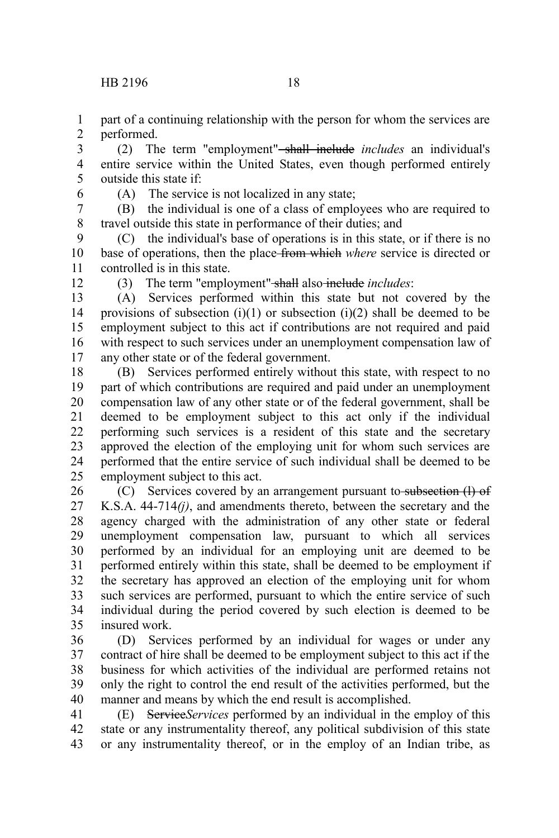part of a continuing relationship with the person for whom the services are performed. 1 2

(2) The term "employment" shall include *includes* an individual's entire service within the United States, even though performed entirely outside this state if: 3 4 5

6

(A) The service is not localized in any state;

(B) the individual is one of a class of employees who are required to travel outside this state in performance of their duties; and 7 8

(C) the individual's base of operations is in this state, or if there is no base of operations, then the place from which *where* service is directed or controlled is in this state. 9 10 11

12

(3) The term "employment" shall also include *includes*:

(A) Services performed within this state but not covered by the provisions of subsection  $(i)(1)$  or subsection  $(i)(2)$  shall be deemed to be employment subject to this act if contributions are not required and paid with respect to such services under an unemployment compensation law of any other state or of the federal government. 13 14 15 16 17

(B) Services performed entirely without this state, with respect to no part of which contributions are required and paid under an unemployment compensation law of any other state or of the federal government, shall be deemed to be employment subject to this act only if the individual performing such services is a resident of this state and the secretary approved the election of the employing unit for whom such services are performed that the entire service of such individual shall be deemed to be employment subject to this act. 18 19 20 21 22 23 24 25

(C) Services covered by an arrangement pursuant to subsection (I) of K.S.A. 44-714*(j)*, and amendments thereto, between the secretary and the agency charged with the administration of any other state or federal unemployment compensation law, pursuant to which all services performed by an individual for an employing unit are deemed to be performed entirely within this state, shall be deemed to be employment if the secretary has approved an election of the employing unit for whom such services are performed, pursuant to which the entire service of such individual during the period covered by such election is deemed to be insured work. 26 27 28 29 30 31 32 33 34 35

(D) Services performed by an individual for wages or under any contract of hire shall be deemed to be employment subject to this act if the business for which activities of the individual are performed retains not only the right to control the end result of the activities performed, but the manner and means by which the end result is accomplished. 36 37 38 39 40

(E) Service*Services* performed by an individual in the employ of this state or any instrumentality thereof, any political subdivision of this state or any instrumentality thereof, or in the employ of an Indian tribe, as 41 42 43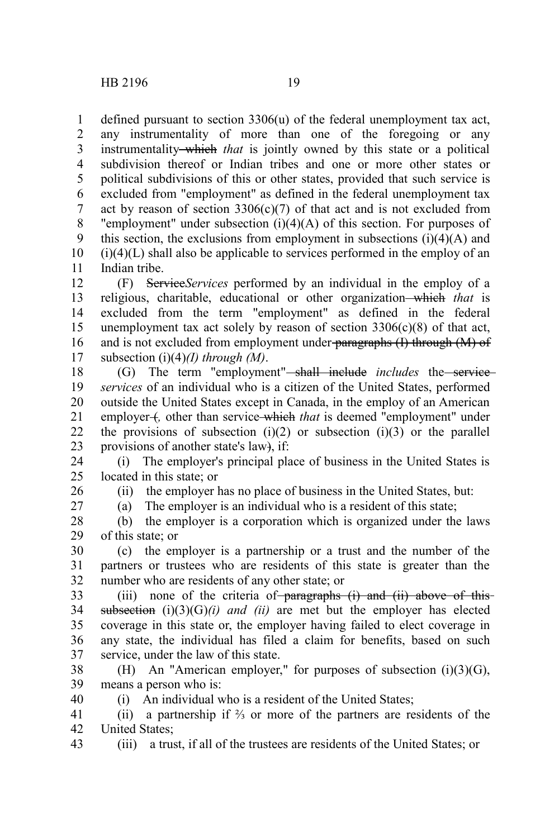defined pursuant to section 3306(u) of the federal unemployment tax act, any instrumentality of more than one of the foregoing or any instrumentality which *that* is jointly owned by this state or a political subdivision thereof or Indian tribes and one or more other states or political subdivisions of this or other states, provided that such service is excluded from "employment" as defined in the federal unemployment tax act by reason of section  $3306(c)(7)$  of that act and is not excluded from "employment" under subsection  $(i)(4)(A)$  of this section. For purposes of this section, the exclusions from employment in subsections  $(i)(4)(A)$  and  $(i)(4)(L)$  shall also be applicable to services performed in the employ of an Indian tribe. 1 2 3 4 5 6 7 8 9 10 11

(F) Service*Services* performed by an individual in the employ of a religious, charitable, educational or other organization which *that* is excluded from the term "employment" as defined in the federal unemployment tax act solely by reason of section  $3306(c)(8)$  of that act, and is not excluded from employment under paragraphs (I) through (M) of subsection (i)(4)*(I) through (M)*. 12 13 14 15 16 17

(G) The term "employment"<del>-shall include</del> *includes* the service*services* of an individual who is a citizen of the United States, performed outside the United States except in Canada, in the employ of an American employer +, other than service which *that* is deemed "employment" under the provisions of subsection  $(i)(2)$  or subsection  $(i)(3)$  or the parallel provisions of another state's law), if: 18 19 20 21 22 23

(i) The employer's principal place of business in the United States is located in this state; or 24 25

26

(ii) the employer has no place of business in the United States, but:

27

(a) The employer is an individual who is a resident of this state;

(b) the employer is a corporation which is organized under the laws of this state; or 28 29

(c) the employer is a partnership or a trust and the number of the partners or trustees who are residents of this state is greater than the number who are residents of any other state; or 30 31 32

(iii) none of the criteria of paragraphs  $(i)$  and  $(ii)$  above of this subsection  $(i)(3)(G)(i)$  *and (ii)* are met but the employer has elected coverage in this state or, the employer having failed to elect coverage in any state, the individual has filed a claim for benefits, based on such service, under the law of this state. 33 34 35 36 37

(H) An "American employer," for purposes of subsection (i)(3)(G), means a person who is: 38 39 40

(i) An individual who is a resident of the United States;

(ii) a partnership if ⅔ or more of the partners are residents of the United States; 41 42

(iii) a trust, if all of the trustees are residents of the United States; or 43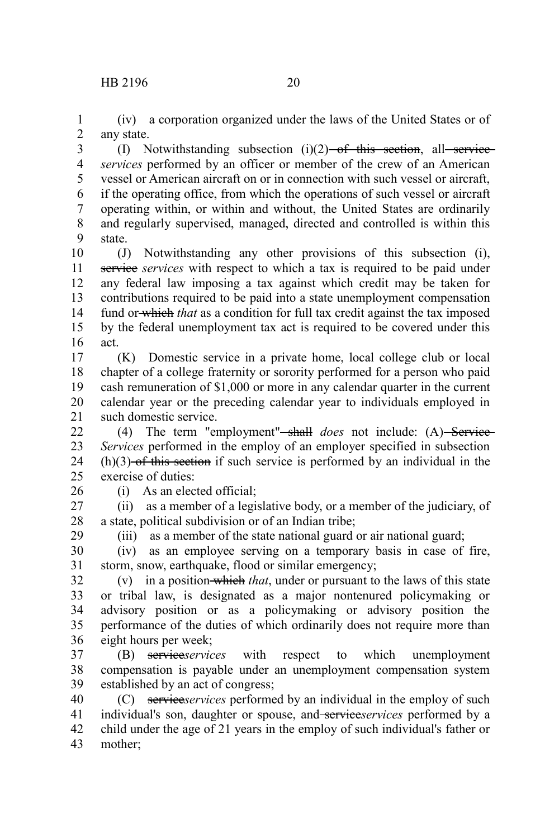(iv) a corporation organized under the laws of the United States or of any state. 1 2

(I) Notwithstanding subsection  $(i)(2)$  of this section, all service *services* performed by an officer or member of the crew of an American vessel or American aircraft on or in connection with such vessel or aircraft, if the operating office, from which the operations of such vessel or aircraft operating within, or within and without, the United States are ordinarily and regularly supervised, managed, directed and controlled is within this state. 3 4 5 6 7 8 9

(J) Notwithstanding any other provisions of this subsection (i), service *services* with respect to which a tax is required to be paid under any federal law imposing a tax against which credit may be taken for contributions required to be paid into a state unemployment compensation fund or which *that* as a condition for full tax credit against the tax imposed by the federal unemployment tax act is required to be covered under this act. 10 11 12 13 14 15 16

(K) Domestic service in a private home, local college club or local chapter of a college fraternity or sorority performed for a person who paid cash remuneration of \$1,000 or more in any calendar quarter in the current calendar year or the preceding calendar year to individuals employed in such domestic service. 17 18 19 20 21

(4) The term "employment"<del>-shall</del> *does* not include: (A) Service-*Services* performed in the employ of an employer specified in subsection  $(h)(3)$ -of this section if such service is performed by an individual in the exercise of duties:  $22$ 23 24  $25$ 

26

29

(i) As an elected official;

(ii) as a member of a legislative body, or a member of the judiciary, of a state, political subdivision or of an Indian tribe; 27 28

(iii) as a member of the state national guard or air national guard;

(iv) as an employee serving on a temporary basis in case of fire, storm, snow, earthquake, flood or similar emergency; 30 31

(v) in a position which *that*, under or pursuant to the laws of this state or tribal law, is designated as a major nontenured policymaking or advisory position or as a policymaking or advisory position the performance of the duties of which ordinarily does not require more than eight hours per week; 32 33 34 35 36

(B) service*services* with respect to which unemployment compensation is payable under an unemployment compensation system established by an act of congress; 37 38 39

(C) service*services* performed by an individual in the employ of such individual's son, daughter or spouse, and service*services* performed by a child under the age of 21 years in the employ of such individual's father or mother; 40 41 42 43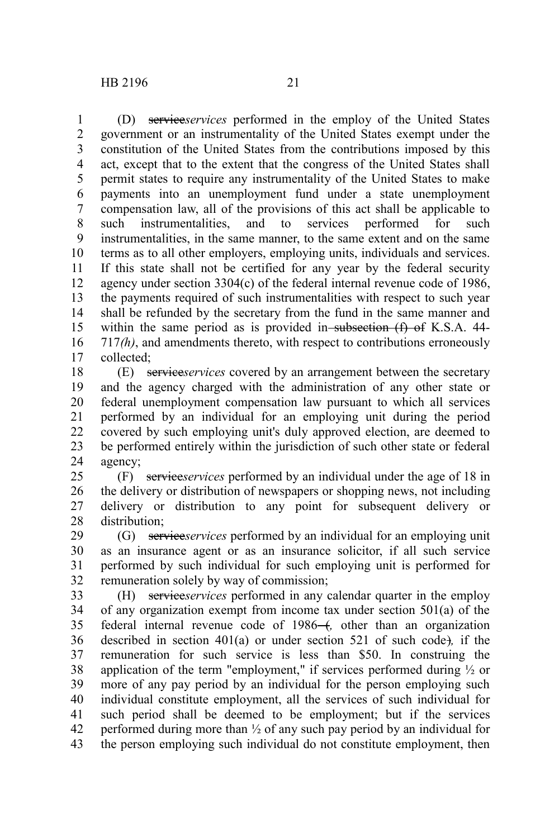(D) service*services* performed in the employ of the United States government or an instrumentality of the United States exempt under the constitution of the United States from the contributions imposed by this act, except that to the extent that the congress of the United States shall permit states to require any instrumentality of the United States to make payments into an unemployment fund under a state unemployment compensation law, all of the provisions of this act shall be applicable to such instrumentalities, and to services performed for such instrumentalities, in the same manner, to the same extent and on the same terms as to all other employers, employing units, individuals and services. If this state shall not be certified for any year by the federal security agency under section 3304(c) of the federal internal revenue code of 1986, the payments required of such instrumentalities with respect to such year shall be refunded by the secretary from the fund in the same manner and within the same period as is provided in subsection  $(f)$  of K.S.A. 44-717*(h)*, and amendments thereto, with respect to contributions erroneously collected; 1 2 3 4 5 6 7 8 9 10 11 12 13 14 15 16 17

(E) service*services* covered by an arrangement between the secretary and the agency charged with the administration of any other state or federal unemployment compensation law pursuant to which all services performed by an individual for an employing unit during the period covered by such employing unit's duly approved election, are deemed to be performed entirely within the jurisdiction of such other state or federal agency; 18 19 20 21 22 23 24

(F) service*services* performed by an individual under the age of 18 in the delivery or distribution of newspapers or shopping news, not including delivery or distribution to any point for subsequent delivery or distribution; 25 26 27 28

(G) service*services* performed by an individual for an employing unit as an insurance agent or as an insurance solicitor, if all such service performed by such individual for such employing unit is performed for remuneration solely by way of commission; 29 30 31 32

(H) service*services* performed in any calendar quarter in the employ of any organization exempt from income tax under section 501(a) of the federal internal revenue code of 1986<sup>-4</sup>, other than an organization described in section 401(a) or under section 521 of such code)*,* if the remuneration for such service is less than \$50. In construing the application of the term "employment," if services performed during  $\frac{1}{2}$  or more of any pay period by an individual for the person employing such individual constitute employment, all the services of such individual for such period shall be deemed to be employment; but if the services performed during more than ½ of any such pay period by an individual for the person employing such individual do not constitute employment, then 33 34 35 36 37 38 39 40 41 42 43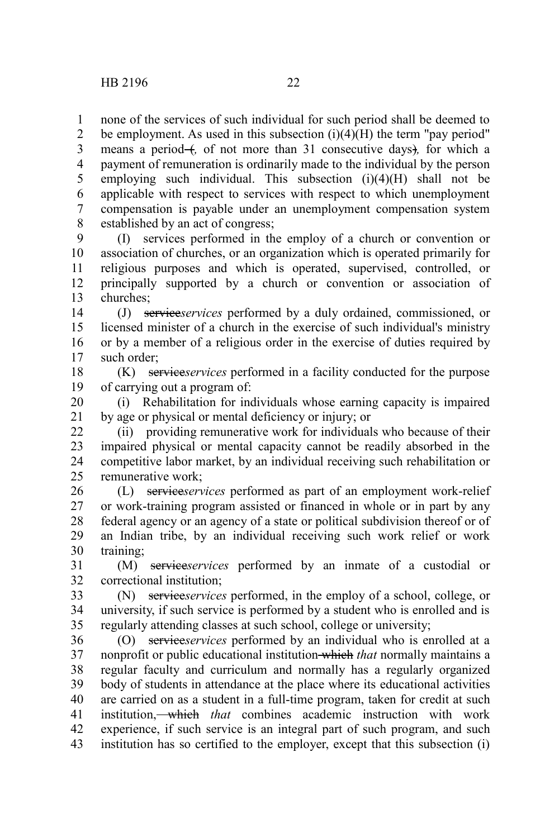none of the services of such individual for such period shall be deemed to be employment. As used in this subsection  $(i)(4)(H)$  the term "pay period" means a period- $\left($ , of not more than 31 consecutive days), for which a payment of remuneration is ordinarily made to the individual by the person employing such individual. This subsection  $(i)(4)(H)$  shall not be applicable with respect to services with respect to which unemployment compensation is payable under an unemployment compensation system established by an act of congress; 1 2 3 4 5 6 7 8

(I) services performed in the employ of a church or convention or association of churches, or an organization which is operated primarily for religious purposes and which is operated, supervised, controlled, or principally supported by a church or convention or association of churches; 9 10 11 12 13

(J) service*services* performed by a duly ordained, commissioned, or licensed minister of a church in the exercise of such individual's ministry or by a member of a religious order in the exercise of duties required by such order: 14 15 16 17

(K) service*services* performed in a facility conducted for the purpose of carrying out a program of: 18 19

(i) Rehabilitation for individuals whose earning capacity is impaired by age or physical or mental deficiency or injury; or 20 21

(ii) providing remunerative work for individuals who because of their impaired physical or mental capacity cannot be readily absorbed in the competitive labor market, by an individual receiving such rehabilitation or remunerative work; 22 23 24 25

(L) service*services* performed as part of an employment work-relief or work-training program assisted or financed in whole or in part by any federal agency or an agency of a state or political subdivision thereof or of an Indian tribe, by an individual receiving such work relief or work training; 26 27 28 29 30

(M) service*services* performed by an inmate of a custodial or correctional institution; 31 32

(N) service*services* performed, in the employ of a school, college, or university, if such service is performed by a student who is enrolled and is regularly attending classes at such school, college or university; 33 34 35

(O) service*services* performed by an individual who is enrolled at a nonprofit or public educational institution which *that* normally maintains a regular faculty and curriculum and normally has a regularly organized body of students in attendance at the place where its educational activities are carried on as a student in a full-time program, taken for credit at such institution, which *that* combines academic instruction with work experience, if such service is an integral part of such program, and such institution has so certified to the employer, except that this subsection (i) 36 37 38 39 40 41 42 43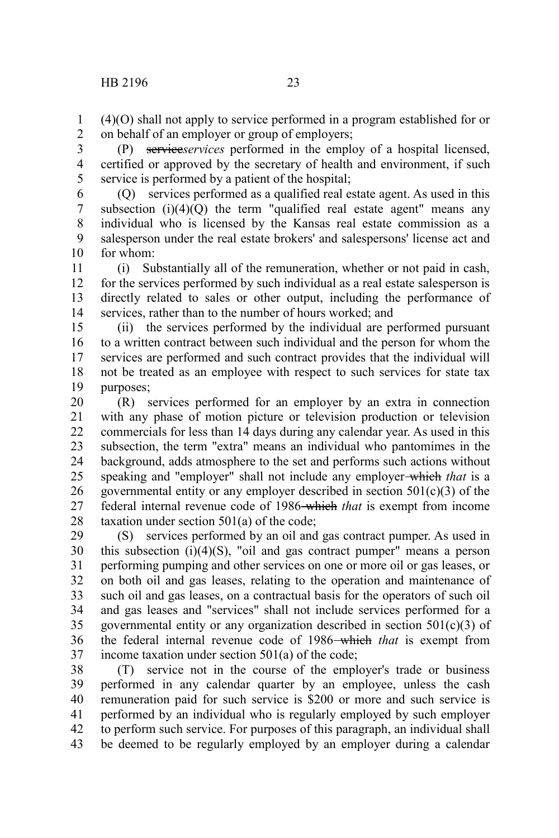(4)(O) shall not apply to service performed in a program established for or on behalf of an employer or group of employers; 1 2

(P) service*services* performed in the employ of a hospital licensed, certified or approved by the secretary of health and environment, if such service is performed by a patient of the hospital; 3 4 5

(Q) services performed as a qualified real estate agent. As used in this subsection  $(i)(4)(Q)$  the term "qualified real estate agent" means any individual who is licensed by the Kansas real estate commission as a salesperson under the real estate brokers' and salespersons' license act and for whom: 6 7 8 9 10

(i) Substantially all of the remuneration, whether or not paid in cash, for the services performed by such individual as a real estate salesperson is directly related to sales or other output, including the performance of services, rather than to the number of hours worked; and 11 12 13 14

(ii) the services performed by the individual are performed pursuant to a written contract between such individual and the person for whom the services are performed and such contract provides that the individual will not be treated as an employee with respect to such services for state tax purposes; 15 16 17 18 19

(R) services performed for an employer by an extra in connection with any phase of motion picture or television production or television commercials for less than 14 days during any calendar year. As used in this subsection, the term "extra" means an individual who pantomimes in the background, adds atmosphere to the set and performs such actions without speaking and "employer" shall not include any employer which *that* is a governmental entity or any employer described in section  $501(c)(3)$  of the federal internal revenue code of 1986 which *that* is exempt from income taxation under section 501(a) of the code; 20 21 22 23 24 25 26 27 28

(S) services performed by an oil and gas contract pumper. As used in this subsection  $(i)(4)(S)$ , "oil and gas contract pumper" means a person performing pumping and other services on one or more oil or gas leases, or on both oil and gas leases, relating to the operation and maintenance of such oil and gas leases, on a contractual basis for the operators of such oil and gas leases and "services" shall not include services performed for a governmental entity or any organization described in section  $501(c)(3)$  of the federal internal revenue code of 1986 which *that* is exempt from income taxation under section 501(a) of the code; 29 30 31 32 33 34 35 36 37

(T) service not in the course of the employer's trade or business performed in any calendar quarter by an employee, unless the cash remuneration paid for such service is \$200 or more and such service is performed by an individual who is regularly employed by such employer to perform such service. For purposes of this paragraph, an individual shall be deemed to be regularly employed by an employer during a calendar 38 39 40 41 42 43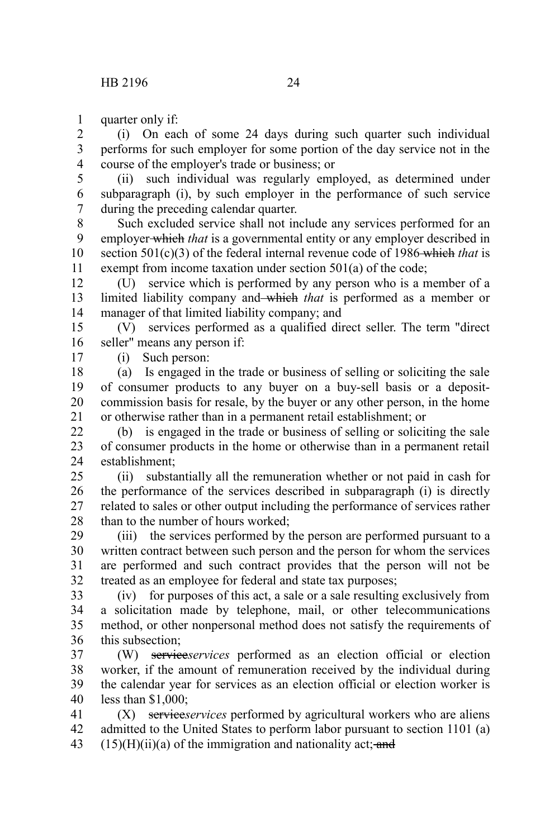quarter only if: 1

(i) On each of some 24 days during such quarter such individual performs for such employer for some portion of the day service not in the course of the employer's trade or business; or 2 3 4

(ii) such individual was regularly employed, as determined under subparagraph (i), by such employer in the performance of such service during the preceding calendar quarter. 5 6 7

Such excluded service shall not include any services performed for an employer which *that* is a governmental entity or any employer described in section 501(c)(3) of the federal internal revenue code of 1986 which *that* is exempt from income taxation under section 501(a) of the code; 8 9 10 11

(U) service which is performed by any person who is a member of a limited liability company and which *that* is performed as a member or manager of that limited liability company; and 12 13 14

(V) services performed as a qualified direct seller. The term "direct seller" means any person if: 15 16

(i) Such person:

17

(a) Is engaged in the trade or business of selling or soliciting the sale of consumer products to any buyer on a buy-sell basis or a depositcommission basis for resale, by the buyer or any other person, in the home or otherwise rather than in a permanent retail establishment; or 18 19 20 21

(b) is engaged in the trade or business of selling or soliciting the sale of consumer products in the home or otherwise than in a permanent retail establishment;  $22$ 23 24

(ii) substantially all the remuneration whether or not paid in cash for the performance of the services described in subparagraph (i) is directly related to sales or other output including the performance of services rather than to the number of hours worked;  $25$ 26 27 28

(iii) the services performed by the person are performed pursuant to a written contract between such person and the person for whom the services are performed and such contract provides that the person will not be treated as an employee for federal and state tax purposes; 29 30 31 32

(iv) for purposes of this act, a sale or a sale resulting exclusively from a solicitation made by telephone, mail, or other telecommunications method, or other nonpersonal method does not satisfy the requirements of this subsection; 33 34 35 36

(W) service*services* performed as an election official or election worker, if the amount of remuneration received by the individual during the calendar year for services as an election official or election worker is less than \$1,000; 37 38 39 40

(X) service*services* performed by agricultural workers who are aliens admitted to the United States to perform labor pursuant to section 1101 (a)  $(15)(H)(ii)(a)$  of the immigration and nationality act; and 41 42 43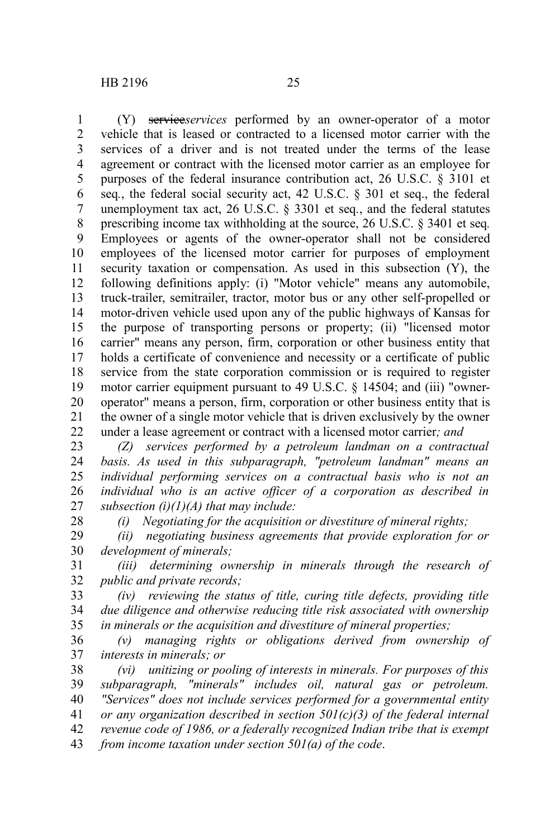(Y) service*services* performed by an owner-operator of a motor vehicle that is leased or contracted to a licensed motor carrier with the services of a driver and is not treated under the terms of the lease agreement or contract with the licensed motor carrier as an employee for purposes of the federal insurance contribution act, 26 U.S.C. § 3101 et seq*.*, the federal social security act, 42 U.S.C. § 301 et seq., the federal unemployment tax act, 26 U.S.C. § 3301 et seq*.*, and the federal statutes prescribing income tax withholding at the source, 26 U.S.C. § 3401 et seq*.* Employees or agents of the owner-operator shall not be considered employees of the licensed motor carrier for purposes of employment security taxation or compensation. As used in this subsection (Y), the following definitions apply: (i) "Motor vehicle" means any automobile, truck-trailer, semitrailer, tractor, motor bus or any other self-propelled or motor-driven vehicle used upon any of the public highways of Kansas for the purpose of transporting persons or property; (ii) "licensed motor carrier" means any person, firm, corporation or other business entity that holds a certificate of convenience and necessity or a certificate of public service from the state corporation commission or is required to register motor carrier equipment pursuant to 49 U.S.C. § 14504; and (iii) "owneroperator" means a person, firm, corporation or other business entity that is the owner of a single motor vehicle that is driven exclusively by the owner under a lease agreement or contract with a licensed motor carrier*; and* 1 2 3 4 5 6 7 8 9 10 11 12 13 14 15 16 17 18 19 20 21 22

*(Z) services performed by a petroleum landman on a contractual basis. As used in this subparagraph, "petroleum landman" means an individual performing services on a contractual basis who is not an individual who is an active officer of a corporation as described in subsection (i)(1)(A) that may include:* 23 24 25 26 27

28

*(i) Negotiating for the acquisition or divestiture of mineral rights;*

*(ii) negotiating business agreements that provide exploration for or development of minerals;* 29 30

*(iii) determining ownership in minerals through the research of public and private records;* 31 32

*(iv) reviewing the status of title, curing title defects, providing title due diligence and otherwise reducing title risk associated with ownership in minerals or the acquisition and divestiture of mineral properties;* 33 34 35

*(v) managing rights or obligations derived from ownership of interests in minerals; or* 36 37

*(vi) unitizing or pooling of interests in minerals. For purposes of this subparagraph, "minerals" includes oil, natural gas or petroleum. "Services" does not include services performed for a governmental entity or any organization described in section 501(c)(3) of the federal internal revenue code of 1986, or a federally recognized Indian tribe that is exempt from income taxation under section 501(a) of the code*. 38 39 40 41 42 43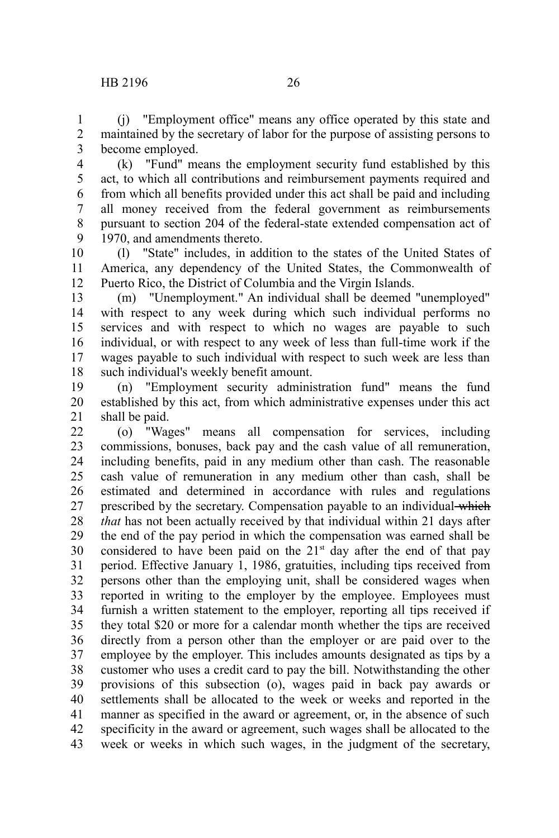(j) "Employment office" means any office operated by this state and maintained by the secretary of labor for the purpose of assisting persons to become employed. 1 2 3

(k) "Fund" means the employment security fund established by this act, to which all contributions and reimbursement payments required and from which all benefits provided under this act shall be paid and including all money received from the federal government as reimbursements pursuant to section 204 of the federal-state extended compensation act of 1970, and amendments thereto. 4 5 6 7 8 9

(l) "State" includes, in addition to the states of the United States of America, any dependency of the United States, the Commonwealth of Puerto Rico, the District of Columbia and the Virgin Islands. 10 11 12

(m) "Unemployment." An individual shall be deemed "unemployed" with respect to any week during which such individual performs no services and with respect to which no wages are payable to such individual, or with respect to any week of less than full-time work if the wages payable to such individual with respect to such week are less than such individual's weekly benefit amount. 13 14 15 16 17 18

(n) "Employment security administration fund" means the fund established by this act, from which administrative expenses under this act shall be paid. 19 20 21

(o) "Wages" means all compensation for services, including commissions, bonuses, back pay and the cash value of all remuneration, including benefits, paid in any medium other than cash. The reasonable cash value of remuneration in any medium other than cash, shall be estimated and determined in accordance with rules and regulations prescribed by the secretary. Compensation payable to an individual which *that* has not been actually received by that individual within 21 days after the end of the pay period in which the compensation was earned shall be considered to have been paid on the  $21<sup>st</sup>$  day after the end of that pay period. Effective January 1, 1986, gratuities, including tips received from persons other than the employing unit, shall be considered wages when reported in writing to the employer by the employee. Employees must furnish a written statement to the employer, reporting all tips received if they total \$20 or more for a calendar month whether the tips are received directly from a person other than the employer or are paid over to the employee by the employer. This includes amounts designated as tips by a customer who uses a credit card to pay the bill. Notwithstanding the other provisions of this subsection (o), wages paid in back pay awards or settlements shall be allocated to the week or weeks and reported in the manner as specified in the award or agreement, or, in the absence of such specificity in the award or agreement, such wages shall be allocated to the week or weeks in which such wages, in the judgment of the secretary, 22 23 24 25 26 27 28 29 30 31 32 33 34 35 36 37 38 39 40 41 42 43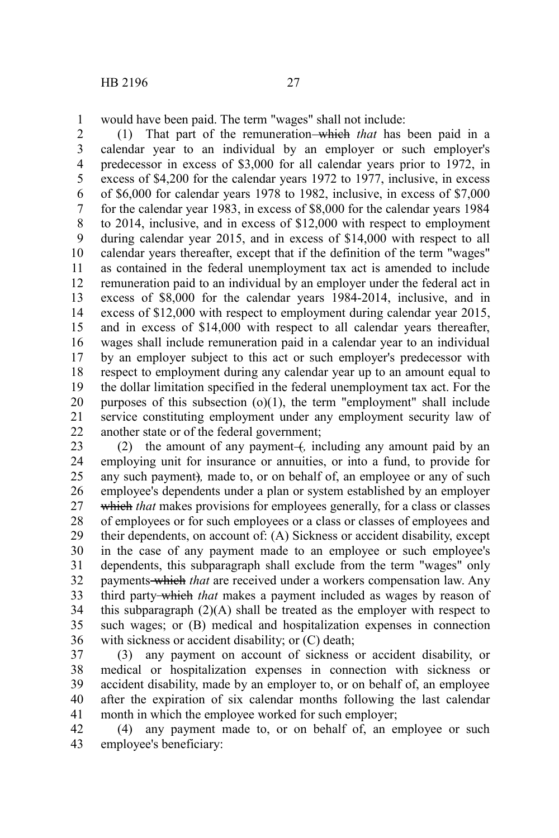would have been paid. The term "wages" shall not include: 1

(1) That part of the remuneration which *that* has been paid in a calendar year to an individual by an employer or such employer's predecessor in excess of \$3,000 for all calendar years prior to 1972, in excess of \$4,200 for the calendar years 1972 to 1977, inclusive, in excess of \$6,000 for calendar years 1978 to 1982, inclusive, in excess of \$7,000 for the calendar year 1983, in excess of \$8,000 for the calendar years 1984 to 2014, inclusive, and in excess of \$12,000 with respect to employment during calendar year 2015, and in excess of \$14,000 with respect to all calendar years thereafter, except that if the definition of the term "wages" as contained in the federal unemployment tax act is amended to include remuneration paid to an individual by an employer under the federal act in excess of \$8,000 for the calendar years 1984-2014, inclusive, and in excess of \$12,000 with respect to employment during calendar year 2015, and in excess of \$14,000 with respect to all calendar years thereafter, wages shall include remuneration paid in a calendar year to an individual by an employer subject to this act or such employer's predecessor with respect to employment during any calendar year up to an amount equal to the dollar limitation specified in the federal unemployment tax act. For the purposes of this subsection  $(o)(1)$ , the term "employment" shall include service constituting employment under any employment security law of another state or of the federal government; 2 3 4 5 6 7 8 9 10 11 12 13 14 15 16 17 18 19 20 21 22

(2) the amount of any payment (*i*, including any amount paid by an employing unit for insurance or annuities, or into a fund, to provide for any such payment)*,* made to, or on behalf of, an employee or any of such employee's dependents under a plan or system established by an employer which *that* makes provisions for employees generally, for a class or classes of employees or for such employees or a class or classes of employees and their dependents, on account of: (A) Sickness or accident disability, except in the case of any payment made to an employee or such employee's dependents, this subparagraph shall exclude from the term "wages" only payments which *that* are received under a workers compensation law. Any third party which *that* makes a payment included as wages by reason of this subparagraph  $(2)(A)$  shall be treated as the employer with respect to such wages; or (B) medical and hospitalization expenses in connection with sickness or accident disability; or (C) death; 23 24 25 26 27 28 29 30 31 32 33 34 35 36

(3) any payment on account of sickness or accident disability, or medical or hospitalization expenses in connection with sickness or accident disability, made by an employer to, or on behalf of, an employee after the expiration of six calendar months following the last calendar month in which the employee worked for such employer; 37 38 39 40 41

(4) any payment made to, or on behalf of, an employee or such employee's beneficiary: 42 43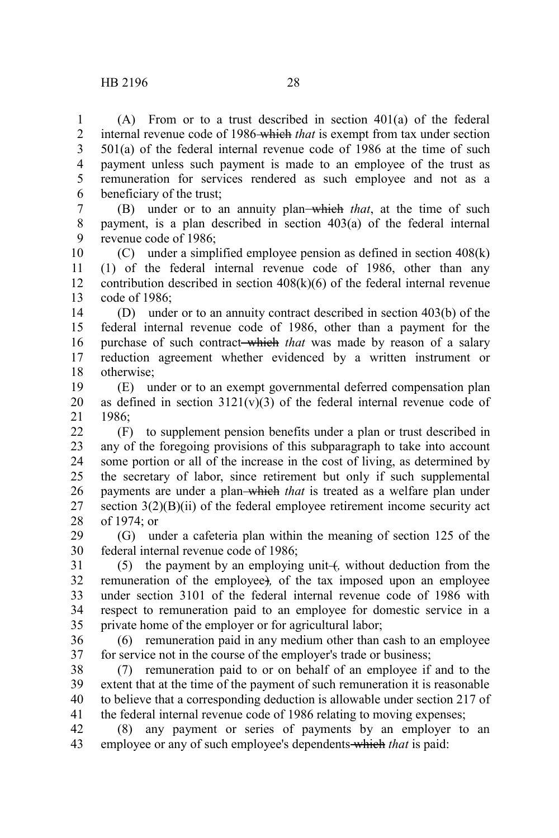(A) From or to a trust described in section 401(a) of the federal internal revenue code of 1986 which *that* is exempt from tax under section 501(a) of the federal internal revenue code of 1986 at the time of such payment unless such payment is made to an employee of the trust as remuneration for services rendered as such employee and not as a beneficiary of the trust; 1 2 3 4 5 6

(B) under or to an annuity plan which *that*, at the time of such payment, is a plan described in section 403(a) of the federal internal revenue code of 1986; 7 8 9

(C) under a simplified employee pension as defined in section 408(k) (1) of the federal internal revenue code of 1986, other than any contribution described in section  $408(k)(6)$  of the federal internal revenue code of 1986; 10 11 12 13

(D) under or to an annuity contract described in section 403(b) of the federal internal revenue code of 1986, other than a payment for the purchase of such contract which *that* was made by reason of a salary reduction agreement whether evidenced by a written instrument or otherwise; 14 15 16 17 18

(E) under or to an exempt governmental deferred compensation plan as defined in section  $3121(v)(3)$  of the federal internal revenue code of 1986; 19 20 21

(F) to supplement pension benefits under a plan or trust described in any of the foregoing provisions of this subparagraph to take into account some portion or all of the increase in the cost of living, as determined by the secretary of labor, since retirement but only if such supplemental payments are under a plan which *that* is treated as a welfare plan under section 3(2)(B)(ii) of the federal employee retirement income security act of 1974; or  $22$ 23 24 25 26 27 28

(G) under a cafeteria plan within the meaning of section 125 of the federal internal revenue code of 1986; 29 30

(5) the payment by an employing unit (*,* without deduction from the remuneration of the employee)*,* of the tax imposed upon an employee under section 3101 of the federal internal revenue code of 1986 with respect to remuneration paid to an employee for domestic service in a private home of the employer or for agricultural labor; 31 32 33 34 35

(6) remuneration paid in any medium other than cash to an employee for service not in the course of the employer's trade or business; 36 37

(7) remuneration paid to or on behalf of an employee if and to the extent that at the time of the payment of such remuneration it is reasonable to believe that a corresponding deduction is allowable under section 217 of the federal internal revenue code of 1986 relating to moving expenses; 38 39 40 41

(8) any payment or series of payments by an employer to an employee or any of such employee's dependents which *that* is paid: 42 43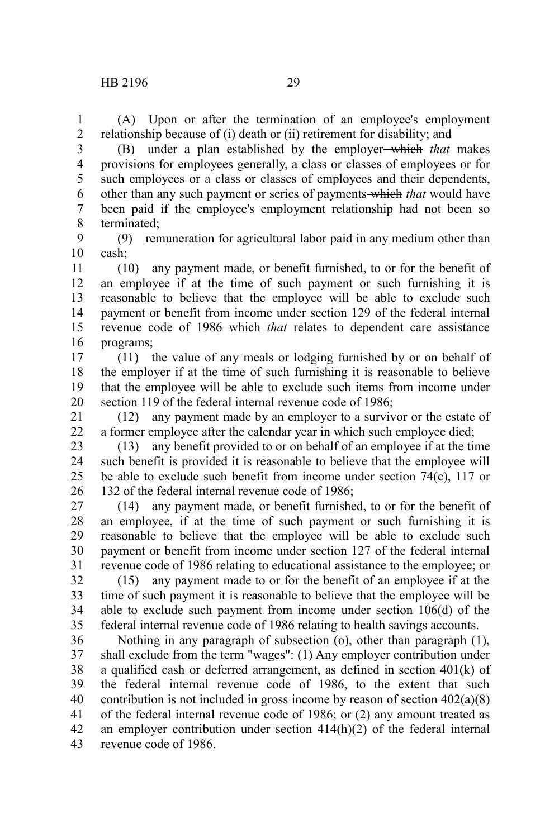(A) Upon or after the termination of an employee's employment relationship because of (i) death or (ii) retirement for disability; and 1 2

3

(B) under a plan established by the employer which *that* makes provisions for employees generally, a class or classes of employees or for such employees or a class or classes of employees and their dependents, other than any such payment or series of payments which *that* would have been paid if the employee's employment relationship had not been so terminated; 4 5 6 7 8

(9) remuneration for agricultural labor paid in any medium other than cash; 9 10

(10) any payment made, or benefit furnished, to or for the benefit of an employee if at the time of such payment or such furnishing it is reasonable to believe that the employee will be able to exclude such payment or benefit from income under section 129 of the federal internal revenue code of 1986–which *that* relates to dependent care assistance programs; 11 12 13 14 15 16

(11) the value of any meals or lodging furnished by or on behalf of the employer if at the time of such furnishing it is reasonable to believe that the employee will be able to exclude such items from income under section 119 of the federal internal revenue code of 1986; 17 18 19 20

(12) any payment made by an employer to a survivor or the estate of a former employee after the calendar year in which such employee died; 21 22

(13) any benefit provided to or on behalf of an employee if at the time such benefit is provided it is reasonable to believe that the employee will be able to exclude such benefit from income under section 74(c), 117 or 132 of the federal internal revenue code of 1986; 23 24 25 26

(14) any payment made, or benefit furnished, to or for the benefit of an employee, if at the time of such payment or such furnishing it is reasonable to believe that the employee will be able to exclude such payment or benefit from income under section 127 of the federal internal revenue code of 1986 relating to educational assistance to the employee; or 27 28 29 30 31

(15) any payment made to or for the benefit of an employee if at the time of such payment it is reasonable to believe that the employee will be able to exclude such payment from income under section 106(d) of the federal internal revenue code of 1986 relating to health savings accounts. 32 33 34 35

Nothing in any paragraph of subsection (o), other than paragraph (1), shall exclude from the term "wages": (1) Any employer contribution under a qualified cash or deferred arrangement, as defined in section 401(k) of the federal internal revenue code of 1986, to the extent that such contribution is not included in gross income by reason of section 402(a)(8) of the federal internal revenue code of 1986; or (2) any amount treated as an employer contribution under section 414(h)(2) of the federal internal revenue code of 1986. 36 37 38 39 40 41 42 43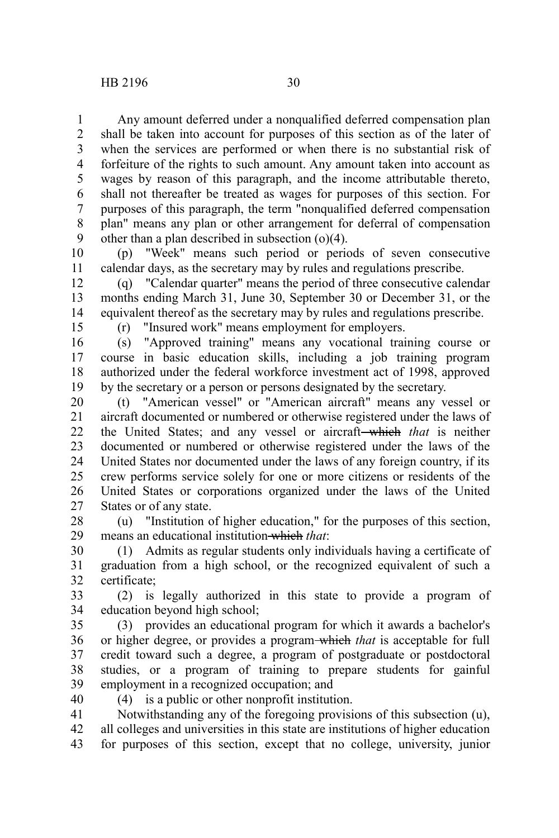Any amount deferred under a nonqualified deferred compensation plan shall be taken into account for purposes of this section as of the later of when the services are performed or when there is no substantial risk of forfeiture of the rights to such amount. Any amount taken into account as wages by reason of this paragraph, and the income attributable thereto, shall not thereafter be treated as wages for purposes of this section. For purposes of this paragraph, the term "nonqualified deferred compensation plan" means any plan or other arrangement for deferral of compensation other than a plan described in subsection  $(0)(4)$ . 1 2 3 4 5 6 7 8 9

(p) "Week" means such period or periods of seven consecutive calendar days, as the secretary may by rules and regulations prescribe. 10 11

(q) "Calendar quarter" means the period of three consecutive calendar months ending March 31, June 30, September 30 or December 31, or the equivalent thereof as the secretary may by rules and regulations prescribe. 12 13 14

15

(r) "Insured work" means employment for employers.

(s) "Approved training" means any vocational training course or course in basic education skills, including a job training program authorized under the federal workforce investment act of 1998, approved by the secretary or a person or persons designated by the secretary. 16 17 18 19

(t) "American vessel" or "American aircraft" means any vessel or aircraft documented or numbered or otherwise registered under the laws of the United States; and any vessel or aircraft—which *that* is neither documented or numbered or otherwise registered under the laws of the United States nor documented under the laws of any foreign country, if its crew performs service solely for one or more citizens or residents of the United States or corporations organized under the laws of the United States or of any state. 20 21 22 23 24 25 26 27

(u) "Institution of higher education," for the purposes of this section, means an educational institution which *that*: 28 29

(1) Admits as regular students only individuals having a certificate of graduation from a high school, or the recognized equivalent of such a certificate; 30 31 32

(2) is legally authorized in this state to provide a program of education beyond high school; 33 34

(3) provides an educational program for which it awards a bachelor's or higher degree, or provides a program which *that* is acceptable for full credit toward such a degree, a program of postgraduate or postdoctoral studies, or a program of training to prepare students for gainful employment in a recognized occupation; and 35 36 37 38 39

(4) is a public or other nonprofit institution. 40

Notwithstanding any of the foregoing provisions of this subsection (u), all colleges and universities in this state are institutions of higher education for purposes of this section, except that no college, university, junior 41 42 43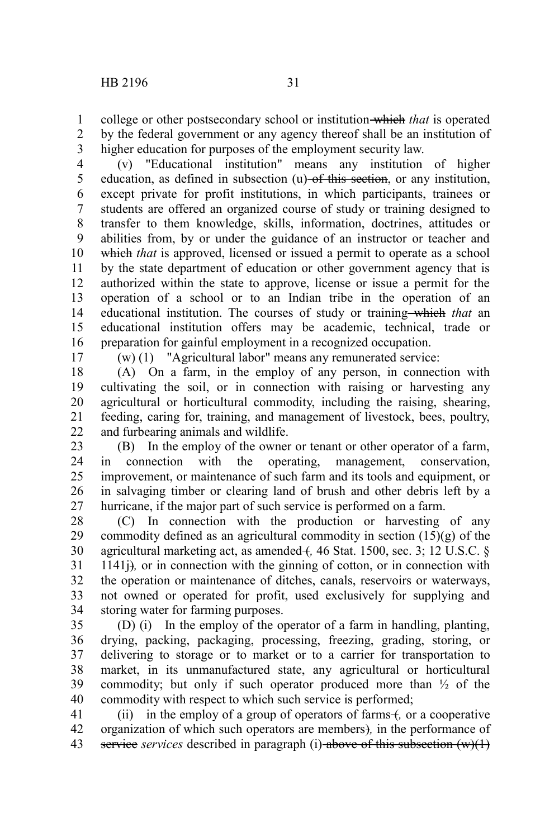college or other postsecondary school or institution which *that* is operated by the federal government or any agency thereof shall be an institution of higher education for purposes of the employment security law. 1 2 3

(v) "Educational institution" means any institution of higher education, as defined in subsection (u) of this section, or any institution, except private for profit institutions, in which participants, trainees or students are offered an organized course of study or training designed to transfer to them knowledge, skills, information, doctrines, attitudes or abilities from, by or under the guidance of an instructor or teacher and which *that* is approved, licensed or issued a permit to operate as a school by the state department of education or other government agency that is authorized within the state to approve, license or issue a permit for the operation of a school or to an Indian tribe in the operation of an educational institution. The courses of study or training which *that* an educational institution offers may be academic, technical, trade or preparation for gainful employment in a recognized occupation. 4 5 6 7 8 9 10 11 12 13 14 15 16

17

(w) (1) "Agricultural labor" means any remunerated service:

(A) On a farm, in the employ of any person, in connection with cultivating the soil, or in connection with raising or harvesting any agricultural or horticultural commodity, including the raising, shearing, feeding, caring for, training, and management of livestock, bees, poultry, and furbearing animals and wildlife. 18 19 20 21 22

(B) In the employ of the owner or tenant or other operator of a farm, in connection with the operating, management, conservation, improvement, or maintenance of such farm and its tools and equipment, or in salvaging timber or clearing land of brush and other debris left by a hurricane, if the major part of such service is performed on a farm. 23 24 25 26 27

(C) In connection with the production or harvesting of any commodity defined as an agricultural commodity in section (15)(g) of the agricultural marketing act, as amended +, 46 Stat. 1500, sec. 3; 12 U.S.C. § 1141j)*,* or in connection with the ginning of cotton, or in connection with the operation or maintenance of ditches, canals, reservoirs or waterways, not owned or operated for profit, used exclusively for supplying and storing water for farming purposes. 28 29 30 31 32 33 34

(D) (i) In the employ of the operator of a farm in handling, planting, drying, packing, packaging, processing, freezing, grading, storing, or delivering to storage or to market or to a carrier for transportation to market, in its unmanufactured state, any agricultural or horticultural commodity; but only if such operator produced more than  $\frac{1}{2}$  of the commodity with respect to which such service is performed; 35 36 37 38 39 40

(ii) in the employ of a group of operators of farms +, or a cooperative organization of which such operators are members)*,* in the performance of service *services* described in paragraph (i) above of this subsection (w)(1) 41 42 43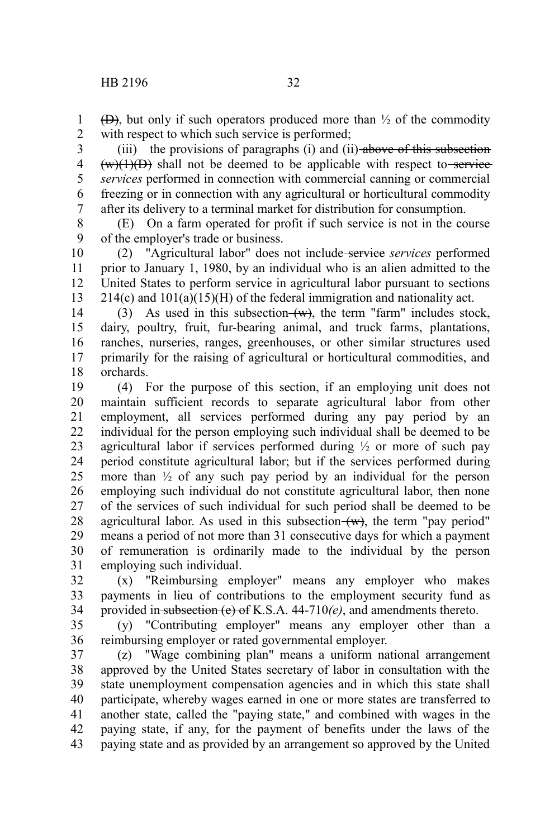$(\Theta)$ , but only if such operators produced more than  $\frac{1}{2}$  of the commodity with respect to which such service is performed; 1 2

(iii) the provisions of paragraphs (i) and (ii)-above of this subsection  $(w)(1)(D)$  shall not be deemed to be applicable with respect to service *services* performed in connection with commercial canning or commercial freezing or in connection with any agricultural or horticultural commodity after its delivery to a terminal market for distribution for consumption. 3 4 5 6 7

(E) On a farm operated for profit if such service is not in the course of the employer's trade or business. 8 9

(2) "Agricultural labor" does not include service *services* performed prior to January 1, 1980, by an individual who is an alien admitted to the United States to perform service in agricultural labor pursuant to sections  $214(c)$  and  $101(a)(15)(H)$  of the federal immigration and nationality act. 10 11 12 13

(3) As used in this subsection  $(w)$ , the term "farm" includes stock, dairy, poultry, fruit, fur-bearing animal, and truck farms, plantations, ranches, nurseries, ranges, greenhouses, or other similar structures used primarily for the raising of agricultural or horticultural commodities, and orchards. 14 15 16 17 18

(4) For the purpose of this section, if an employing unit does not maintain sufficient records to separate agricultural labor from other employment, all services performed during any pay period by an individual for the person employing such individual shall be deemed to be agricultural labor if services performed during  $\frac{1}{2}$  or more of such pay period constitute agricultural labor; but if the services performed during more than  $\frac{1}{2}$  of any such pay period by an individual for the person employing such individual do not constitute agricultural labor, then none of the services of such individual for such period shall be deemed to be agricultural labor. As used in this subsection  $(w)$ , the term "pay period" means a period of not more than 31 consecutive days for which a payment of remuneration is ordinarily made to the individual by the person employing such individual. 19 20 21 22 23 24 25 26 27 28 29 30 31

(x) "Reimbursing employer" means any employer who makes payments in lieu of contributions to the employment security fund as provided in subsection (e) of K.S.A. 44-710*(e)*, and amendments thereto. 32 33 34

(y) "Contributing employer" means any employer other than a reimbursing employer or rated governmental employer. 35 36

(z) "Wage combining plan" means a uniform national arrangement approved by the United States secretary of labor in consultation with the state unemployment compensation agencies and in which this state shall participate, whereby wages earned in one or more states are transferred to another state, called the "paying state," and combined with wages in the paying state, if any, for the payment of benefits under the laws of the paying state and as provided by an arrangement so approved by the United 37 38 39 40 41 42 43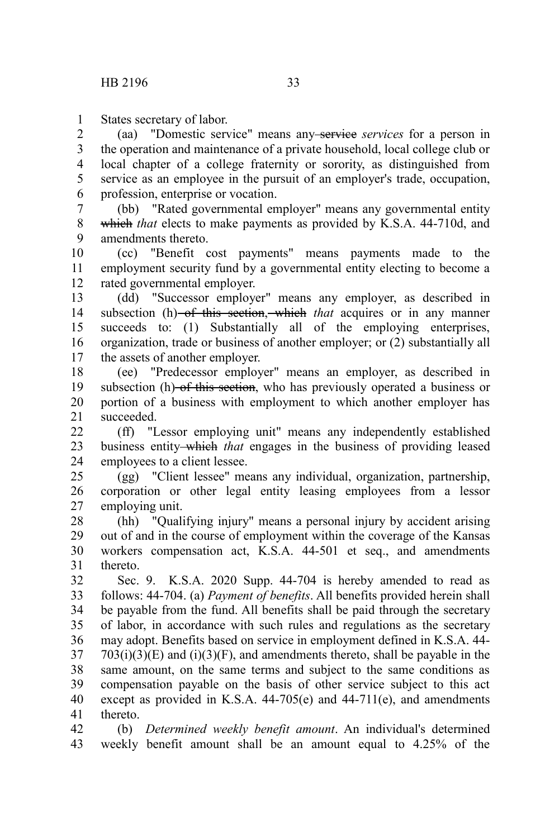States secretary of labor. 1

(aa) "Domestic service" means any service *services* for a person in the operation and maintenance of a private household, local college club or local chapter of a college fraternity or sorority, as distinguished from service as an employee in the pursuit of an employer's trade, occupation, profession, enterprise or vocation. 2 3 4 5 6

(bb) "Rated governmental employer" means any governmental entity which *that* elects to make payments as provided by K.S.A. 44-710d, and amendments thereto. 7 8 9

(cc) "Benefit cost payments" means payments made to the employment security fund by a governmental entity electing to become a rated governmental employer. 10 11 12

(dd) "Successor employer" means any employer, as described in subsection (h) of this section, which *that* acquires or in any manner succeeds to: (1) Substantially all of the employing enterprises, organization, trade or business of another employer; or (2) substantially all the assets of another employer. 13 14 15 16 17

(ee) "Predecessor employer" means an employer, as described in subsection (h) of this section, who has previously operated a business or portion of a business with employment to which another employer has succeeded. 18 19 20 21

(ff) "Lessor employing unit" means any independently established business entity which *that* engages in the business of providing leased employees to a client lessee.  $22$ 23 24

(gg) "Client lessee" means any individual, organization, partnership, corporation or other legal entity leasing employees from a lessor employing unit. 25 26 27

(hh) "Qualifying injury" means a personal injury by accident arising out of and in the course of employment within the coverage of the Kansas workers compensation act, K.S.A. 44-501 et seq., and amendments thereto. 28 29 30 31

Sec. 9. K.S.A. 2020 Supp. 44-704 is hereby amended to read as follows: 44-704. (a) *Payment of benefits*. All benefits provided herein shall be payable from the fund. All benefits shall be paid through the secretary of labor, in accordance with such rules and regulations as the secretary may adopt. Benefits based on service in employment defined in K.S.A. 44-  $703(i)(3)(E)$  and  $(i)(3)(F)$ , and amendments thereto, shall be payable in the same amount, on the same terms and subject to the same conditions as compensation payable on the basis of other service subject to this act except as provided in K.S.A. 44-705(e) and 44-711(e), and amendments thereto. 32 33 34 35 36 37 38 39 40 41

(b) *Determined weekly benefit amount*. An individual's determined weekly benefit amount shall be an amount equal to 4.25% of the 42 43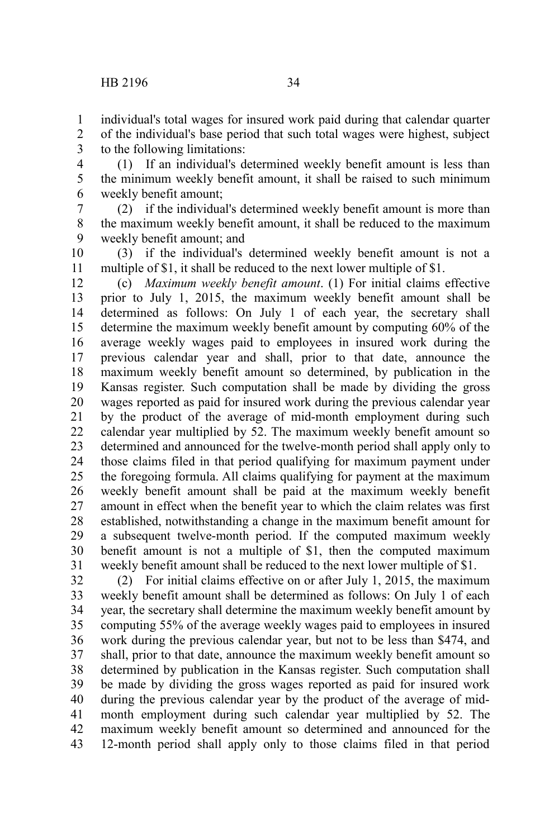individual's total wages for insured work paid during that calendar quarter of the individual's base period that such total wages were highest, subject to the following limitations: 1 2 3

(1) If an individual's determined weekly benefit amount is less than the minimum weekly benefit amount, it shall be raised to such minimum weekly benefit amount; 4 5 6

(2) if the individual's determined weekly benefit amount is more than the maximum weekly benefit amount, it shall be reduced to the maximum weekly benefit amount; and 7 8 9

(3) if the individual's determined weekly benefit amount is not a multiple of \$1, it shall be reduced to the next lower multiple of \$1. 10 11

(c) *Maximum weekly benefit amount*. (1) For initial claims effective prior to July 1, 2015, the maximum weekly benefit amount shall be determined as follows: On July 1 of each year, the secretary shall determine the maximum weekly benefit amount by computing 60% of the average weekly wages paid to employees in insured work during the previous calendar year and shall, prior to that date, announce the maximum weekly benefit amount so determined, by publication in the Kansas register. Such computation shall be made by dividing the gross wages reported as paid for insured work during the previous calendar year by the product of the average of mid-month employment during such calendar year multiplied by 52. The maximum weekly benefit amount so determined and announced for the twelve-month period shall apply only to those claims filed in that period qualifying for maximum payment under the foregoing formula. All claims qualifying for payment at the maximum weekly benefit amount shall be paid at the maximum weekly benefit amount in effect when the benefit year to which the claim relates was first established, notwithstanding a change in the maximum benefit amount for a subsequent twelve-month period. If the computed maximum weekly benefit amount is not a multiple of \$1, then the computed maximum weekly benefit amount shall be reduced to the next lower multiple of \$1. 12 13 14 15 16 17 18 19 20 21 22 23 24 25 26 27 28 29 30 31

(2) For initial claims effective on or after July 1, 2015, the maximum weekly benefit amount shall be determined as follows: On July 1 of each year, the secretary shall determine the maximum weekly benefit amount by computing 55% of the average weekly wages paid to employees in insured work during the previous calendar year, but not to be less than \$474, and shall, prior to that date, announce the maximum weekly benefit amount so determined by publication in the Kansas register. Such computation shall be made by dividing the gross wages reported as paid for insured work during the previous calendar year by the product of the average of midmonth employment during such calendar year multiplied by 52. The maximum weekly benefit amount so determined and announced for the 12-month period shall apply only to those claims filed in that period 32 33 34 35 36 37 38 39 40 41 42 43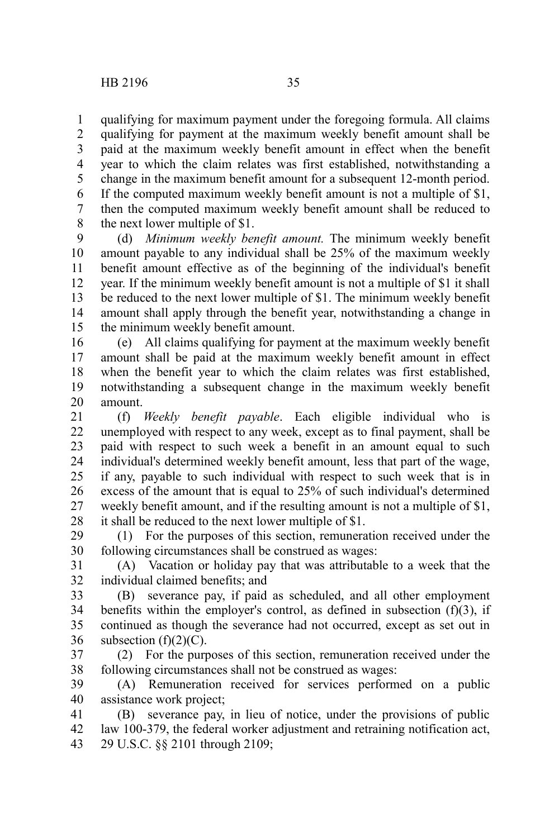qualifying for maximum payment under the foregoing formula. All claims qualifying for payment at the maximum weekly benefit amount shall be paid at the maximum weekly benefit amount in effect when the benefit year to which the claim relates was first established, notwithstanding a change in the maximum benefit amount for a subsequent 12-month period. If the computed maximum weekly benefit amount is not a multiple of \$1, then the computed maximum weekly benefit amount shall be reduced to the next lower multiple of \$1. 1 2 3 4 5 6 7 8

(d) *Minimum weekly benefit amount.* The minimum weekly benefit amount payable to any individual shall be 25% of the maximum weekly benefit amount effective as of the beginning of the individual's benefit year. If the minimum weekly benefit amount is not a multiple of \$1 it shall be reduced to the next lower multiple of \$1. The minimum weekly benefit amount shall apply through the benefit year, notwithstanding a change in the minimum weekly benefit amount. 9 10 11 12 13 14 15

(e) All claims qualifying for payment at the maximum weekly benefit amount shall be paid at the maximum weekly benefit amount in effect when the benefit year to which the claim relates was first established, notwithstanding a subsequent change in the maximum weekly benefit amount. 16 17 18 19 20

(f) *Weekly benefit payable*. Each eligible individual who is unemployed with respect to any week, except as to final payment, shall be paid with respect to such week a benefit in an amount equal to such individual's determined weekly benefit amount, less that part of the wage, if any, payable to such individual with respect to such week that is in excess of the amount that is equal to 25% of such individual's determined weekly benefit amount, and if the resulting amount is not a multiple of \$1, it shall be reduced to the next lower multiple of \$1. 21 22 23 24 25 26 27 28

(1) For the purposes of this section, remuneration received under the following circumstances shall be construed as wages: 29 30

(A) Vacation or holiday pay that was attributable to a week that the individual claimed benefits; and 31 32

(B) severance pay, if paid as scheduled, and all other employment benefits within the employer's control, as defined in subsection  $(f)(3)$ , if continued as though the severance had not occurred, except as set out in subsection  $(f)(2)(C)$ . 33 34 35 36

(2) For the purposes of this section, remuneration received under the following circumstances shall not be construed as wages: 37 38

(A) Remuneration received for services performed on a public assistance work project; 39 40

(B) severance pay, in lieu of notice, under the provisions of public law 100-379, the federal worker adjustment and retraining notification act, 29 U.S.C. §§ 2101 through 2109; 41 42 43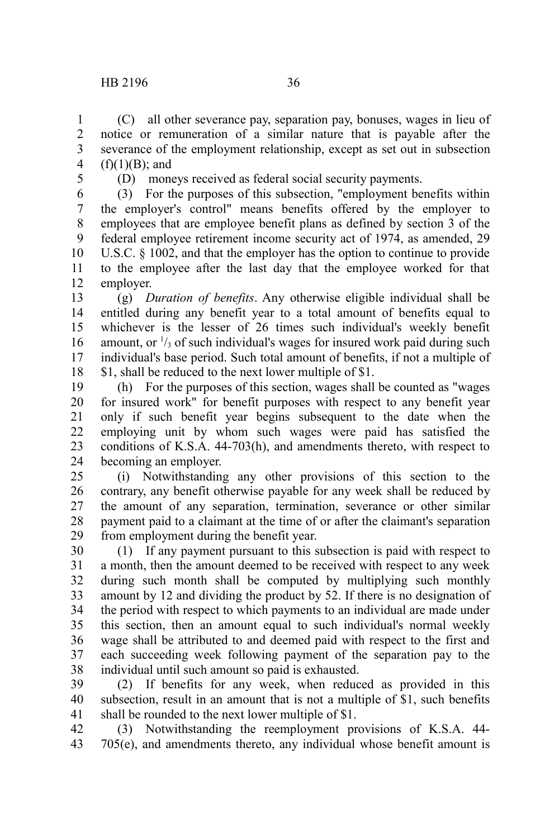(C) all other severance pay, separation pay, bonuses, wages in lieu of notice or remuneration of a similar nature that is payable after the severance of the employment relationship, except as set out in subsection  $(f)(1)(B)$ ; and 1 2 3 4

5

(D) moneys received as federal social security payments.

(3) For the purposes of this subsection, "employment benefits within the employer's control" means benefits offered by the employer to employees that are employee benefit plans as defined by section 3 of the federal employee retirement income security act of 1974, as amended, 29 U.S.C. § 1002, and that the employer has the option to continue to provide to the employee after the last day that the employee worked for that employer. 6 7 8 9 10 11 12

(g) *Duration of benefits*. Any otherwise eligible individual shall be entitled during any benefit year to a total amount of benefits equal to whichever is the lesser of 26 times such individual's weekly benefit amount, or  $\frac{1}{3}$  of such individual's wages for insured work paid during such individual's base period. Such total amount of benefits, if not a multiple of \$1, shall be reduced to the next lower multiple of \$1. 13 14 15 16 17 18

(h) For the purposes of this section, wages shall be counted as "wages for insured work" for benefit purposes with respect to any benefit year only if such benefit year begins subsequent to the date when the employing unit by whom such wages were paid has satisfied the conditions of K.S.A. 44-703(h), and amendments thereto, with respect to becoming an employer. 19 20 21 22 23 24

(i) Notwithstanding any other provisions of this section to the contrary, any benefit otherwise payable for any week shall be reduced by the amount of any separation, termination, severance or other similar payment paid to a claimant at the time of or after the claimant's separation from employment during the benefit year. 25 26 27 28 29

(1) If any payment pursuant to this subsection is paid with respect to a month, then the amount deemed to be received with respect to any week during such month shall be computed by multiplying such monthly amount by 12 and dividing the product by 52. If there is no designation of the period with respect to which payments to an individual are made under this section, then an amount equal to such individual's normal weekly wage shall be attributed to and deemed paid with respect to the first and each succeeding week following payment of the separation pay to the individual until such amount so paid is exhausted. 30 31 32 33 34 35 36 37 38

(2) If benefits for any week, when reduced as provided in this subsection, result in an amount that is not a multiple of \$1, such benefits shall be rounded to the next lower multiple of \$1. 39 40 41

(3) Notwithstanding the reemployment provisions of K.S.A. 44- 705(e), and amendments thereto, any individual whose benefit amount is 42 43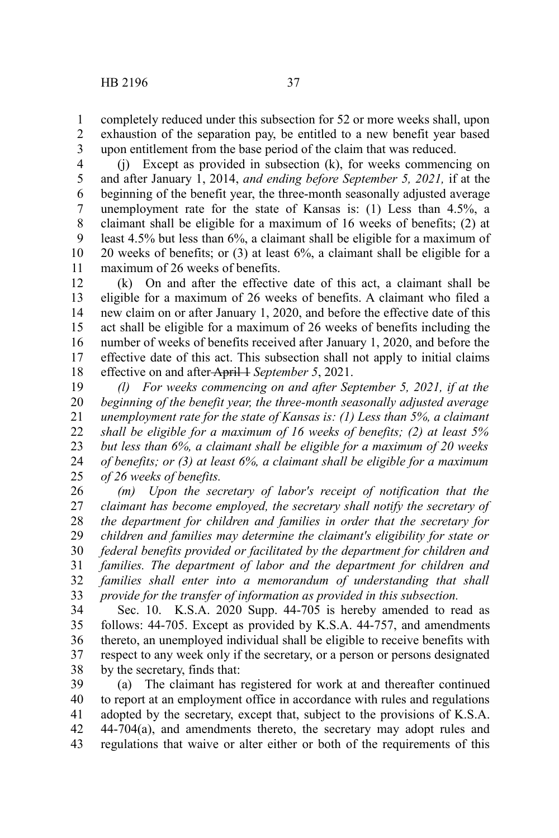completely reduced under this subsection for 52 or more weeks shall, upon exhaustion of the separation pay, be entitled to a new benefit year based upon entitlement from the base period of the claim that was reduced. 1 2 3

(j) Except as provided in subsection (k), for weeks commencing on and after January 1, 2014, *and ending before September 5, 2021,* if at the beginning of the benefit year, the three-month seasonally adjusted average unemployment rate for the state of Kansas is: (1) Less than 4.5%, a claimant shall be eligible for a maximum of 16 weeks of benefits; (2) at least 4.5% but less than 6%, a claimant shall be eligible for a maximum of 20 weeks of benefits; or (3) at least 6%, a claimant shall be eligible for a maximum of 26 weeks of benefits. 4 5 6 7 8 9 10 11

(k) On and after the effective date of this act, a claimant shall be eligible for a maximum of 26 weeks of benefits. A claimant who filed a new claim on or after January 1, 2020, and before the effective date of this act shall be eligible for a maximum of 26 weeks of benefits including the number of weeks of benefits received after January 1, 2020, and before the effective date of this act. This subsection shall not apply to initial claims effective on and after-April 1*September 5*, 2021. 12 13 14 15 16 17 18

*(l) For weeks commencing on and after September 5, 2021, if at the beginning of the benefit year, the three-month seasonally adjusted average unemployment rate for the state of Kansas is: (1) Less than 5%, a claimant shall be eligible for a maximum of 16 weeks of benefits; (2) at least 5% but less than 6%, a claimant shall be eligible for a maximum of 20 weeks of benefits; or (3) at least 6%, a claimant shall be eligible for a maximum of 26 weeks of benefits.* 19 20 21 22 23 24 25

*(m) Upon the secretary of labor's receipt of notification that the claimant has become employed, the secretary shall notify the secretary of the department for children and families in order that the secretary for children and families may determine the claimant's eligibility for state or federal benefits provided or facilitated by the department for children and families. The department of labor and the department for children and families shall enter into a memorandum of understanding that shall provide for the transfer of information as provided in this subsection.* 26 27 28 29 30 31 32 33

Sec. 10. K.S.A. 2020 Supp. 44-705 is hereby amended to read as follows: 44-705. Except as provided by K.S.A. 44-757, and amendments thereto, an unemployed individual shall be eligible to receive benefits with respect to any week only if the secretary, or a person or persons designated by the secretary, finds that: 34 35 36 37 38

(a) The claimant has registered for work at and thereafter continued to report at an employment office in accordance with rules and regulations adopted by the secretary, except that, subject to the provisions of K.S.A. 44-704(a), and amendments thereto, the secretary may adopt rules and regulations that waive or alter either or both of the requirements of this 39 40 41 42 43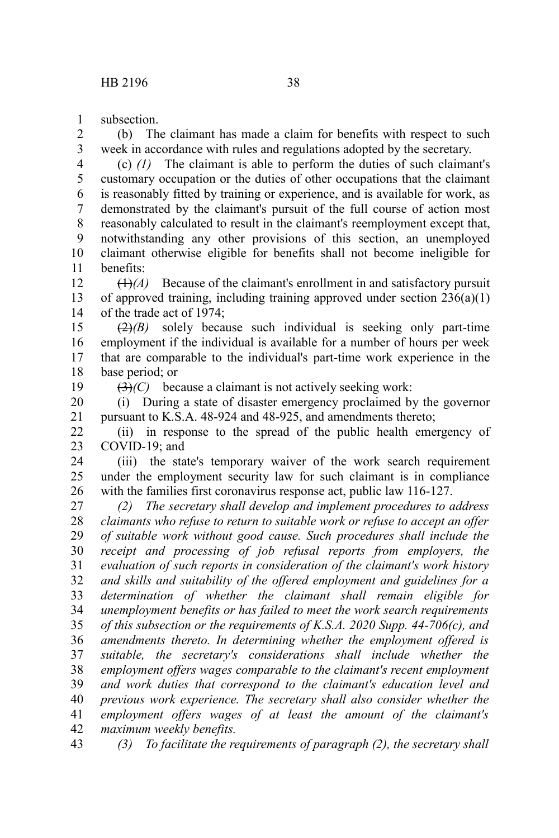subsection. 1

(b) The claimant has made a claim for benefits with respect to such week in accordance with rules and regulations adopted by the secretary. 2 3

(c) *(1)* The claimant is able to perform the duties of such claimant's customary occupation or the duties of other occupations that the claimant is reasonably fitted by training or experience, and is available for work, as demonstrated by the claimant's pursuit of the full course of action most reasonably calculated to result in the claimant's reemployment except that, notwithstanding any other provisions of this section, an unemployed claimant otherwise eligible for benefits shall not become ineligible for benefits: 4 5 6 7 8 9 10 11

 $(1)$ <sup>(A)</sup> Because of the claimant's enrollment in and satisfactory pursuit of approved training, including training approved under section 236(a)(1) of the trade act of 1974; 12 13 14

(2)*(B)* solely because such individual is seeking only part-time employment if the individual is available for a number of hours per week that are comparable to the individual's part-time work experience in the base period; or 15 16 17 18

19

(3)*(C)* because a claimant is not actively seeking work:

(i) During a state of disaster emergency proclaimed by the governor pursuant to K.S.A. 48-924 and 48-925, and amendments thereto; 20 21

(ii) in response to the spread of the public health emergency of COVID-19; and 22 23

(iii) the state's temporary waiver of the work search requirement under the employment security law for such claimant is in compliance with the families first coronavirus response act, public law 116-127. 24 25 26

*(2) The secretary shall develop and implement procedures to address claimants who refuse to return to suitable work or refuse to accept an offer of suitable work without good cause. Such procedures shall include the receipt and processing of job refusal reports from employers, the evaluation of such reports in consideration of the claimant's work history and skills and suitability of the offered employment and guidelines for a determination of whether the claimant shall remain eligible for unemployment benefits or has failed to meet the work search requirements of this subsection or the requirements of K.S.A. 2020 Supp. 44-706(c), and amendments thereto. In determining whether the employment offered is suitable, the secretary's considerations shall include whether the employment offers wages comparable to the claimant's recent employment and work duties that correspond to the claimant's education level and previous work experience. The secretary shall also consider whether the employment offers wages of at least the amount of the claimant's maximum weekly benefits.* 27 28 29 30 31 32 33 34 35 36 37 38 39 40 41 42

*(3) To facilitate the requirements of paragraph (2), the secretary shall* 43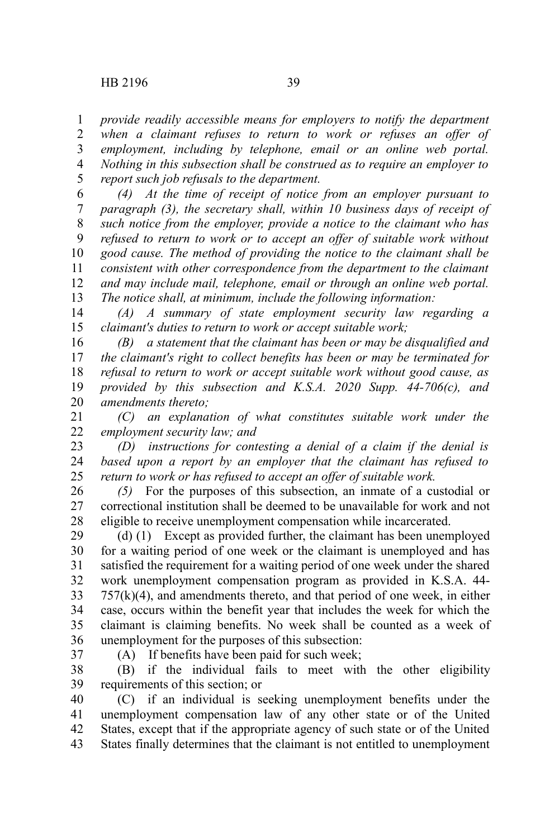*provide readily accessible means for employers to notify the department when a claimant refuses to return to work or refuses an offer of employment, including by telephone, email or an online web portal. Nothing in this subsection shall be construed as to require an employer to report such job refusals to the department.* 1 2 3 4 5

*(4) At the time of receipt of notice from an employer pursuant to paragraph (3), the secretary shall, within 10 business days of receipt of such notice from the employer, provide a notice to the claimant who has refused to return to work or to accept an offer of suitable work without good cause. The method of providing the notice to the claimant shall be consistent with other correspondence from the department to the claimant and may include mail, telephone, email or through an online web portal. The notice shall, at minimum, include the following information:* 6 7 8 9 10 11 12 13

*(A) A summary of state employment security law regarding a claimant's duties to return to work or accept suitable work;* 14 15

*(B) a statement that the claimant has been or may be disqualified and the claimant's right to collect benefits has been or may be terminated for refusal to return to work or accept suitable work without good cause, as provided by this subsection and K.S.A. 2020 Supp. 44-706(c), and amendments thereto;* 16 17 18 19 20

*(C) an explanation of what constitutes suitable work under the employment security law; and* 21 22

*(D) instructions for contesting a denial of a claim if the denial is based upon a report by an employer that the claimant has refused to return to work or has refused to accept an offer of suitable work.* 23 24 25

*(5)* For the purposes of this subsection, an inmate of a custodial or correctional institution shall be deemed to be unavailable for work and not eligible to receive unemployment compensation while incarcerated. 26 27 28

(d) (1) Except as provided further, the claimant has been unemployed for a waiting period of one week or the claimant is unemployed and has satisfied the requirement for a waiting period of one week under the shared work unemployment compensation program as provided in K.S.A. 44-  $757(k)(4)$ , and amendments thereto, and that period of one week, in either case, occurs within the benefit year that includes the week for which the claimant is claiming benefits. No week shall be counted as a week of unemployment for the purposes of this subsection: 29 30 31 32 33 34 35 36

37

(A) If benefits have been paid for such week;

(B) if the individual fails to meet with the other eligibility requirements of this section; or 38 39

(C) if an individual is seeking unemployment benefits under the unemployment compensation law of any other state or of the United States, except that if the appropriate agency of such state or of the United States finally determines that the claimant is not entitled to unemployment 40 41 42 43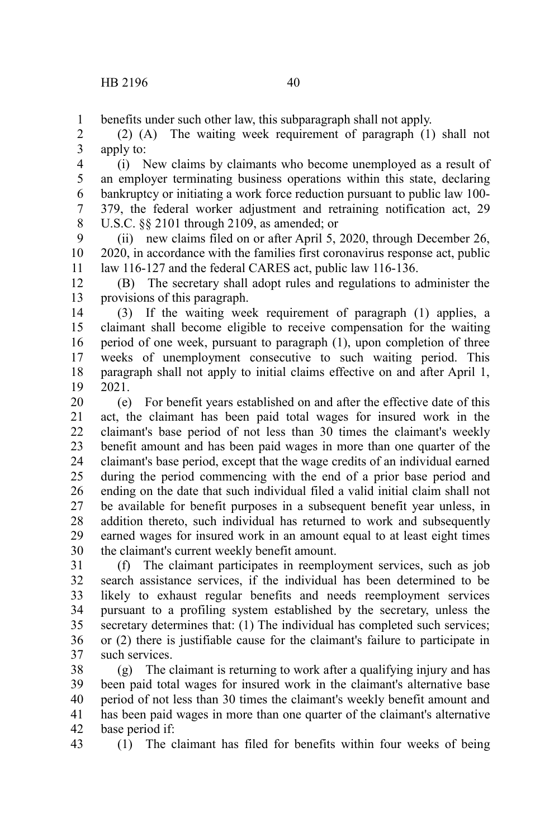benefits under such other law, this subparagraph shall not apply. 1

(2) (A) The waiting week requirement of paragraph (1) shall not apply to: 2 3

(i) New claims by claimants who become unemployed as a result of an employer terminating business operations within this state, declaring bankruptcy or initiating a work force reduction pursuant to public law 100- 379, the federal worker adjustment and retraining notification act, 29 U.S.C. §§ 2101 through 2109, as amended; or 4 5 6 7 8

(ii) new claims filed on or after April 5, 2020, through December 26, 2020, in accordance with the families first coronavirus response act, public law 116-127 and the federal CARES act, public law 116-136. 9 10 11

(B) The secretary shall adopt rules and regulations to administer the provisions of this paragraph. 12 13

(3) If the waiting week requirement of paragraph (1) applies, a claimant shall become eligible to receive compensation for the waiting period of one week, pursuant to paragraph (1), upon completion of three weeks of unemployment consecutive to such waiting period. This paragraph shall not apply to initial claims effective on and after April 1, 2021. 14 15 16 17 18 19

(e) For benefit years established on and after the effective date of this act, the claimant has been paid total wages for insured work in the claimant's base period of not less than 30 times the claimant's weekly benefit amount and has been paid wages in more than one quarter of the claimant's base period, except that the wage credits of an individual earned during the period commencing with the end of a prior base period and ending on the date that such individual filed a valid initial claim shall not be available for benefit purposes in a subsequent benefit year unless, in addition thereto, such individual has returned to work and subsequently earned wages for insured work in an amount equal to at least eight times the claimant's current weekly benefit amount. 20 21 22 23 24 25 26 27 28 29 30

(f) The claimant participates in reemployment services, such as job search assistance services, if the individual has been determined to be likely to exhaust regular benefits and needs reemployment services pursuant to a profiling system established by the secretary, unless the secretary determines that: (1) The individual has completed such services; or (2) there is justifiable cause for the claimant's failure to participate in such services. 31 32 33 34 35 36 37

(g) The claimant is returning to work after a qualifying injury and has been paid total wages for insured work in the claimant's alternative base period of not less than 30 times the claimant's weekly benefit amount and has been paid wages in more than one quarter of the claimant's alternative base period if: 38 39 40 41 42

43

(1) The claimant has filed for benefits within four weeks of being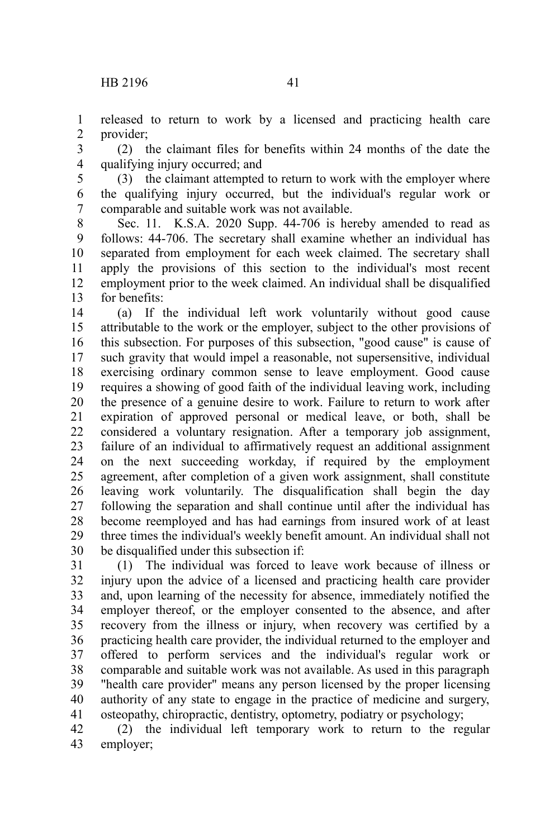released to return to work by a licensed and practicing health care provider; 1 2

(2) the claimant files for benefits within 24 months of the date the qualifying injury occurred; and 3 4

(3) the claimant attempted to return to work with the employer where the qualifying injury occurred, but the individual's regular work or comparable and suitable work was not available. 5 6 7

Sec. 11. K.S.A. 2020 Supp. 44-706 is hereby amended to read as follows: 44-706. The secretary shall examine whether an individual has separated from employment for each week claimed. The secretary shall apply the provisions of this section to the individual's most recent employment prior to the week claimed. An individual shall be disqualified for benefits: 8 9 10 11 12 13

(a) If the individual left work voluntarily without good cause attributable to the work or the employer, subject to the other provisions of this subsection. For purposes of this subsection, "good cause" is cause of such gravity that would impel a reasonable, not supersensitive, individual exercising ordinary common sense to leave employment. Good cause requires a showing of good faith of the individual leaving work, including the presence of a genuine desire to work. Failure to return to work after expiration of approved personal or medical leave, or both, shall be considered a voluntary resignation. After a temporary job assignment, failure of an individual to affirmatively request an additional assignment on the next succeeding workday, if required by the employment agreement, after completion of a given work assignment, shall constitute leaving work voluntarily. The disqualification shall begin the day following the separation and shall continue until after the individual has become reemployed and has had earnings from insured work of at least three times the individual's weekly benefit amount. An individual shall not be disqualified under this subsection if: 14 15 16 17 18 19 20 21 22 23 24 25 26 27 28 29 30

(1) The individual was forced to leave work because of illness or injury upon the advice of a licensed and practicing health care provider and, upon learning of the necessity for absence, immediately notified the employer thereof, or the employer consented to the absence, and after recovery from the illness or injury, when recovery was certified by a practicing health care provider, the individual returned to the employer and offered to perform services and the individual's regular work or comparable and suitable work was not available. As used in this paragraph "health care provider" means any person licensed by the proper licensing authority of any state to engage in the practice of medicine and surgery, osteopathy, chiropractic, dentistry, optometry, podiatry or psychology; 31 32 33 34 35 36 37 38 39 40 41

(2) the individual left temporary work to return to the regular employer; 42 43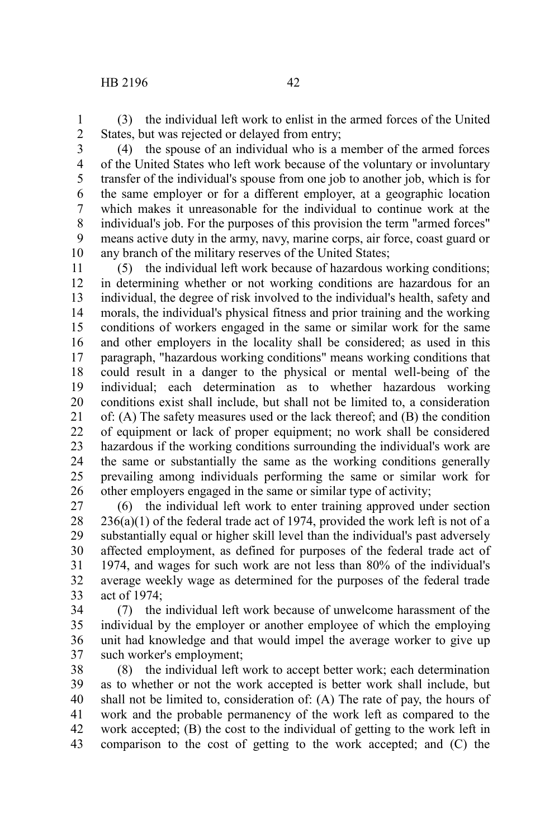(3) the individual left work to enlist in the armed forces of the United States, but was rejected or delayed from entry; 1 2

3

(4) the spouse of an individual who is a member of the armed forces of the United States who left work because of the voluntary or involuntary transfer of the individual's spouse from one job to another job, which is for the same employer or for a different employer, at a geographic location which makes it unreasonable for the individual to continue work at the individual's job. For the purposes of this provision the term "armed forces" means active duty in the army, navy, marine corps, air force, coast guard or any branch of the military reserves of the United States; 4 5 6 7 8 9 10

(5) the individual left work because of hazardous working conditions; in determining whether or not working conditions are hazardous for an individual, the degree of risk involved to the individual's health, safety and morals, the individual's physical fitness and prior training and the working conditions of workers engaged in the same or similar work for the same and other employers in the locality shall be considered; as used in this paragraph, "hazardous working conditions" means working conditions that could result in a danger to the physical or mental well-being of the individual; each determination as to whether hazardous working conditions exist shall include, but shall not be limited to, a consideration of: (A) The safety measures used or the lack thereof; and (B) the condition of equipment or lack of proper equipment; no work shall be considered hazardous if the working conditions surrounding the individual's work are the same or substantially the same as the working conditions generally prevailing among individuals performing the same or similar work for other employers engaged in the same or similar type of activity; 11 12 13 14 15 16 17 18 19 20 21 22 23 24 25 26

(6) the individual left work to enter training approved under section  $236(a)(1)$  of the federal trade act of 1974, provided the work left is not of a substantially equal or higher skill level than the individual's past adversely affected employment, as defined for purposes of the federal trade act of 1974, and wages for such work are not less than 80% of the individual's average weekly wage as determined for the purposes of the federal trade act of 1974; 27 28 29 30 31 32 33

(7) the individual left work because of unwelcome harassment of the individual by the employer or another employee of which the employing unit had knowledge and that would impel the average worker to give up such worker's employment; 34 35 36 37

(8) the individual left work to accept better work; each determination as to whether or not the work accepted is better work shall include, but shall not be limited to, consideration of: (A) The rate of pay, the hours of work and the probable permanency of the work left as compared to the work accepted; (B) the cost to the individual of getting to the work left in comparison to the cost of getting to the work accepted; and (C) the 38 39 40 41 42 43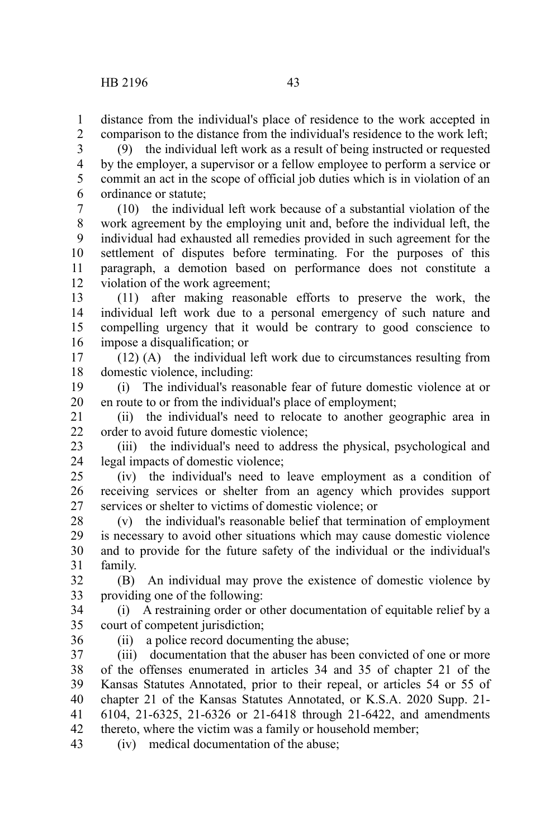1

comparison to the distance from the individual's residence to the work left; 2

(9) the individual left work as a result of being instructed or requested by the employer, a supervisor or a fellow employee to perform a service or commit an act in the scope of official job duties which is in violation of an ordinance or statute; 3 4 5 6

(10) the individual left work because of a substantial violation of the work agreement by the employing unit and, before the individual left, the individual had exhausted all remedies provided in such agreement for the settlement of disputes before terminating. For the purposes of this paragraph, a demotion based on performance does not constitute a violation of the work agreement; 7 8 9 10 11 12

(11) after making reasonable efforts to preserve the work, the individual left work due to a personal emergency of such nature and compelling urgency that it would be contrary to good conscience to impose a disqualification; or 13 14 15 16

(12) (A) the individual left work due to circumstances resulting from domestic violence, including: 17 18

(i) The individual's reasonable fear of future domestic violence at or en route to or from the individual's place of employment; 19 20

(ii) the individual's need to relocate to another geographic area in order to avoid future domestic violence; 21 22

(iii) the individual's need to address the physical, psychological and legal impacts of domestic violence; 23 24

(iv) the individual's need to leave employment as a condition of receiving services or shelter from an agency which provides support services or shelter to victims of domestic violence; or 25 26 27

(v) the individual's reasonable belief that termination of employment is necessary to avoid other situations which may cause domestic violence and to provide for the future safety of the individual or the individual's family. 28 29 30 31

(B) An individual may prove the existence of domestic violence by providing one of the following: 32 33

(i) A restraining order or other documentation of equitable relief by a court of competent jurisdiction; 34 35

36

(ii) a police record documenting the abuse;

(iii) documentation that the abuser has been convicted of one or more of the offenses enumerated in articles 34 and 35 of chapter 21 of the Kansas Statutes Annotated, prior to their repeal, or articles 54 or 55 of chapter 21 of the Kansas Statutes Annotated, or K.S.A. 2020 Supp. 21- 6104, 21-6325, 21-6326 or 21-6418 through 21-6422, and amendments thereto, where the victim was a family or household member; 37 38 39 40 41 42

(iv) medical documentation of the abuse; 43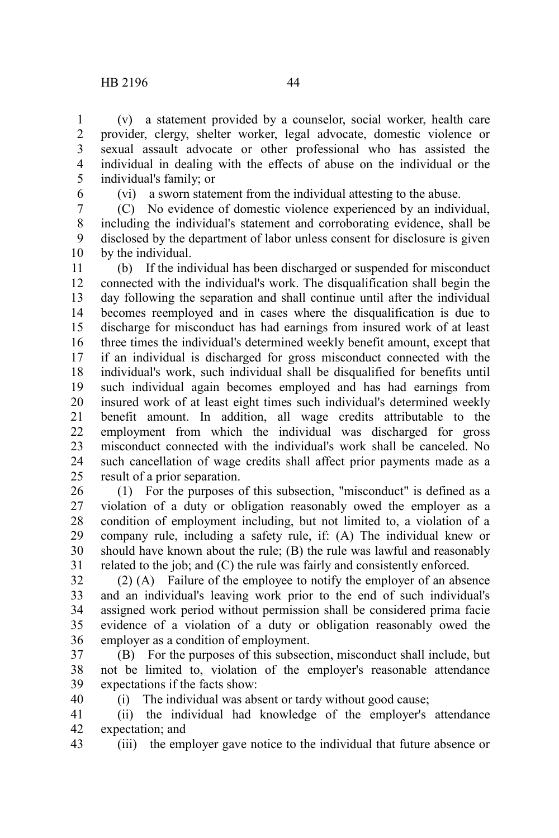(v) a statement provided by a counselor, social worker, health care provider, clergy, shelter worker, legal advocate, domestic violence or sexual assault advocate or other professional who has assisted the individual in dealing with the effects of abuse on the individual or the individual's family; or 1 2 3 4 5

6

(vi) a sworn statement from the individual attesting to the abuse.

(C) No evidence of domestic violence experienced by an individual, including the individual's statement and corroborating evidence, shall be disclosed by the department of labor unless consent for disclosure is given by the individual. 7 8 9 10

(b) If the individual has been discharged or suspended for misconduct connected with the individual's work. The disqualification shall begin the day following the separation and shall continue until after the individual becomes reemployed and in cases where the disqualification is due to discharge for misconduct has had earnings from insured work of at least three times the individual's determined weekly benefit amount, except that if an individual is discharged for gross misconduct connected with the individual's work, such individual shall be disqualified for benefits until such individual again becomes employed and has had earnings from insured work of at least eight times such individual's determined weekly benefit amount. In addition, all wage credits attributable to the employment from which the individual was discharged for gross misconduct connected with the individual's work shall be canceled. No such cancellation of wage credits shall affect prior payments made as a result of a prior separation. 11 12 13 14 15 16 17 18 19 20 21 22 23 24 25

(1) For the purposes of this subsection, "misconduct" is defined as a violation of a duty or obligation reasonably owed the employer as a condition of employment including, but not limited to, a violation of a company rule, including a safety rule, if: (A) The individual knew or should have known about the rule; (B) the rule was lawful and reasonably related to the job; and (C) the rule was fairly and consistently enforced. 26 27 28 29 30 31

(2) (A) Failure of the employee to notify the employer of an absence and an individual's leaving work prior to the end of such individual's assigned work period without permission shall be considered prima facie evidence of a violation of a duty or obligation reasonably owed the employer as a condition of employment. 32 33 34 35 36

(B) For the purposes of this subsection, misconduct shall include, but not be limited to, violation of the employer's reasonable attendance expectations if the facts show: 37 38 39 40

(i) The individual was absent or tardy without good cause;

(ii) the individual had knowledge of the employer's attendance expectation; and 41 42

(iii) the employer gave notice to the individual that future absence or 43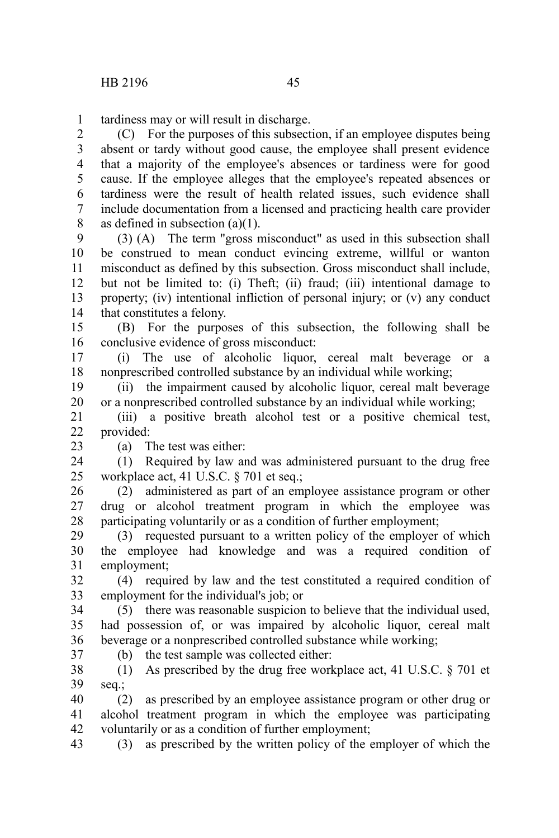tardiness may or will result in discharge. 1

(C) For the purposes of this subsection, if an employee disputes being absent or tardy without good cause, the employee shall present evidence that a majority of the employee's absences or tardiness were for good cause. If the employee alleges that the employee's repeated absences or tardiness were the result of health related issues, such evidence shall include documentation from a licensed and practicing health care provider as defined in subsection (a)(1). 2 3 4 5 6 7 8

(3) (A) The term "gross misconduct" as used in this subsection shall be construed to mean conduct evincing extreme, willful or wanton misconduct as defined by this subsection. Gross misconduct shall include, but not be limited to: (i) Theft; (ii) fraud; (iii) intentional damage to property; (iv) intentional infliction of personal injury; or (v) any conduct that constitutes a felony. 9 10 11 12 13 14

(B) For the purposes of this subsection, the following shall be conclusive evidence of gross misconduct: 15 16

(i) The use of alcoholic liquor, cereal malt beverage or a nonprescribed controlled substance by an individual while working; 17 18

(ii) the impairment caused by alcoholic liquor, cereal malt beverage or a nonprescribed controlled substance by an individual while working; 19 20

(iii) a positive breath alcohol test or a positive chemical test, provided: 21 22

23

(a) The test was either:

(1) Required by law and was administered pursuant to the drug free workplace act, 41 U.S.C. § 701 et seq.; 24 25

(2) administered as part of an employee assistance program or other drug or alcohol treatment program in which the employee was participating voluntarily or as a condition of further employment; 26 27 28

(3) requested pursuant to a written policy of the employer of which the employee had knowledge and was a required condition of employment; 29 30 31

(4) required by law and the test constituted a required condition of employment for the individual's job; or 32 33

(5) there was reasonable suspicion to believe that the individual used, had possession of, or was impaired by alcoholic liquor, cereal malt beverage or a nonprescribed controlled substance while working; 34 35 36 37

(b) the test sample was collected either:

(1) As prescribed by the drug free workplace act, 41 U.S.C. § 701 et seq.; 38 39

(2) as prescribed by an employee assistance program or other drug or alcohol treatment program in which the employee was participating voluntarily or as a condition of further employment; 40 41 42

(3) as prescribed by the written policy of the employer of which the 43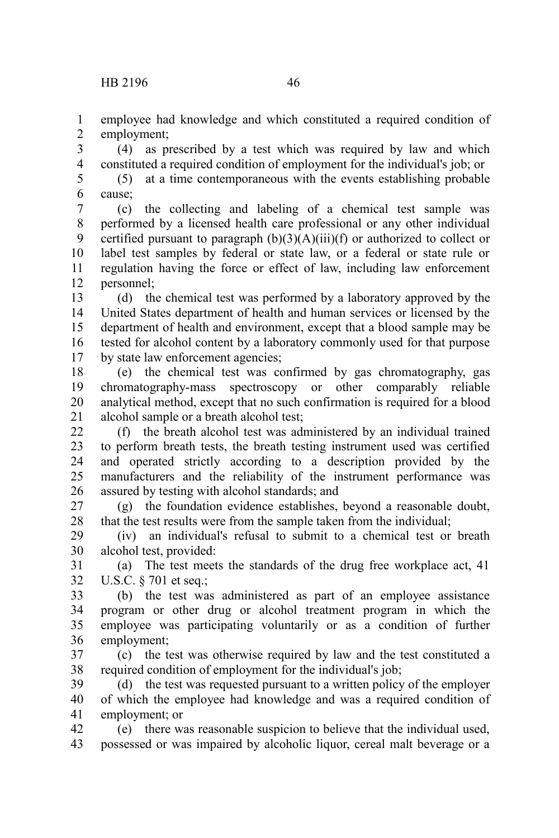employee had knowledge and which constituted a required condition of employment; 1 2

(4) as prescribed by a test which was required by law and which constituted a required condition of employment for the individual's job; or 3 4

(5) at a time contemporaneous with the events establishing probable cause; 5 6

(c) the collecting and labeling of a chemical test sample was performed by a licensed health care professional or any other individual certified pursuant to paragraph  $(b)(3)(A)(iii)(f)$  or authorized to collect or label test samples by federal or state law, or a federal or state rule or regulation having the force or effect of law, including law enforcement personnel; 7 8 9 10 11 12

(d) the chemical test was performed by a laboratory approved by the United States department of health and human services or licensed by the department of health and environment, except that a blood sample may be tested for alcohol content by a laboratory commonly used for that purpose by state law enforcement agencies; 13 14 15 16 17

(e) the chemical test was confirmed by gas chromatography, gas chromatography-mass spectroscopy or other comparably reliable analytical method, except that no such confirmation is required for a blood alcohol sample or a breath alcohol test; 18 19 20 21

(f) the breath alcohol test was administered by an individual trained to perform breath tests, the breath testing instrument used was certified and operated strictly according to a description provided by the manufacturers and the reliability of the instrument performance was assured by testing with alcohol standards; and  $22$ 23 24 25 26

(g) the foundation evidence establishes, beyond a reasonable doubt, that the test results were from the sample taken from the individual; 27 28

(iv) an individual's refusal to submit to a chemical test or breath alcohol test, provided: 29 30

(a) The test meets the standards of the drug free workplace act, 41 U.S.C. § 701 et seq.; 31 32

(b) the test was administered as part of an employee assistance program or other drug or alcohol treatment program in which the employee was participating voluntarily or as a condition of further employment; 33 34 35 36

(c) the test was otherwise required by law and the test constituted a required condition of employment for the individual's job; 37 38

(d) the test was requested pursuant to a written policy of the employer of which the employee had knowledge and was a required condition of employment; or 39 40 41

(e) there was reasonable suspicion to believe that the individual used, possessed or was impaired by alcoholic liquor, cereal malt beverage or a 42 43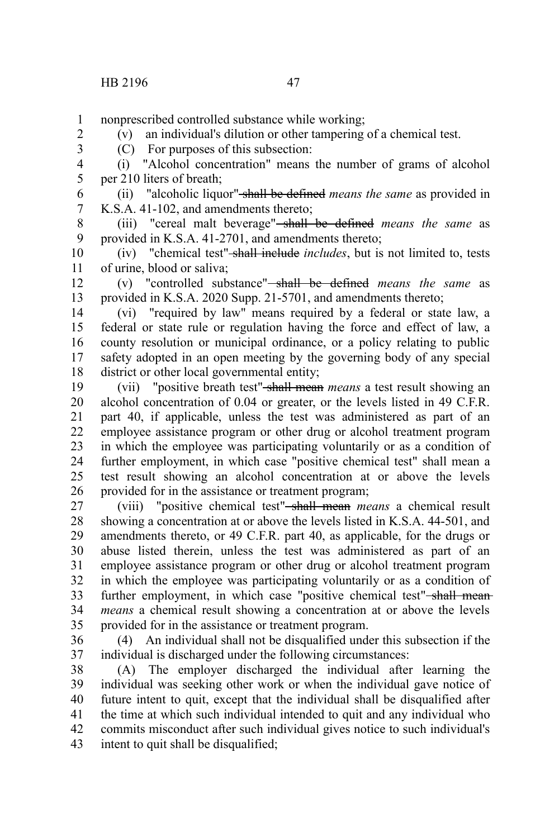nonprescribed controlled substance while working; 1

(v) an individual's dilution or other tampering of a chemical test.

2 3

(C) For purposes of this subsection:

(i) "Alcohol concentration" means the number of grams of alcohol per 210 liters of breath; 4 5

(ii) "alcoholic liquor" shall be defined *means the same* as provided in K.S.A. 41-102, and amendments thereto; 6 7

(iii) "cereal malt beverage" shall be defined *means the same* as provided in K.S.A. 41-2701, and amendments thereto; 8 9

(iv) "chemical test" shall include *includes*, but is not limited to, tests of urine, blood or saliva; 10 11

(v) "controlled substance" shall be defined *means the same* as provided in K.S.A. 2020 Supp. 21-5701, and amendments thereto; 12 13

(vi) "required by law" means required by a federal or state law, a federal or state rule or regulation having the force and effect of law, a county resolution or municipal ordinance, or a policy relating to public safety adopted in an open meeting by the governing body of any special district or other local governmental entity; 14 15 16 17 18

(vii) "positive breath test" shall mean *means* a test result showing an alcohol concentration of 0.04 or greater, or the levels listed in 49 C.F.R. part 40, if applicable, unless the test was administered as part of an employee assistance program or other drug or alcohol treatment program in which the employee was participating voluntarily or as a condition of further employment, in which case "positive chemical test" shall mean a test result showing an alcohol concentration at or above the levels provided for in the assistance or treatment program; 19 20 21 22 23 24 25 26

(viii) "positive chemical test" shall mean *means* a chemical result showing a concentration at or above the levels listed in K.S.A. 44-501, and amendments thereto, or 49 C.F.R. part 40, as applicable, for the drugs or abuse listed therein, unless the test was administered as part of an employee assistance program or other drug or alcohol treatment program in which the employee was participating voluntarily or as a condition of further employment, in which case "positive chemical test"-shall mean*means* a chemical result showing a concentration at or above the levels provided for in the assistance or treatment program. 27 28 29 30 31 32 33 34 35

(4) An individual shall not be disqualified under this subsection if the individual is discharged under the following circumstances: 36 37

(A) The employer discharged the individual after learning the individual was seeking other work or when the individual gave notice of future intent to quit, except that the individual shall be disqualified after the time at which such individual intended to quit and any individual who commits misconduct after such individual gives notice to such individual's intent to quit shall be disqualified; 38 39 40 41 42 43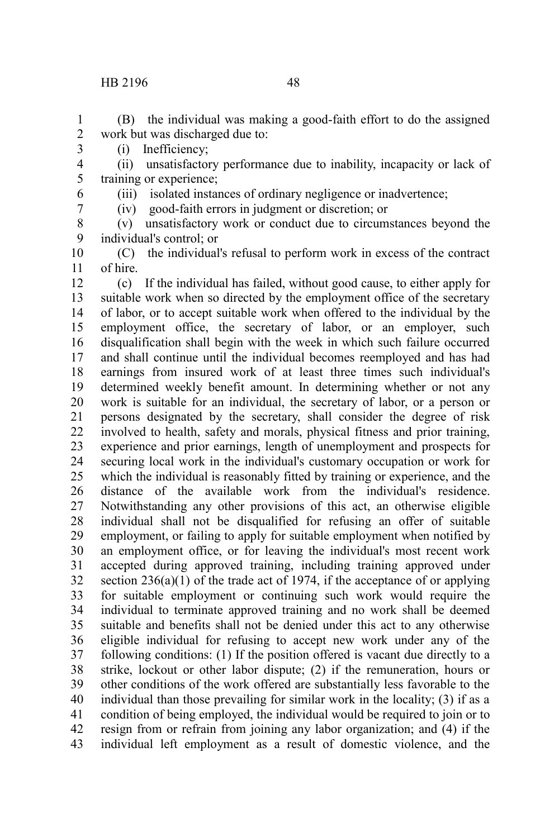## HB 2196 48

(B) the individual was making a good-faith effort to do the assigned work but was discharged due to: 1 2

(i) Inefficiency;

(ii) unsatisfactory performance due to inability, incapacity or lack of training or experience; 4 5

6

3

- 7
- 8

(iii) isolated instances of ordinary negligence or inadvertence; (iv) good-faith errors in judgment or discretion; or

(v) unsatisfactory work or conduct due to circumstances beyond the individual's control; or 9

(C) the individual's refusal to perform work in excess of the contract of hire. 10 11

(c) If the individual has failed, without good cause, to either apply for suitable work when so directed by the employment office of the secretary of labor, or to accept suitable work when offered to the individual by the employment office, the secretary of labor, or an employer, such disqualification shall begin with the week in which such failure occurred and shall continue until the individual becomes reemployed and has had earnings from insured work of at least three times such individual's determined weekly benefit amount. In determining whether or not any work is suitable for an individual, the secretary of labor, or a person or persons designated by the secretary, shall consider the degree of risk involved to health, safety and morals, physical fitness and prior training, experience and prior earnings, length of unemployment and prospects for securing local work in the individual's customary occupation or work for which the individual is reasonably fitted by training or experience, and the distance of the available work from the individual's residence. Notwithstanding any other provisions of this act, an otherwise eligible individual shall not be disqualified for refusing an offer of suitable employment, or failing to apply for suitable employment when notified by an employment office, or for leaving the individual's most recent work accepted during approved training, including training approved under section  $236(a)(1)$  of the trade act of 1974, if the acceptance of or applying for suitable employment or continuing such work would require the individual to terminate approved training and no work shall be deemed suitable and benefits shall not be denied under this act to any otherwise eligible individual for refusing to accept new work under any of the following conditions: (1) If the position offered is vacant due directly to a strike, lockout or other labor dispute; (2) if the remuneration, hours or other conditions of the work offered are substantially less favorable to the individual than those prevailing for similar work in the locality; (3) if as a condition of being employed, the individual would be required to join or to resign from or refrain from joining any labor organization; and (4) if the individual left employment as a result of domestic violence, and the 12 13 14 15 16 17 18 19 20 21 22 23 24 25 26 27 28 29 30 31 32 33 34 35 36 37 38 39 40 41 42 43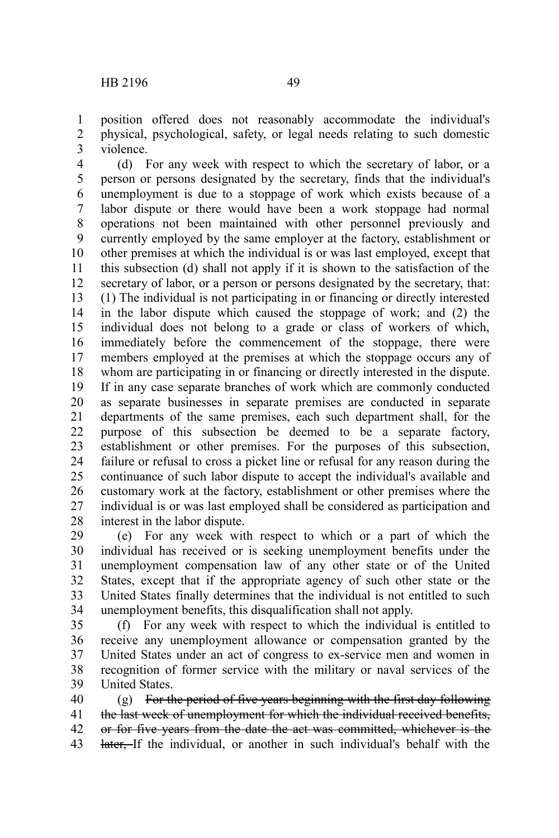position offered does not reasonably accommodate the individual's physical, psychological, safety, or legal needs relating to such domestic violence. 1 2 3

(d) For any week with respect to which the secretary of labor, or a person or persons designated by the secretary, finds that the individual's unemployment is due to a stoppage of work which exists because of a labor dispute or there would have been a work stoppage had normal operations not been maintained with other personnel previously and currently employed by the same employer at the factory, establishment or other premises at which the individual is or was last employed, except that this subsection (d) shall not apply if it is shown to the satisfaction of the secretary of labor, or a person or persons designated by the secretary, that: (1) The individual is not participating in or financing or directly interested in the labor dispute which caused the stoppage of work; and (2) the individual does not belong to a grade or class of workers of which, immediately before the commencement of the stoppage, there were members employed at the premises at which the stoppage occurs any of whom are participating in or financing or directly interested in the dispute. If in any case separate branches of work which are commonly conducted as separate businesses in separate premises are conducted in separate departments of the same premises, each such department shall, for the purpose of this subsection be deemed to be a separate factory, establishment or other premises. For the purposes of this subsection, failure or refusal to cross a picket line or refusal for any reason during the continuance of such labor dispute to accept the individual's available and customary work at the factory, establishment or other premises where the individual is or was last employed shall be considered as participation and interest in the labor dispute. 4 5 6 7 8 9 10 11 12 13 14 15 16 17 18 19 20 21 22 23 24 25 26 27 28

(e) For any week with respect to which or a part of which the individual has received or is seeking unemployment benefits under the unemployment compensation law of any other state or of the United States, except that if the appropriate agency of such other state or the United States finally determines that the individual is not entitled to such unemployment benefits, this disqualification shall not apply. 29 30 31 32 33 34

(f) For any week with respect to which the individual is entitled to receive any unemployment allowance or compensation granted by the United States under an act of congress to ex-service men and women in recognition of former service with the military or naval services of the United States. 35 36 37 38 39

(g) For the period of five years beginning with the first day following the last week of unemployment for which the individual received benefits, or for five years from the date the act was committed, whichever is the later. If the individual, or another in such individual's behalf with the 40 41 42 43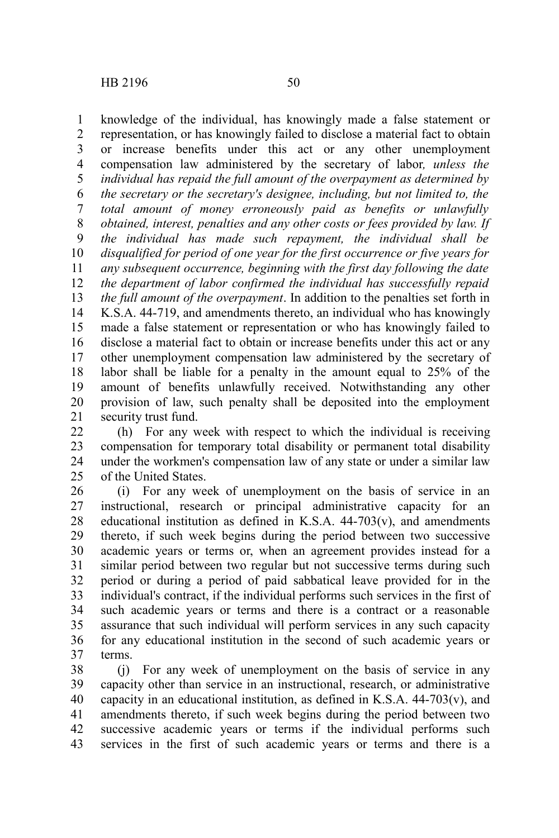knowledge of the individual, has knowingly made a false statement or representation, or has knowingly failed to disclose a material fact to obtain or increase benefits under this act or any other unemployment compensation law administered by the secretary of labor*, unless the individual has repaid the full amount of the overpayment as determined by the secretary or the secretary's designee, including, but not limited to, the total amount of money erroneously paid as benefits or unlawfully obtained, interest, penalties and any other costs or fees provided by law. If the individual has made such repayment, the individual shall be disqualified for period of one year for the first occurrence or five years for any subsequent occurrence, beginning with the first day following the date the department of labor confirmed the individual has successfully repaid the full amount of the overpayment*. In addition to the penalties set forth in K.S.A. 44-719, and amendments thereto, an individual who has knowingly made a false statement or representation or who has knowingly failed to disclose a material fact to obtain or increase benefits under this act or any other unemployment compensation law administered by the secretary of labor shall be liable for a penalty in the amount equal to 25% of the amount of benefits unlawfully received. Notwithstanding any other provision of law, such penalty shall be deposited into the employment security trust fund. 1 2 3 4 5 6 7 8 9 10 11 12 13 14 15 16 17 18 19 20 21

(h) For any week with respect to which the individual is receiving compensation for temporary total disability or permanent total disability under the workmen's compensation law of any state or under a similar law of the United States. 22 23 24  $25$ 

(i) For any week of unemployment on the basis of service in an instructional, research or principal administrative capacity for an educational institution as defined in K.S.A.  $44-703(v)$ , and amendments thereto, if such week begins during the period between two successive academic years or terms or, when an agreement provides instead for a similar period between two regular but not successive terms during such period or during a period of paid sabbatical leave provided for in the individual's contract, if the individual performs such services in the first of such academic years or terms and there is a contract or a reasonable assurance that such individual will perform services in any such capacity for any educational institution in the second of such academic years or terms. 26 27 28 29 30 31 32 33 34 35 36 37

(j) For any week of unemployment on the basis of service in any capacity other than service in an instructional, research, or administrative capacity in an educational institution, as defined in K.S.A.  $44-703(v)$ , and amendments thereto, if such week begins during the period between two successive academic years or terms if the individual performs such services in the first of such academic years or terms and there is a 38 39 40 41 42 43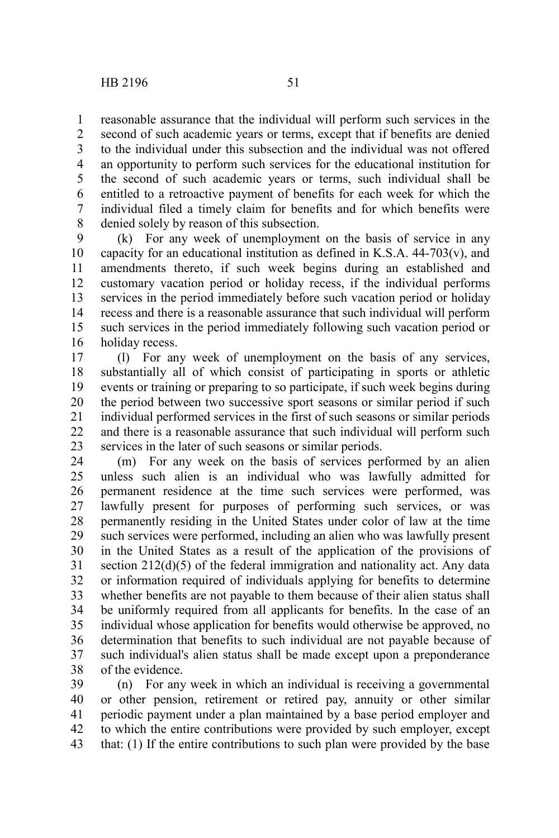reasonable assurance that the individual will perform such services in the second of such academic years or terms, except that if benefits are denied to the individual under this subsection and the individual was not offered an opportunity to perform such services for the educational institution for the second of such academic years or terms, such individual shall be entitled to a retroactive payment of benefits for each week for which the individual filed a timely claim for benefits and for which benefits were denied solely by reason of this subsection. 1 2 3 4 5 6 7 8

(k) For any week of unemployment on the basis of service in any capacity for an educational institution as defined in K.S.A.  $44-703(v)$ , and amendments thereto, if such week begins during an established and customary vacation period or holiday recess, if the individual performs services in the period immediately before such vacation period or holiday recess and there is a reasonable assurance that such individual will perform such services in the period immediately following such vacation period or holiday recess. 9 10 11 12 13 14 15 16

(l) For any week of unemployment on the basis of any services, substantially all of which consist of participating in sports or athletic events or training or preparing to so participate, if such week begins during the period between two successive sport seasons or similar period if such individual performed services in the first of such seasons or similar periods and there is a reasonable assurance that such individual will perform such services in the later of such seasons or similar periods. 17 18 19 20 21 22 23

(m) For any week on the basis of services performed by an alien unless such alien is an individual who was lawfully admitted for permanent residence at the time such services were performed, was lawfully present for purposes of performing such services, or was permanently residing in the United States under color of law at the time such services were performed, including an alien who was lawfully present in the United States as a result of the application of the provisions of section 212(d)(5) of the federal immigration and nationality act. Any data or information required of individuals applying for benefits to determine whether benefits are not payable to them because of their alien status shall be uniformly required from all applicants for benefits. In the case of an individual whose application for benefits would otherwise be approved, no determination that benefits to such individual are not payable because of such individual's alien status shall be made except upon a preponderance of the evidence. 24 25 26 27 28 29 30 31 32 33 34 35 36 37 38

(n) For any week in which an individual is receiving a governmental or other pension, retirement or retired pay, annuity or other similar periodic payment under a plan maintained by a base period employer and to which the entire contributions were provided by such employer, except that: (1) If the entire contributions to such plan were provided by the base 39 40 41 42 43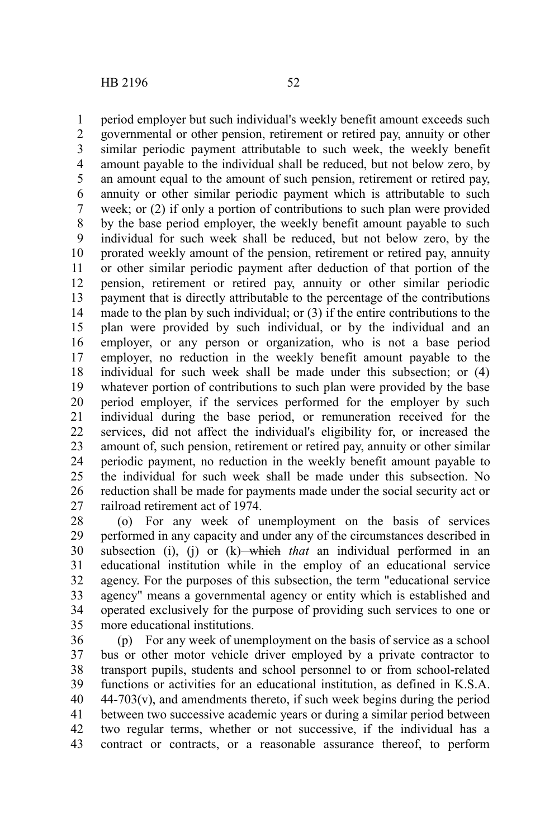period employer but such individual's weekly benefit amount exceeds such governmental or other pension, retirement or retired pay, annuity or other similar periodic payment attributable to such week, the weekly benefit amount payable to the individual shall be reduced, but not below zero, by an amount equal to the amount of such pension, retirement or retired pay, annuity or other similar periodic payment which is attributable to such week; or (2) if only a portion of contributions to such plan were provided by the base period employer, the weekly benefit amount payable to such individual for such week shall be reduced, but not below zero, by the prorated weekly amount of the pension, retirement or retired pay, annuity or other similar periodic payment after deduction of that portion of the pension, retirement or retired pay, annuity or other similar periodic payment that is directly attributable to the percentage of the contributions made to the plan by such individual; or (3) if the entire contributions to the plan were provided by such individual, or by the individual and an employer, or any person or organization, who is not a base period employer, no reduction in the weekly benefit amount payable to the individual for such week shall be made under this subsection; or (4) whatever portion of contributions to such plan were provided by the base period employer, if the services performed for the employer by such individual during the base period, or remuneration received for the services, did not affect the individual's eligibility for, or increased the amount of, such pension, retirement or retired pay, annuity or other similar periodic payment, no reduction in the weekly benefit amount payable to the individual for such week shall be made under this subsection. No reduction shall be made for payments made under the social security act or railroad retirement act of 1974. 1 2 3 4 5 6 7 8 9 10 11 12 13 14 15 16 17 18 19 20 21 22 23 24 25 26 27

(o) For any week of unemployment on the basis of services performed in any capacity and under any of the circumstances described in subsection (i), (j) or  $(k)$ —which *that* an individual performed in an educational institution while in the employ of an educational service agency. For the purposes of this subsection, the term "educational service agency" means a governmental agency or entity which is established and operated exclusively for the purpose of providing such services to one or more educational institutions. 28 29 30 31 32 33 34 35

(p) For any week of unemployment on the basis of service as a school bus or other motor vehicle driver employed by a private contractor to transport pupils, students and school personnel to or from school-related functions or activities for an educational institution, as defined in K.S.A.  $44-703(v)$ , and amendments thereto, if such week begins during the period between two successive academic years or during a similar period between two regular terms, whether or not successive, if the individual has a contract or contracts, or a reasonable assurance thereof, to perform 36 37 38 39 40 41 42 43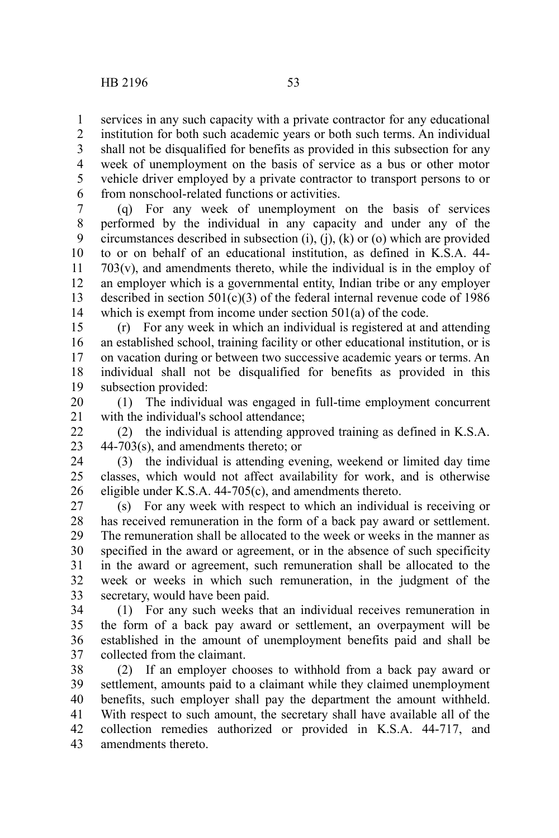services in any such capacity with a private contractor for any educational 1

institution for both such academic years or both such terms. An individual shall not be disqualified for benefits as provided in this subsection for any week of unemployment on the basis of service as a bus or other motor vehicle driver employed by a private contractor to transport persons to or from nonschool-related functions or activities. 2 3 4 5 6

(q) For any week of unemployment on the basis of services performed by the individual in any capacity and under any of the circumstances described in subsection (i), (j), (k) or (o) which are provided to or on behalf of an educational institution, as defined in K.S.A. 44-  $703(v)$ , and amendments thereto, while the individual is in the employ of an employer which is a governmental entity, Indian tribe or any employer described in section  $501(c)(3)$  of the federal internal revenue code of 1986 which is exempt from income under section 501(a) of the code. 7 8 9 10 11 12 13 14

(r) For any week in which an individual is registered at and attending an established school, training facility or other educational institution, or is on vacation during or between two successive academic years or terms. An individual shall not be disqualified for benefits as provided in this subsection provided: 15 16 17 18 19

(1) The individual was engaged in full-time employment concurrent with the individual's school attendance; 20 21

(2) the individual is attending approved training as defined in K.S.A. 44-703(s), and amendments thereto; or  $22$ 23

(3) the individual is attending evening, weekend or limited day time classes, which would not affect availability for work, and is otherwise eligible under K.S.A. 44-705(c), and amendments thereto. 24 25 26

(s) For any week with respect to which an individual is receiving or has received remuneration in the form of a back pay award or settlement. The remuneration shall be allocated to the week or weeks in the manner as specified in the award or agreement, or in the absence of such specificity in the award or agreement, such remuneration shall be allocated to the week or weeks in which such remuneration, in the judgment of the secretary, would have been paid. 27 28 29 30 31 32 33

(1) For any such weeks that an individual receives remuneration in the form of a back pay award or settlement, an overpayment will be established in the amount of unemployment benefits paid and shall be collected from the claimant. 34 35 36 37

(2) If an employer chooses to withhold from a back pay award or settlement, amounts paid to a claimant while they claimed unemployment benefits, such employer shall pay the department the amount withheld. With respect to such amount, the secretary shall have available all of the collection remedies authorized or provided in K.S.A. 44-717, and amendments thereto. 38 39 40 41 42 43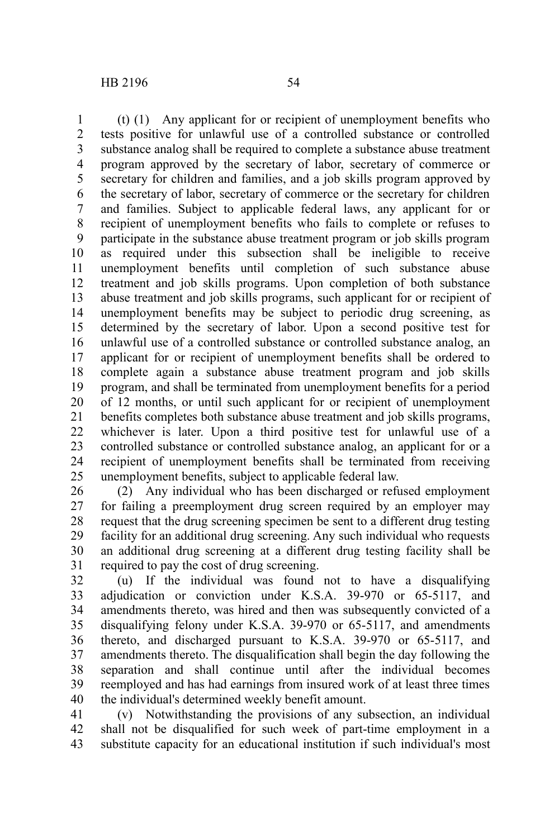(t) (1) Any applicant for or recipient of unemployment benefits who tests positive for unlawful use of a controlled substance or controlled substance analog shall be required to complete a substance abuse treatment program approved by the secretary of labor, secretary of commerce or secretary for children and families, and a job skills program approved by the secretary of labor, secretary of commerce or the secretary for children and families. Subject to applicable federal laws, any applicant for or recipient of unemployment benefits who fails to complete or refuses to participate in the substance abuse treatment program or job skills program as required under this subsection shall be ineligible to receive unemployment benefits until completion of such substance abuse treatment and job skills programs. Upon completion of both substance abuse treatment and job skills programs, such applicant for or recipient of unemployment benefits may be subject to periodic drug screening, as determined by the secretary of labor. Upon a second positive test for unlawful use of a controlled substance or controlled substance analog, an applicant for or recipient of unemployment benefits shall be ordered to complete again a substance abuse treatment program and job skills program, and shall be terminated from unemployment benefits for a period of 12 months, or until such applicant for or recipient of unemployment benefits completes both substance abuse treatment and job skills programs, whichever is later. Upon a third positive test for unlawful use of a controlled substance or controlled substance analog, an applicant for or a recipient of unemployment benefits shall be terminated from receiving unemployment benefits, subject to applicable federal law. 1 2 3 4 5 6 7 8 9 10 11 12 13 14 15 16 17 18 19 20 21 22 23 24 25

(2) Any individual who has been discharged or refused employment for failing a preemployment drug screen required by an employer may request that the drug screening specimen be sent to a different drug testing facility for an additional drug screening. Any such individual who requests an additional drug screening at a different drug testing facility shall be required to pay the cost of drug screening. 26 27 28 29 30 31

(u) If the individual was found not to have a disqualifying adjudication or conviction under K.S.A. 39-970 or 65-5117, and amendments thereto, was hired and then was subsequently convicted of a disqualifying felony under K.S.A. 39-970 or 65-5117, and amendments thereto, and discharged pursuant to K.S.A. 39-970 or 65-5117, and amendments thereto. The disqualification shall begin the day following the separation and shall continue until after the individual becomes reemployed and has had earnings from insured work of at least three times the individual's determined weekly benefit amount. 32 33 34 35 36 37 38 39 40

(v) Notwithstanding the provisions of any subsection, an individual shall not be disqualified for such week of part-time employment in a substitute capacity for an educational institution if such individual's most 41 42 43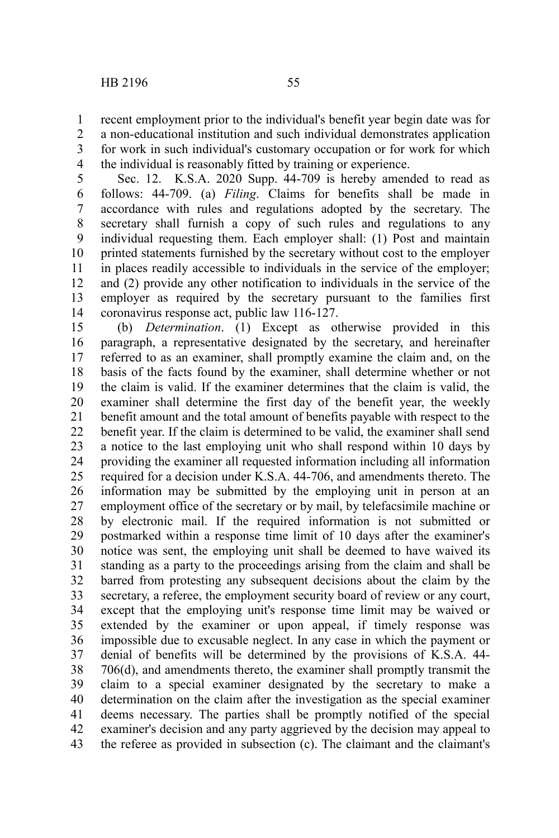recent employment prior to the individual's benefit year begin date was for 1

a non-educational institution and such individual demonstrates application for work in such individual's customary occupation or for work for which the individual is reasonably fitted by training or experience. 2 3 4

Sec. 12. K.S.A. 2020 Supp. 44-709 is hereby amended to read as follows: 44-709. (a) *Filing*. Claims for benefits shall be made in accordance with rules and regulations adopted by the secretary. The secretary shall furnish a copy of such rules and regulations to any individual requesting them. Each employer shall: (1) Post and maintain printed statements furnished by the secretary without cost to the employer in places readily accessible to individuals in the service of the employer; and (2) provide any other notification to individuals in the service of the employer as required by the secretary pursuant to the families first coronavirus response act, public law 116-127. 5 6 7 8 9 10 11 12 13 14

(b) *Determination*. (1) Except as otherwise provided in this paragraph, a representative designated by the secretary, and hereinafter referred to as an examiner, shall promptly examine the claim and, on the basis of the facts found by the examiner, shall determine whether or not the claim is valid. If the examiner determines that the claim is valid, the examiner shall determine the first day of the benefit year, the weekly benefit amount and the total amount of benefits payable with respect to the benefit year. If the claim is determined to be valid, the examiner shall send a notice to the last employing unit who shall respond within 10 days by providing the examiner all requested information including all information required for a decision under K.S.A. 44-706, and amendments thereto. The information may be submitted by the employing unit in person at an employment office of the secretary or by mail, by telefacsimile machine or by electronic mail. If the required information is not submitted or postmarked within a response time limit of 10 days after the examiner's notice was sent, the employing unit shall be deemed to have waived its standing as a party to the proceedings arising from the claim and shall be barred from protesting any subsequent decisions about the claim by the secretary, a referee, the employment security board of review or any court, except that the employing unit's response time limit may be waived or extended by the examiner or upon appeal, if timely response was impossible due to excusable neglect. In any case in which the payment or denial of benefits will be determined by the provisions of K.S.A. 44- 706(d), and amendments thereto, the examiner shall promptly transmit the claim to a special examiner designated by the secretary to make a determination on the claim after the investigation as the special examiner deems necessary. The parties shall be promptly notified of the special examiner's decision and any party aggrieved by the decision may appeal to the referee as provided in subsection (c). The claimant and the claimant's 15 16 17 18 19 20 21 22 23 24 25 26 27 28 29 30 31 32 33 34 35 36 37 38 39 40 41 42 43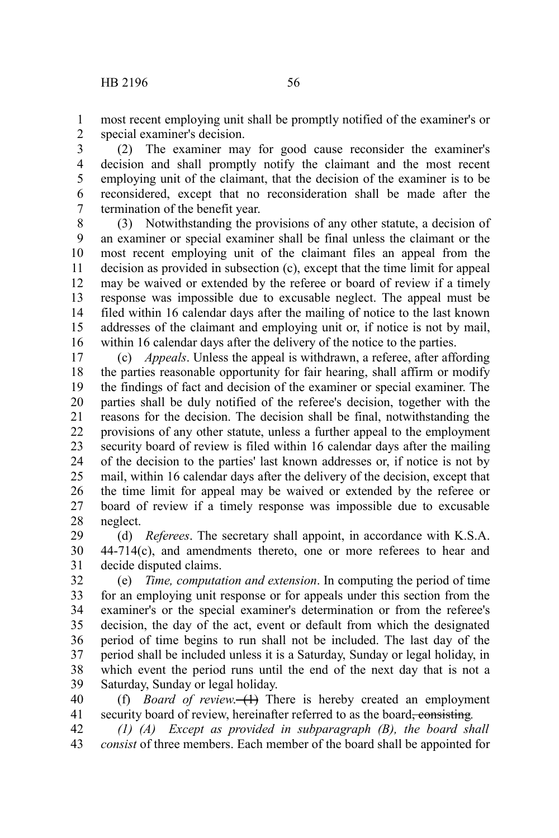most recent employing unit shall be promptly notified of the examiner's or special examiner's decision. 1 2

(2) The examiner may for good cause reconsider the examiner's decision and shall promptly notify the claimant and the most recent employing unit of the claimant, that the decision of the examiner is to be reconsidered, except that no reconsideration shall be made after the termination of the benefit year. 3 4 5 6 7

(3) Notwithstanding the provisions of any other statute, a decision of an examiner or special examiner shall be final unless the claimant or the most recent employing unit of the claimant files an appeal from the decision as provided in subsection (c), except that the time limit for appeal may be waived or extended by the referee or board of review if a timely response was impossible due to excusable neglect. The appeal must be filed within 16 calendar days after the mailing of notice to the last known addresses of the claimant and employing unit or, if notice is not by mail, within 16 calendar days after the delivery of the notice to the parties. 8 9 10 11 12 13 14 15 16

(c) *Appeals*. Unless the appeal is withdrawn, a referee, after affording the parties reasonable opportunity for fair hearing, shall affirm or modify the findings of fact and decision of the examiner or special examiner. The parties shall be duly notified of the referee's decision, together with the reasons for the decision. The decision shall be final, notwithstanding the provisions of any other statute, unless a further appeal to the employment security board of review is filed within 16 calendar days after the mailing of the decision to the parties' last known addresses or, if notice is not by mail, within 16 calendar days after the delivery of the decision, except that the time limit for appeal may be waived or extended by the referee or board of review if a timely response was impossible due to excusable neglect. 17 18 19 20 21 22 23 24 25 26 27 28

(d) *Referees*. The secretary shall appoint, in accordance with K.S.A. 44-714(c), and amendments thereto, one or more referees to hear and decide disputed claims. 29 30 31

(e) *Time, computation and extension*. In computing the period of time for an employing unit response or for appeals under this section from the examiner's or the special examiner's determination or from the referee's decision, the day of the act, event or default from which the designated period of time begins to run shall not be included. The last day of the period shall be included unless it is a Saturday, Sunday or legal holiday, in which event the period runs until the end of the next day that is not a Saturday, Sunday or legal holiday. 32 33 34 35 36 37 38 39

(f) *Board of review.* (1) There is hereby created an employment security board of review, hereinafter referred to as the board<del>, consisting</del>. 40 41

*(1) (A) Except as provided in subparagraph (B), the board shall consist* of three members. Each member of the board shall be appointed for 42 43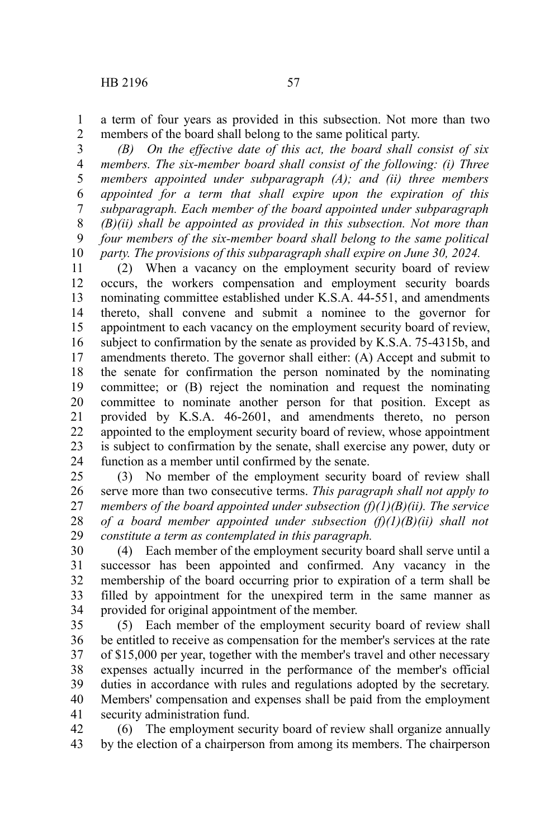a term of four years as provided in this subsection. Not more than two members of the board shall belong to the same political party. 1 2

*(B) On the effective date of this act, the board shall consist of six members. The six-member board shall consist of the following: (i) Three members appointed under subparagraph (A); and (ii) three members appointed for a term that shall expire upon the expiration of this subparagraph. Each member of the board appointed under subparagraph (B)(ii) shall be appointed as provided in this subsection. Not more than four members of the six-member board shall belong to the same political party. The provisions of this subparagraph shall expire on June 30, 2024.* 3 4 5 6 7 8 9 10

(2) When a vacancy on the employment security board of review occurs, the workers compensation and employment security boards nominating committee established under K.S.A. 44-551, and amendments thereto, shall convene and submit a nominee to the governor for appointment to each vacancy on the employment security board of review, subject to confirmation by the senate as provided by K.S.A. 75-4315b, and amendments thereto. The governor shall either: (A) Accept and submit to the senate for confirmation the person nominated by the nominating committee; or (B) reject the nomination and request the nominating committee to nominate another person for that position. Except as provided by K.S.A. 46-2601, and amendments thereto, no person appointed to the employment security board of review, whose appointment is subject to confirmation by the senate, shall exercise any power, duty or function as a member until confirmed by the senate. 11 12 13 14 15 16 17 18 19 20 21 22 23 24

(3) No member of the employment security board of review shall serve more than two consecutive terms. *This paragraph shall not apply to members of the board appointed under subsection (f)(1)(B)(ii). The service of a board member appointed under subsection (f)(1)(B)(ii) shall not constitute a term as contemplated in this paragraph.* 25 26 27 28 29

(4) Each member of the employment security board shall serve until a successor has been appointed and confirmed. Any vacancy in the membership of the board occurring prior to expiration of a term shall be filled by appointment for the unexpired term in the same manner as provided for original appointment of the member. 30 31 32 33 34

(5) Each member of the employment security board of review shall be entitled to receive as compensation for the member's services at the rate of \$15,000 per year, together with the member's travel and other necessary expenses actually incurred in the performance of the member's official duties in accordance with rules and regulations adopted by the secretary. Members' compensation and expenses shall be paid from the employment security administration fund. 35 36 37 38 39 40 41

(6) The employment security board of review shall organize annually by the election of a chairperson from among its members. The chairperson 42 43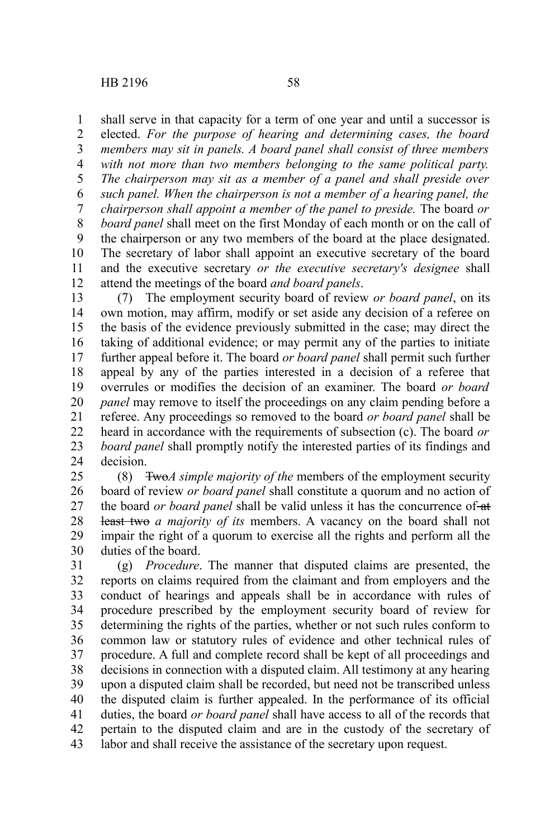shall serve in that capacity for a term of one year and until a successor is elected. *For the purpose of hearing and determining cases, the board members may sit in panels. A board panel shall consist of three members with not more than two members belonging to the same political party. The chairperson may sit as a member of a panel and shall preside over such panel. When the chairperson is not a member of a hearing panel, the chairperson shall appoint a member of the panel to preside.* The board *or board panel* shall meet on the first Monday of each month or on the call of the chairperson or any two members of the board at the place designated. The secretary of labor shall appoint an executive secretary of the board and the executive secretary *or the executive secretary's designee* shall attend the meetings of the board *and board panels*. 1 2 3 4 5 6 7 8 9 10 11 12

(7) The employment security board of review *or board panel*, on its own motion, may affirm, modify or set aside any decision of a referee on the basis of the evidence previously submitted in the case; may direct the taking of additional evidence; or may permit any of the parties to initiate further appeal before it. The board *or board panel* shall permit such further appeal by any of the parties interested in a decision of a referee that overrules or modifies the decision of an examiner. The board *or board panel* may remove to itself the proceedings on any claim pending before a referee. Any proceedings so removed to the board *or board panel* shall be heard in accordance with the requirements of subsection (c). The board *or board panel* shall promptly notify the interested parties of its findings and decision. 13 14 15 16 17 18 19 20 21 22 23 24

(8) Two*A simple majority of the* members of the employment security board of review *or board panel* shall constitute a quorum and no action of the board *or board panel* shall be valid unless it has the concurrence of-at least two *a majority of its* members. A vacancy on the board shall not impair the right of a quorum to exercise all the rights and perform all the duties of the board. 25 26 27 28 29 30

(g) *Procedure*. The manner that disputed claims are presented, the reports on claims required from the claimant and from employers and the conduct of hearings and appeals shall be in accordance with rules of procedure prescribed by the employment security board of review for determining the rights of the parties, whether or not such rules conform to common law or statutory rules of evidence and other technical rules of procedure. A full and complete record shall be kept of all proceedings and decisions in connection with a disputed claim. All testimony at any hearing upon a disputed claim shall be recorded, but need not be transcribed unless the disputed claim is further appealed. In the performance of its official duties, the board *or board panel* shall have access to all of the records that pertain to the disputed claim and are in the custody of the secretary of labor and shall receive the assistance of the secretary upon request. 31 32 33 34 35 36 37 38 39 40 41 42 43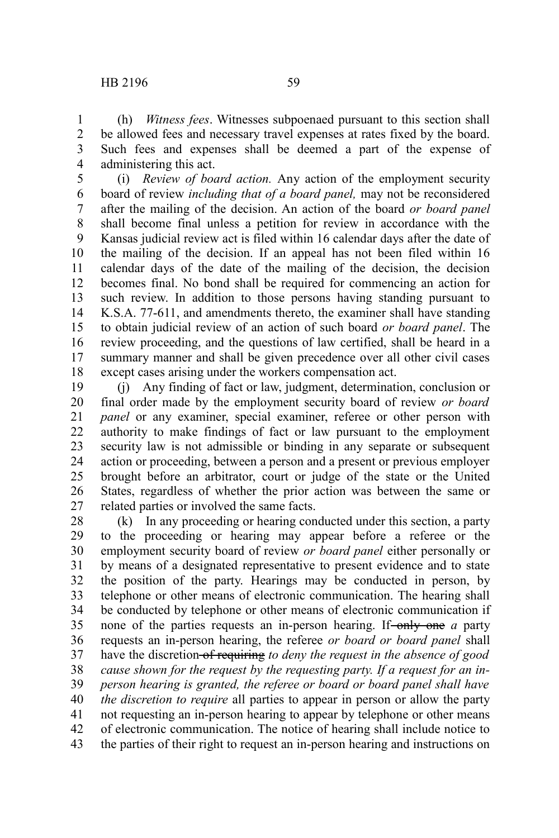(h) *Witness fees*. Witnesses subpoenaed pursuant to this section shall be allowed fees and necessary travel expenses at rates fixed by the board. Such fees and expenses shall be deemed a part of the expense of administering this act. 1 2 3 4

(i) *Review of board action.* Any action of the employment security board of review *including that of a board panel,* may not be reconsidered after the mailing of the decision. An action of the board *or board panel* shall become final unless a petition for review in accordance with the Kansas judicial review act is filed within 16 calendar days after the date of the mailing of the decision. If an appeal has not been filed within 16 calendar days of the date of the mailing of the decision, the decision becomes final. No bond shall be required for commencing an action for such review. In addition to those persons having standing pursuant to K.S.A. 77-611, and amendments thereto, the examiner shall have standing to obtain judicial review of an action of such board *or board panel*. The review proceeding, and the questions of law certified, shall be heard in a summary manner and shall be given precedence over all other civil cases except cases arising under the workers compensation act. 5 6 7 8 9 10 11 12 13 14 15 16 17 18

(j) Any finding of fact or law, judgment, determination, conclusion or final order made by the employment security board of review *or board panel* or any examiner, special examiner, referee or other person with authority to make findings of fact or law pursuant to the employment security law is not admissible or binding in any separate or subsequent action or proceeding, between a person and a present or previous employer brought before an arbitrator, court or judge of the state or the United States, regardless of whether the prior action was between the same or related parties or involved the same facts. 19 20 21 22 23 24 25 26 27

(k) In any proceeding or hearing conducted under this section, a party to the proceeding or hearing may appear before a referee or the employment security board of review *or board panel* either personally or by means of a designated representative to present evidence and to state the position of the party. Hearings may be conducted in person, by telephone or other means of electronic communication. The hearing shall be conducted by telephone or other means of electronic communication if none of the parties requests an in-person hearing. If-only one *a* party requests an in-person hearing, the referee *or board or board panel* shall have the discretion of requiring *to deny the request in the absence of good cause shown for the request by the requesting party. If a request for an inperson hearing is granted, the referee or board or board panel shall have the discretion to require* all parties to appear in person or allow the party not requesting an in-person hearing to appear by telephone or other means of electronic communication. The notice of hearing shall include notice to the parties of their right to request an in-person hearing and instructions on 28 29 30 31 32 33 34 35 36 37 38 39 40 41 42 43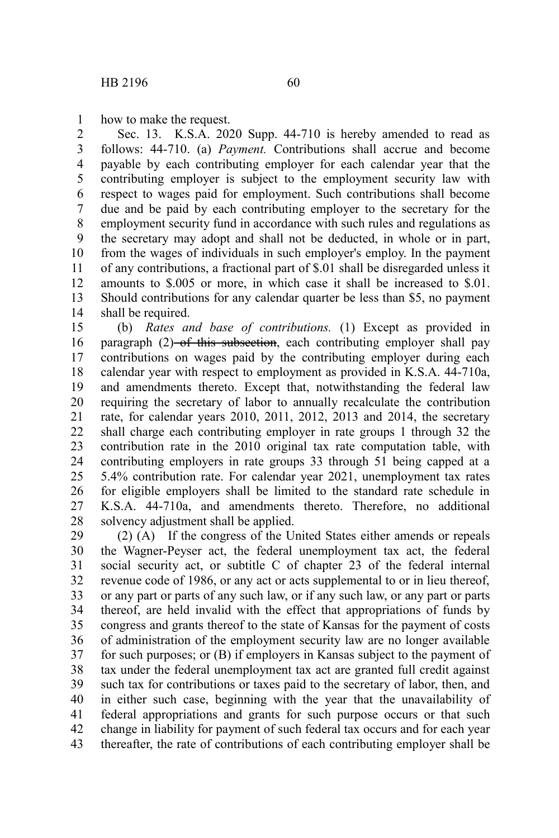how to make the request. 1

Sec. 13. K.S.A. 2020 Supp. 44-710 is hereby amended to read as follows: 44-710. (a) *Payment.* Contributions shall accrue and become payable by each contributing employer for each calendar year that the contributing employer is subject to the employment security law with respect to wages paid for employment. Such contributions shall become due and be paid by each contributing employer to the secretary for the employment security fund in accordance with such rules and regulations as the secretary may adopt and shall not be deducted, in whole or in part, from the wages of individuals in such employer's employ. In the payment of any contributions, a fractional part of \$.01 shall be disregarded unless it amounts to \$.005 or more, in which case it shall be increased to \$.01. Should contributions for any calendar quarter be less than \$5, no payment shall be required. 2 3 4 5 6 7 8 9 10 11 12 13 14

(b) *Rates and base of contributions.* (1) Except as provided in paragraph  $(2)$ -of this subsection, each contributing employer shall pay contributions on wages paid by the contributing employer during each calendar year with respect to employment as provided in K.S.A. 44-710a, and amendments thereto. Except that, notwithstanding the federal law requiring the secretary of labor to annually recalculate the contribution rate, for calendar years 2010, 2011, 2012, 2013 and 2014, the secretary shall charge each contributing employer in rate groups 1 through 32 the contribution rate in the 2010 original tax rate computation table, with contributing employers in rate groups 33 through 51 being capped at a 5.4% contribution rate. For calendar year 2021, unemployment tax rates for eligible employers shall be limited to the standard rate schedule in K.S.A. 44-710a, and amendments thereto. Therefore, no additional solvency adjustment shall be applied. 15 16 17 18 19 20 21 22 23 24 25 26 27 28

(2) (A) If the congress of the United States either amends or repeals the Wagner-Peyser act, the federal unemployment tax act, the federal social security act, or subtitle C of chapter 23 of the federal internal revenue code of 1986, or any act or acts supplemental to or in lieu thereof, or any part or parts of any such law, or if any such law, or any part or parts thereof, are held invalid with the effect that appropriations of funds by congress and grants thereof to the state of Kansas for the payment of costs of administration of the employment security law are no longer available for such purposes; or (B) if employers in Kansas subject to the payment of tax under the federal unemployment tax act are granted full credit against such tax for contributions or taxes paid to the secretary of labor, then, and in either such case, beginning with the year that the unavailability of federal appropriations and grants for such purpose occurs or that such change in liability for payment of such federal tax occurs and for each year thereafter, the rate of contributions of each contributing employer shall be 29 30 31 32 33 34 35 36 37 38 39 40 41 42 43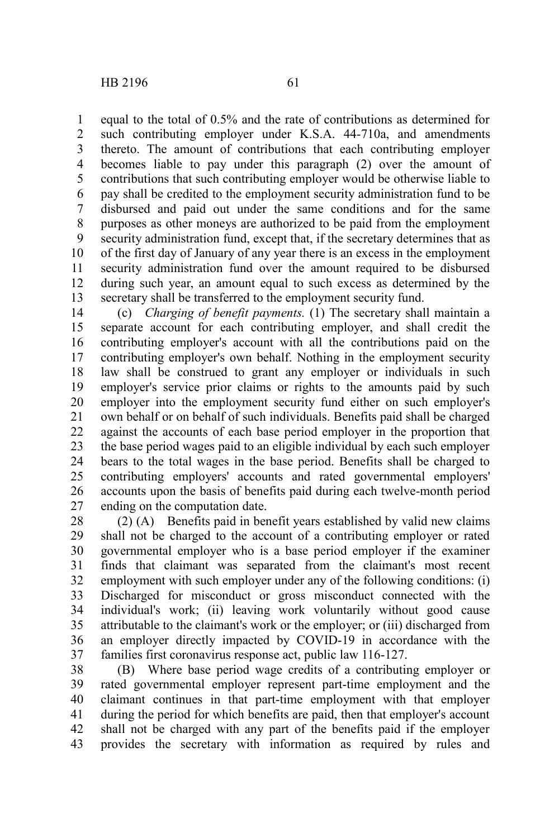equal to the total of 0.5% and the rate of contributions as determined for such contributing employer under K.S.A. 44-710a, and amendments thereto. The amount of contributions that each contributing employer becomes liable to pay under this paragraph (2) over the amount of contributions that such contributing employer would be otherwise liable to pay shall be credited to the employment security administration fund to be disbursed and paid out under the same conditions and for the same purposes as other moneys are authorized to be paid from the employment security administration fund, except that, if the secretary determines that as of the first day of January of any year there is an excess in the employment security administration fund over the amount required to be disbursed during such year, an amount equal to such excess as determined by the secretary shall be transferred to the employment security fund. 1 2 3 4 5 6 7 8 9 10 11 12 13

(c) *Charging of benefit payments.* (1) The secretary shall maintain a separate account for each contributing employer, and shall credit the contributing employer's account with all the contributions paid on the contributing employer's own behalf. Nothing in the employment security law shall be construed to grant any employer or individuals in such employer's service prior claims or rights to the amounts paid by such employer into the employment security fund either on such employer's own behalf or on behalf of such individuals. Benefits paid shall be charged against the accounts of each base period employer in the proportion that the base period wages paid to an eligible individual by each such employer bears to the total wages in the base period. Benefits shall be charged to contributing employers' accounts and rated governmental employers' accounts upon the basis of benefits paid during each twelve-month period ending on the computation date. 14 15 16 17 18 19 20 21 22 23 24 25 26 27

(2) (A) Benefits paid in benefit years established by valid new claims shall not be charged to the account of a contributing employer or rated governmental employer who is a base period employer if the examiner finds that claimant was separated from the claimant's most recent employment with such employer under any of the following conditions: (i) Discharged for misconduct or gross misconduct connected with the individual's work; (ii) leaving work voluntarily without good cause attributable to the claimant's work or the employer; or (iii) discharged from an employer directly impacted by COVID-19 in accordance with the families first coronavirus response act, public law 116-127. 28 29 30 31 32 33 34 35 36 37

(B) Where base period wage credits of a contributing employer or rated governmental employer represent part-time employment and the claimant continues in that part-time employment with that employer during the period for which benefits are paid, then that employer's account shall not be charged with any part of the benefits paid if the employer provides the secretary with information as required by rules and 38 39 40 41 42 43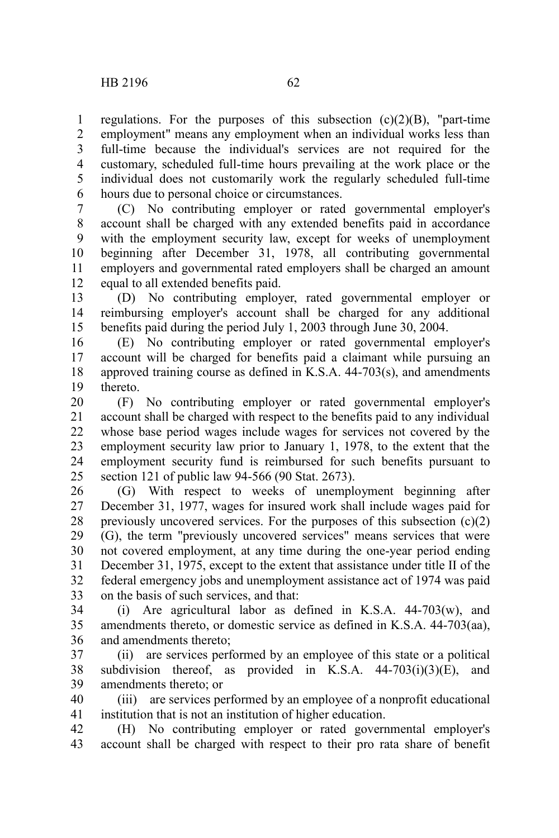regulations. For the purposes of this subsection  $(c)(2)(B)$ , "part-time employment" means any employment when an individual works less than full-time because the individual's services are not required for the customary, scheduled full-time hours prevailing at the work place or the individual does not customarily work the regularly scheduled full-time hours due to personal choice or circumstances. 1 2 3 4 5 6

(C) No contributing employer or rated governmental employer's account shall be charged with any extended benefits paid in accordance with the employment security law, except for weeks of unemployment beginning after December 31, 1978, all contributing governmental employers and governmental rated employers shall be charged an amount equal to all extended benefits paid. 7 8 9 10 11 12

(D) No contributing employer, rated governmental employer or reimbursing employer's account shall be charged for any additional benefits paid during the period July 1, 2003 through June 30, 2004. 13 14 15

(E) No contributing employer or rated governmental employer's account will be charged for benefits paid a claimant while pursuing an approved training course as defined in K.S.A. 44-703(s), and amendments thereto. 16 17 18 19

(F) No contributing employer or rated governmental employer's account shall be charged with respect to the benefits paid to any individual whose base period wages include wages for services not covered by the employment security law prior to January 1, 1978, to the extent that the employment security fund is reimbursed for such benefits pursuant to section 121 of public law 94-566 (90 Stat. 2673). 20 21 22 23 24 25

(G) With respect to weeks of unemployment beginning after December 31, 1977, wages for insured work shall include wages paid for previously uncovered services. For the purposes of this subsection (c)(2) (G), the term "previously uncovered services" means services that were not covered employment, at any time during the one-year period ending December 31, 1975, except to the extent that assistance under title II of the federal emergency jobs and unemployment assistance act of 1974 was paid on the basis of such services, and that: 26 27 28 29 30 31 32 33

(i) Are agricultural labor as defined in K.S.A. 44-703(w), and amendments thereto, or domestic service as defined in K.S.A. 44-703(aa), and amendments thereto; 34 35 36

(ii) are services performed by an employee of this state or a political subdivision thereof, as provided in K.S.A.  $44-703(i)(3)(E)$ , and amendments thereto; or 37 38 39

(iii) are services performed by an employee of a nonprofit educational institution that is not an institution of higher education. 40 41

(H) No contributing employer or rated governmental employer's account shall be charged with respect to their pro rata share of benefit 42 43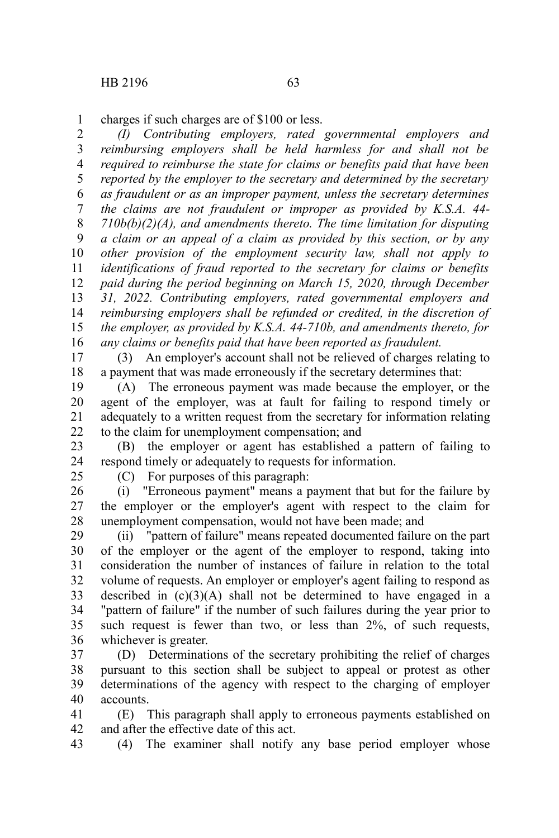charges if such charges are of \$100 or less. 1

*(I) Contributing employers, rated governmental employers and reimbursing employers shall be held harmless for and shall not be required to reimburse the state for claims or benefits paid that have been reported by the employer to the secretary and determined by the secretary as fraudulent or as an improper payment, unless the secretary determines the claims are not fraudulent or improper as provided by K.S.A. 44- 710b(b)(2)(A), and amendments thereto. The time limitation for disputing a claim or an appeal of a claim as provided by this section, or by any other provision of the employment security law, shall not apply to identifications of fraud reported to the secretary for claims or benefits paid during the period beginning on March 15, 2020, through December 31, 2022. Contributing employers, rated governmental employers and reimbursing employers shall be refunded or credited, in the discretion of the employer, as provided by K.S.A. 44-710b, and amendments thereto, for any claims or benefits paid that have been reported as fraudulent.* 2 3 4 5 6 7 8 9 10 11 12 13 14 15 16

(3) An employer's account shall not be relieved of charges relating to a payment that was made erroneously if the secretary determines that: 17 18

(A) The erroneous payment was made because the employer, or the agent of the employer, was at fault for failing to respond timely or adequately to a written request from the secretary for information relating to the claim for unemployment compensation; and 19 20 21 22

(B) the employer or agent has established a pattern of failing to respond timely or adequately to requests for information. 23 24

25

(C) For purposes of this paragraph:

(i) "Erroneous payment" means a payment that but for the failure by the employer or the employer's agent with respect to the claim for unemployment compensation, would not have been made; and 26 27 28

(ii) "pattern of failure" means repeated documented failure on the part of the employer or the agent of the employer to respond, taking into consideration the number of instances of failure in relation to the total volume of requests. An employer or employer's agent failing to respond as described in  $(c)(3)(A)$  shall not be determined to have engaged in a "pattern of failure" if the number of such failures during the year prior to such request is fewer than two, or less than 2%, of such requests, whichever is greater. 29 30 31 32 33 34 35 36

(D) Determinations of the secretary prohibiting the relief of charges pursuant to this section shall be subject to appeal or protest as other determinations of the agency with respect to the charging of employer accounts. 37 38 39 40

(E) This paragraph shall apply to erroneous payments established on and after the effective date of this act. 41 42

(4) The examiner shall notify any base period employer whose 43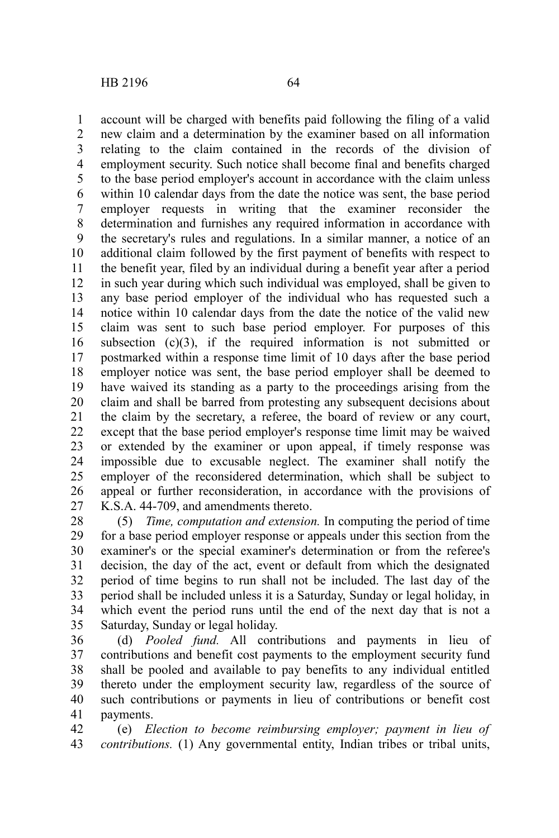account will be charged with benefits paid following the filing of a valid new claim and a determination by the examiner based on all information relating to the claim contained in the records of the division of employment security. Such notice shall become final and benefits charged to the base period employer's account in accordance with the claim unless within 10 calendar days from the date the notice was sent, the base period employer requests in writing that the examiner reconsider the determination and furnishes any required information in accordance with the secretary's rules and regulations. In a similar manner, a notice of an additional claim followed by the first payment of benefits with respect to the benefit year, filed by an individual during a benefit year after a period in such year during which such individual was employed, shall be given to any base period employer of the individual who has requested such a notice within 10 calendar days from the date the notice of the valid new claim was sent to such base period employer. For purposes of this subsection  $(c)(3)$ , if the required information is not submitted or postmarked within a response time limit of 10 days after the base period employer notice was sent, the base period employer shall be deemed to have waived its standing as a party to the proceedings arising from the claim and shall be barred from protesting any subsequent decisions about the claim by the secretary, a referee, the board of review or any court, except that the base period employer's response time limit may be waived or extended by the examiner or upon appeal, if timely response was impossible due to excusable neglect. The examiner shall notify the employer of the reconsidered determination, which shall be subject to appeal or further reconsideration, in accordance with the provisions of K.S.A. 44-709, and amendments thereto. 1 2 3 4 5 6 7 8 9 10 11 12 13 14 15 16 17 18 19 20 21 22 23 24 25 26 27

(5) *Time, computation and extension.* In computing the period of time for a base period employer response or appeals under this section from the examiner's or the special examiner's determination or from the referee's decision, the day of the act, event or default from which the designated period of time begins to run shall not be included. The last day of the period shall be included unless it is a Saturday, Sunday or legal holiday, in which event the period runs until the end of the next day that is not a Saturday, Sunday or legal holiday. 28 29 30 31 32 33 34 35

(d) *Pooled fund.* All contributions and payments in lieu of contributions and benefit cost payments to the employment security fund shall be pooled and available to pay benefits to any individual entitled thereto under the employment security law, regardless of the source of such contributions or payments in lieu of contributions or benefit cost payments. 36 37 38 39 40 41

(e) *Election to become reimbursing employer; payment in lieu of contributions.* (1) Any governmental entity, Indian tribes or tribal units, 42 43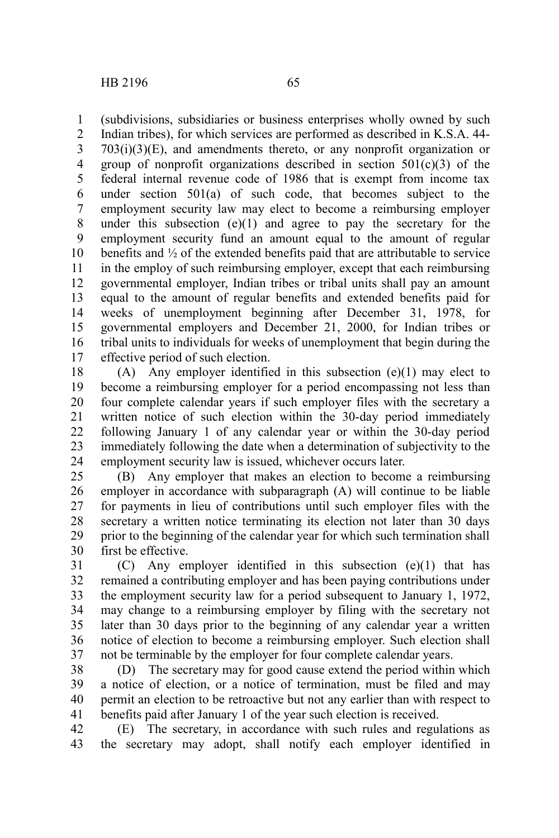(subdivisions, subsidiaries or business enterprises wholly owned by such Indian tribes), for which services are performed as described in K.S.A. 44-  $703(i)(3)(E)$ , and amendments thereto, or any nonprofit organization or group of nonprofit organizations described in section  $501(c)(3)$  of the federal internal revenue code of 1986 that is exempt from income tax under section 501(a) of such code, that becomes subject to the employment security law may elect to become a reimbursing employer under this subsection  $(e)(1)$  and agree to pay the secretary for the employment security fund an amount equal to the amount of regular benefits and ½ of the extended benefits paid that are attributable to service in the employ of such reimbursing employer, except that each reimbursing governmental employer, Indian tribes or tribal units shall pay an amount equal to the amount of regular benefits and extended benefits paid for weeks of unemployment beginning after December 31, 1978, for governmental employers and December 21, 2000, for Indian tribes or tribal units to individuals for weeks of unemployment that begin during the effective period of such election. 1 2 3 4 5 6 7 8 9 10 11 12 13 14 15 16 17

(A) Any employer identified in this subsection (e)(1) may elect to become a reimbursing employer for a period encompassing not less than four complete calendar years if such employer files with the secretary a written notice of such election within the 30-day period immediately following January 1 of any calendar year or within the 30-day period immediately following the date when a determination of subjectivity to the employment security law is issued, whichever occurs later. 18 19 20 21 22 23 24

(B) Any employer that makes an election to become a reimbursing employer in accordance with subparagraph (A) will continue to be liable for payments in lieu of contributions until such employer files with the secretary a written notice terminating its election not later than 30 days prior to the beginning of the calendar year for which such termination shall first be effective. 25 26 27 28 29 30

(C) Any employer identified in this subsection (e)(1) that has remained a contributing employer and has been paying contributions under the employment security law for a period subsequent to January 1, 1972, may change to a reimbursing employer by filing with the secretary not later than 30 days prior to the beginning of any calendar year a written notice of election to become a reimbursing employer. Such election shall not be terminable by the employer for four complete calendar years. 31 32 33 34 35 36 37

(D) The secretary may for good cause extend the period within which a notice of election, or a notice of termination, must be filed and may permit an election to be retroactive but not any earlier than with respect to benefits paid after January 1 of the year such election is received. 38 39 40 41

(E) The secretary, in accordance with such rules and regulations as the secretary may adopt, shall notify each employer identified in 42 43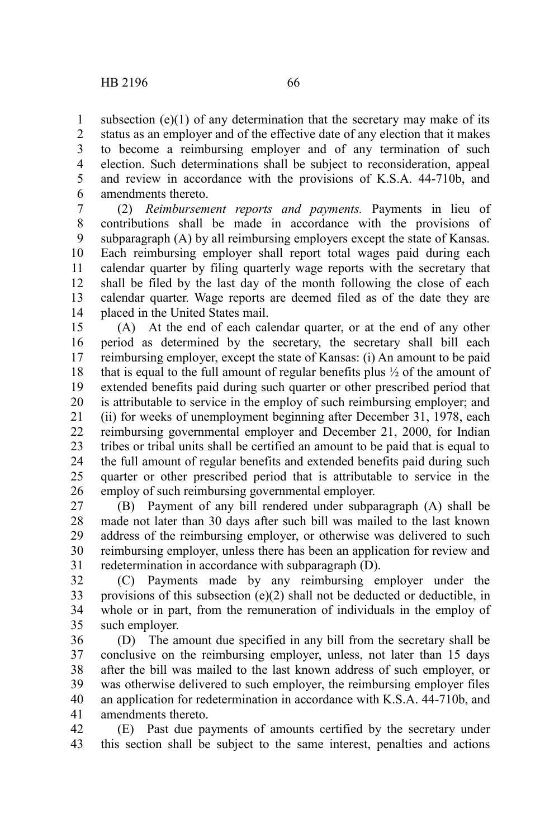subsection  $(e)(1)$  of any determination that the secretary may make of its status as an employer and of the effective date of any election that it makes to become a reimbursing employer and of any termination of such election. Such determinations shall be subject to reconsideration, appeal and review in accordance with the provisions of K.S.A. 44-710b, and amendments thereto. 1 2 3 4 5 6

(2) *Reimbursement reports and payments.* Payments in lieu of contributions shall be made in accordance with the provisions of subparagraph (A) by all reimbursing employers except the state of Kansas. Each reimbursing employer shall report total wages paid during each calendar quarter by filing quarterly wage reports with the secretary that shall be filed by the last day of the month following the close of each calendar quarter. Wage reports are deemed filed as of the date they are placed in the United States mail. 7 8 9 10 11 12 13 14

(A) At the end of each calendar quarter, or at the end of any other period as determined by the secretary, the secretary shall bill each reimbursing employer, except the state of Kansas: (i) An amount to be paid that is equal to the full amount of regular benefits plus ½ of the amount of extended benefits paid during such quarter or other prescribed period that is attributable to service in the employ of such reimbursing employer; and (ii) for weeks of unemployment beginning after December 31, 1978, each reimbursing governmental employer and December 21, 2000, for Indian tribes or tribal units shall be certified an amount to be paid that is equal to the full amount of regular benefits and extended benefits paid during such quarter or other prescribed period that is attributable to service in the employ of such reimbursing governmental employer. 15 16 17 18 19 20 21 22 23 24 25 26

(B) Payment of any bill rendered under subparagraph (A) shall be made not later than 30 days after such bill was mailed to the last known address of the reimbursing employer, or otherwise was delivered to such reimbursing employer, unless there has been an application for review and redetermination in accordance with subparagraph (D). 27 28 29 30 31

(C) Payments made by any reimbursing employer under the provisions of this subsection (e)(2) shall not be deducted or deductible, in whole or in part, from the remuneration of individuals in the employ of such employer. 32 33 34 35

(D) The amount due specified in any bill from the secretary shall be conclusive on the reimbursing employer, unless, not later than 15 days after the bill was mailed to the last known address of such employer, or was otherwise delivered to such employer, the reimbursing employer files an application for redetermination in accordance with K.S.A. 44-710b, and amendments thereto. 36 37 38 39 40 41

(E) Past due payments of amounts certified by the secretary under this section shall be subject to the same interest, penalties and actions 42 43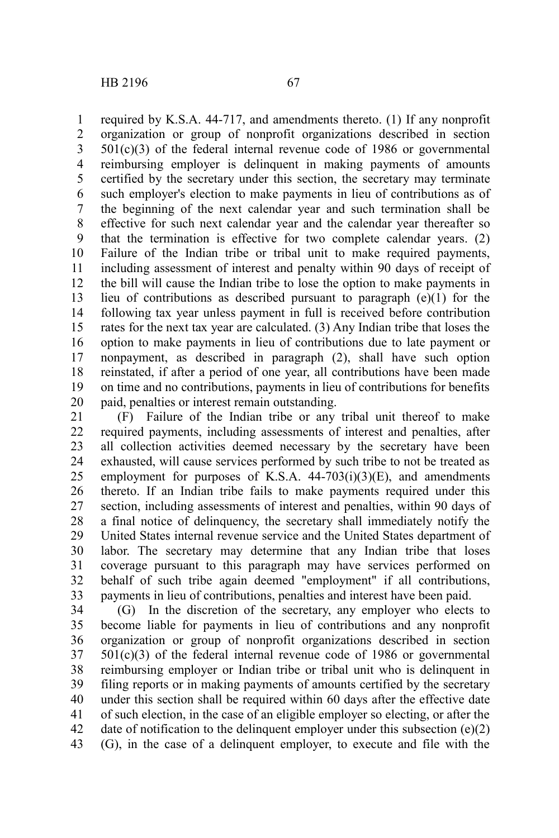required by K.S.A. 44-717, and amendments thereto. (1) If any nonprofit organization or group of nonprofit organizations described in section 501(c)(3) of the federal internal revenue code of 1986 or governmental reimbursing employer is delinquent in making payments of amounts certified by the secretary under this section, the secretary may terminate such employer's election to make payments in lieu of contributions as of the beginning of the next calendar year and such termination shall be effective for such next calendar year and the calendar year thereafter so that the termination is effective for two complete calendar years. (2) Failure of the Indian tribe or tribal unit to make required payments, including assessment of interest and penalty within 90 days of receipt of the bill will cause the Indian tribe to lose the option to make payments in lieu of contributions as described pursuant to paragraph  $(e)(1)$  for the following tax year unless payment in full is received before contribution rates for the next tax year are calculated. (3) Any Indian tribe that loses the option to make payments in lieu of contributions due to late payment or nonpayment, as described in paragraph (2), shall have such option reinstated, if after a period of one year, all contributions have been made on time and no contributions, payments in lieu of contributions for benefits paid, penalties or interest remain outstanding. 1 2 3 4 5 6 7 8 9 10 11 12 13 14 15 16 17 18 19 20

(F) Failure of the Indian tribe or any tribal unit thereof to make required payments, including assessments of interest and penalties, after all collection activities deemed necessary by the secretary have been exhausted, will cause services performed by such tribe to not be treated as employment for purposes of K.S.A.  $44-703(i)(3)(E)$ , and amendments thereto. If an Indian tribe fails to make payments required under this section, including assessments of interest and penalties, within 90 days of a final notice of delinquency, the secretary shall immediately notify the United States internal revenue service and the United States department of labor. The secretary may determine that any Indian tribe that loses coverage pursuant to this paragraph may have services performed on behalf of such tribe again deemed "employment" if all contributions, payments in lieu of contributions, penalties and interest have been paid. 21 22 23 24 25 26 27 28 29 30 31 32 33

(G) In the discretion of the secretary, any employer who elects to become liable for payments in lieu of contributions and any nonprofit organization or group of nonprofit organizations described in section  $501(c)(3)$  of the federal internal revenue code of 1986 or governmental reimbursing employer or Indian tribe or tribal unit who is delinquent in filing reports or in making payments of amounts certified by the secretary under this section shall be required within 60 days after the effective date of such election, in the case of an eligible employer so electing, or after the date of notification to the delinquent employer under this subsection (e)(2) (G), in the case of a delinquent employer, to execute and file with the 34 35 36 37 38 39 40 41 42 43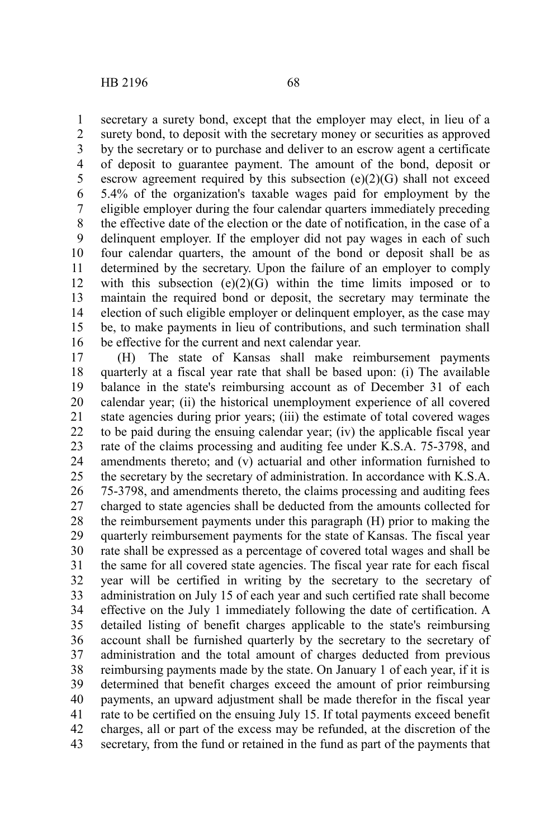secretary a surety bond, except that the employer may elect, in lieu of a surety bond, to deposit with the secretary money or securities as approved by the secretary or to purchase and deliver to an escrow agent a certificate of deposit to guarantee payment. The amount of the bond, deposit or escrow agreement required by this subsection  $(e)(2)(G)$  shall not exceed 5.4% of the organization's taxable wages paid for employment by the eligible employer during the four calendar quarters immediately preceding the effective date of the election or the date of notification, in the case of a delinquent employer. If the employer did not pay wages in each of such four calendar quarters, the amount of the bond or deposit shall be as determined by the secretary. Upon the failure of an employer to comply with this subsection  $(e)(2)(G)$  within the time limits imposed or to maintain the required bond or deposit, the secretary may terminate the election of such eligible employer or delinquent employer, as the case may be, to make payments in lieu of contributions, and such termination shall be effective for the current and next calendar year. 1 2 3 4 5 6 7 8 9 10 11 12 13 14 15 16

(H) The state of Kansas shall make reimbursement payments quarterly at a fiscal year rate that shall be based upon: (i) The available balance in the state's reimbursing account as of December 31 of each calendar year; (ii) the historical unemployment experience of all covered state agencies during prior years; (iii) the estimate of total covered wages to be paid during the ensuing calendar year; (iv) the applicable fiscal year rate of the claims processing and auditing fee under K.S.A. 75-3798, and amendments thereto; and (v) actuarial and other information furnished to the secretary by the secretary of administration. In accordance with K.S.A. 75-3798, and amendments thereto, the claims processing and auditing fees charged to state agencies shall be deducted from the amounts collected for the reimbursement payments under this paragraph (H) prior to making the quarterly reimbursement payments for the state of Kansas. The fiscal year rate shall be expressed as a percentage of covered total wages and shall be the same for all covered state agencies. The fiscal year rate for each fiscal year will be certified in writing by the secretary to the secretary of administration on July 15 of each year and such certified rate shall become effective on the July 1 immediately following the date of certification. A detailed listing of benefit charges applicable to the state's reimbursing account shall be furnished quarterly by the secretary to the secretary of administration and the total amount of charges deducted from previous reimbursing payments made by the state. On January 1 of each year, if it is determined that benefit charges exceed the amount of prior reimbursing payments, an upward adjustment shall be made therefor in the fiscal year rate to be certified on the ensuing July 15. If total payments exceed benefit charges, all or part of the excess may be refunded, at the discretion of the secretary, from the fund or retained in the fund as part of the payments that 17 18 19 20 21 22 23 24 25 26 27 28 29 30 31 32 33 34 35 36 37 38 39 40 41 42 43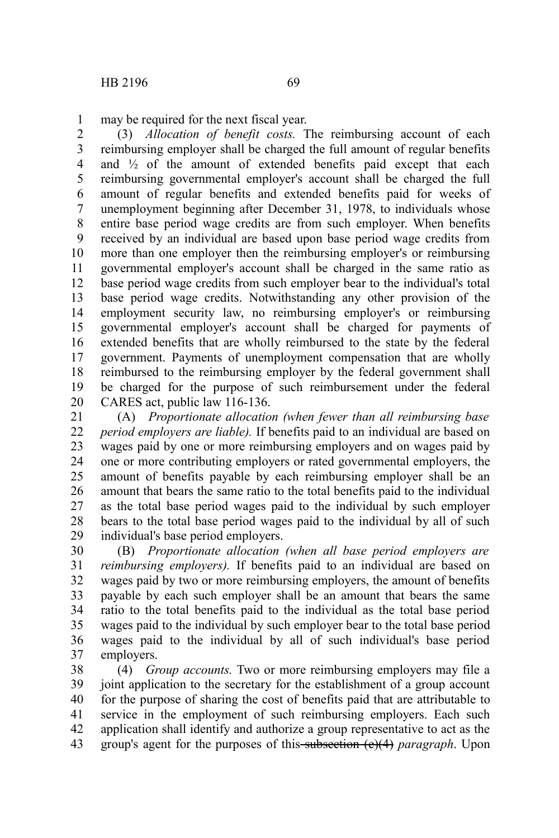may be required for the next fiscal year. 1

(3) *Allocation of benefit costs.* The reimbursing account of each reimbursing employer shall be charged the full amount of regular benefits and  $\frac{1}{2}$  of the amount of extended benefits paid except that each reimbursing governmental employer's account shall be charged the full amount of regular benefits and extended benefits paid for weeks of unemployment beginning after December 31, 1978, to individuals whose entire base period wage credits are from such employer. When benefits received by an individual are based upon base period wage credits from more than one employer then the reimbursing employer's or reimbursing governmental employer's account shall be charged in the same ratio as base period wage credits from such employer bear to the individual's total base period wage credits. Notwithstanding any other provision of the employment security law, no reimbursing employer's or reimbursing governmental employer's account shall be charged for payments of extended benefits that are wholly reimbursed to the state by the federal government. Payments of unemployment compensation that are wholly reimbursed to the reimbursing employer by the federal government shall be charged for the purpose of such reimbursement under the federal CARES act, public law 116-136. 2 3 4 5 6 7 8 9 10 11 12 13 14 15 16 17 18 19 20

(A) *Proportionate allocation (when fewer than all reimbursing base period employers are liable).* If benefits paid to an individual are based on wages paid by one or more reimbursing employers and on wages paid by one or more contributing employers or rated governmental employers, the amount of benefits payable by each reimbursing employer shall be an amount that bears the same ratio to the total benefits paid to the individual as the total base period wages paid to the individual by such employer bears to the total base period wages paid to the individual by all of such individual's base period employers. 21 22 23 24 25 26 27 28 29

(B) *Proportionate allocation (when all base period employers are reimbursing employers).* If benefits paid to an individual are based on wages paid by two or more reimbursing employers, the amount of benefits payable by each such employer shall be an amount that bears the same ratio to the total benefits paid to the individual as the total base period wages paid to the individual by such employer bear to the total base period wages paid to the individual by all of such individual's base period employers. 30 31 32 33 34 35 36 37

(4) *Group accounts.* Two or more reimbursing employers may file a joint application to the secretary for the establishment of a group account for the purpose of sharing the cost of benefits paid that are attributable to service in the employment of such reimbursing employers. Each such application shall identify and authorize a group representative to act as the group's agent for the purposes of this subsection (e)(4) *paragraph*. Upon 38 39 40 41 42 43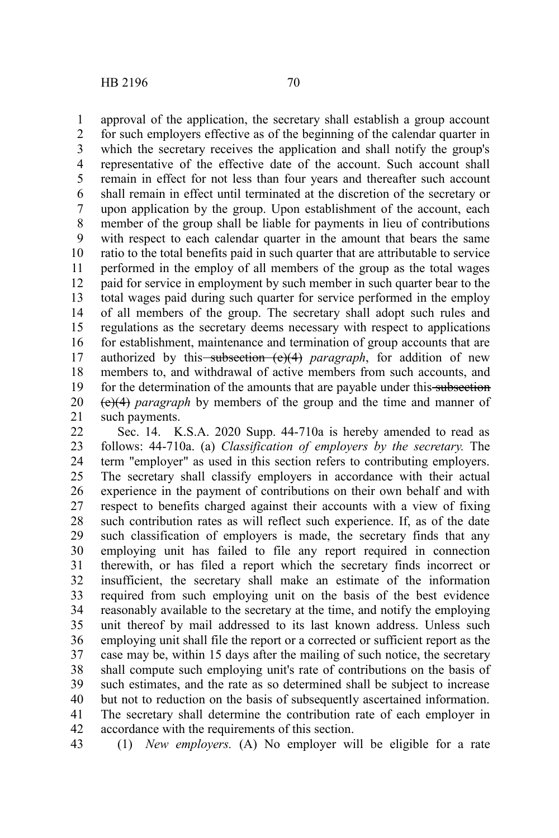approval of the application, the secretary shall establish a group account for such employers effective as of the beginning of the calendar quarter in which the secretary receives the application and shall notify the group's representative of the effective date of the account. Such account shall remain in effect for not less than four years and thereafter such account shall remain in effect until terminated at the discretion of the secretary or upon application by the group. Upon establishment of the account, each member of the group shall be liable for payments in lieu of contributions with respect to each calendar quarter in the amount that bears the same ratio to the total benefits paid in such quarter that are attributable to service performed in the employ of all members of the group as the total wages paid for service in employment by such member in such quarter bear to the total wages paid during such quarter for service performed in the employ of all members of the group. The secretary shall adopt such rules and regulations as the secretary deems necessary with respect to applications for establishment, maintenance and termination of group accounts that are authorized by this-subsection (e)(4) paragraph, for addition of new members to, and withdrawal of active members from such accounts, and for the determination of the amounts that are payable under this subsection (e)(4) *paragraph* by members of the group and the time and manner of such payments. 1 2 3 4 5 6 7 8 9 10 11 12 13 14 15 16 17 18 19 20 21

Sec. 14. K.S.A. 2020 Supp. 44-710a is hereby amended to read as follows: 44-710a. (a) *Classification of employers by the secretary.* The term "employer" as used in this section refers to contributing employers. The secretary shall classify employers in accordance with their actual experience in the payment of contributions on their own behalf and with respect to benefits charged against their accounts with a view of fixing such contribution rates as will reflect such experience. If, as of the date such classification of employers is made, the secretary finds that any employing unit has failed to file any report required in connection therewith, or has filed a report which the secretary finds incorrect or insufficient, the secretary shall make an estimate of the information required from such employing unit on the basis of the best evidence reasonably available to the secretary at the time, and notify the employing unit thereof by mail addressed to its last known address. Unless such employing unit shall file the report or a corrected or sufficient report as the case may be, within 15 days after the mailing of such notice, the secretary shall compute such employing unit's rate of contributions on the basis of such estimates, and the rate as so determined shall be subject to increase but not to reduction on the basis of subsequently ascertained information. The secretary shall determine the contribution rate of each employer in accordance with the requirements of this section. 22 23 24 25 26 27 28 29 30 31 32 33 34 35 36 37 38 39 40 41 42

(1) *New employers.* (A) No employer will be eligible for a rate

<sup>43</sup>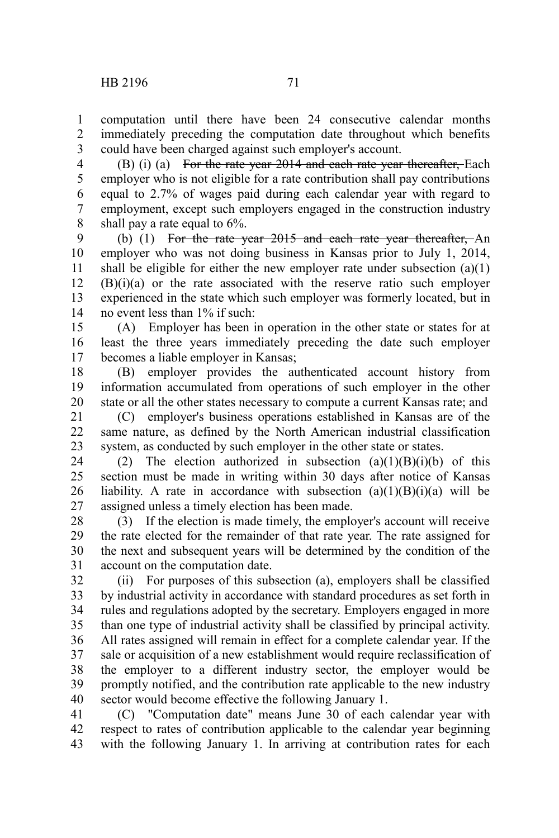1 2 3

(B) (i) (a) For the rate year 2014 and each rate year thereafter, Each employer who is not eligible for a rate contribution shall pay contributions equal to 2.7% of wages paid during each calendar year with regard to employment, except such employers engaged in the construction industry shall pay a rate equal to 6%. 4 5 6 7 8

(b) (1) For the rate year 2015 and each rate year thereafter, An employer who was not doing business in Kansas prior to July 1, 2014, shall be eligible for either the new employer rate under subsection  $(a)(1)$ (B)(i)(a) or the rate associated with the reserve ratio such employer experienced in the state which such employer was formerly located, but in no event less than 1% if such: 9 10 11 12 13 14

(A) Employer has been in operation in the other state or states for at least the three years immediately preceding the date such employer becomes a liable employer in Kansas; 15 16 17

(B) employer provides the authenticated account history from information accumulated from operations of such employer in the other state or all the other states necessary to compute a current Kansas rate; and 18 19 20

(C) employer's business operations established in Kansas are of the same nature, as defined by the North American industrial classification system, as conducted by such employer in the other state or states. 21 22 23

(2) The election authorized in subsection  $(a)(1)(B)(i)(b)$  of this section must be made in writing within 30 days after notice of Kansas liability. A rate in accordance with subsection  $(a)(1)(B)(i)(a)$  will be assigned unless a timely election has been made. 24 25 26 27

(3) If the election is made timely, the employer's account will receive the rate elected for the remainder of that rate year. The rate assigned for the next and subsequent years will be determined by the condition of the account on the computation date. 28 29 30 31

(ii) For purposes of this subsection (a), employers shall be classified by industrial activity in accordance with standard procedures as set forth in rules and regulations adopted by the secretary. Employers engaged in more than one type of industrial activity shall be classified by principal activity. All rates assigned will remain in effect for a complete calendar year. If the sale or acquisition of a new establishment would require reclassification of the employer to a different industry sector, the employer would be promptly notified, and the contribution rate applicable to the new industry sector would become effective the following January 1. 32 33 34 35 36 37 38 39 40

(C) "Computation date" means June 30 of each calendar year with respect to rates of contribution applicable to the calendar year beginning with the following January 1. In arriving at contribution rates for each 41 42 43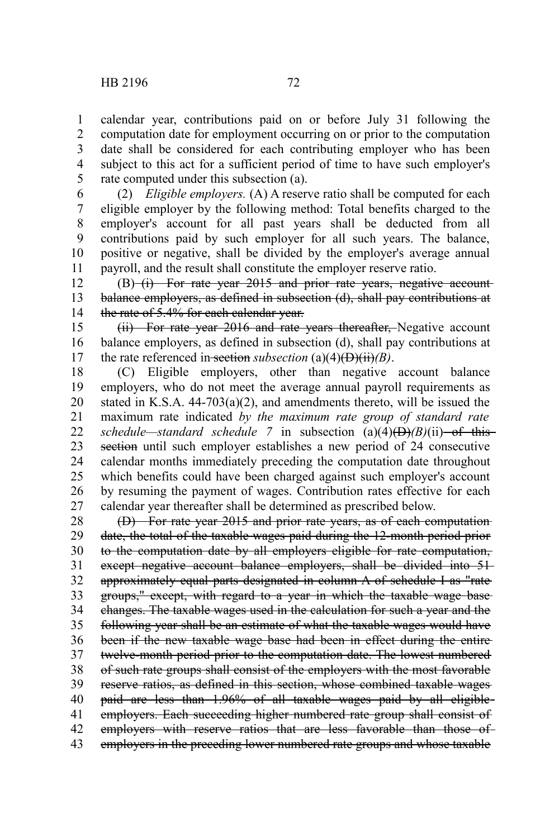1

5

calendar year, contributions paid on or before July 31 following the computation date for employment occurring on or prior to the computation date shall be considered for each contributing employer who has been subject to this act for a sufficient period of time to have such employer's rate computed under this subsection (a). 2 3 4

(2) *Eligible employers.* (A) A reserve ratio shall be computed for each eligible employer by the following method: Total benefits charged to the employer's account for all past years shall be deducted from all contributions paid by such employer for all such years. The balance, positive or negative, shall be divided by the employer's average annual payroll, and the result shall constitute the employer reserve ratio. 6 7 8 9 10 11

(B) (i) For rate year 2015 and prior rate years, negative accountbalance employers, as defined in subsection (d), shall pay contributions at the rate of 5.4% for each calendar year. 12 13 14

(ii) For rate year 2016 and rate years thereafter, Negative account balance employers, as defined in subsection (d), shall pay contributions at the rate referenced in section *subsection* (a)(4)( $\overrightarrow{D}$ )( $\overrightarrow{H}$ *i*)*(B)*. 15 16 17

(C) Eligible employers, other than negative account balance employers, who do not meet the average annual payroll requirements as stated in K.S.A.  $44-703(a)(2)$ , and amendments thereto, will be issued the maximum rate indicated *by the maximum rate group of standard rate schedule—standard schedule* 7 in subsection  $(a)(4)$ ( $\overrightarrow{D}$ ) $(B)(ii)$ —of this section until such employer establishes a new period of 24 consecutive calendar months immediately preceding the computation date throughout which benefits could have been charged against such employer's account by resuming the payment of wages. Contribution rates effective for each calendar year thereafter shall be determined as prescribed below. 18 19 20 21 22 23 24 25 26 27

(D) For rate year 2015 and prior rate years, as of each computation date, the total of the taxable wages paid during the 12-month period prior to the computation date by all employers eligible for rate computation, except negative account balance employers, shall be divided into 51 approximately equal parts designated in column A of schedule I as "rate groups," except, with regard to a year in which the taxable wage base changes. The taxable wages used in the calculation for such a year and the following year shall be an estimate of what the taxable wages would have been if the new taxable wage base had been in effect during the entire twelve-month period prior to the computation date. The lowest numbered of such rate groups shall consist of the employers with the most favorable reserve ratios, as defined in this section, whose combined taxable wages paid are less than 1.96% of all taxable wages paid by all eligible employers. Each succeeding higher numbered rate group shall consist of employers with reserve ratios that are less favorable than those ofemployers in the preceding lower numbered rate groups and whose taxable 28 29 30 31 32 33 34 35 36 37 38 39 40 41 42 43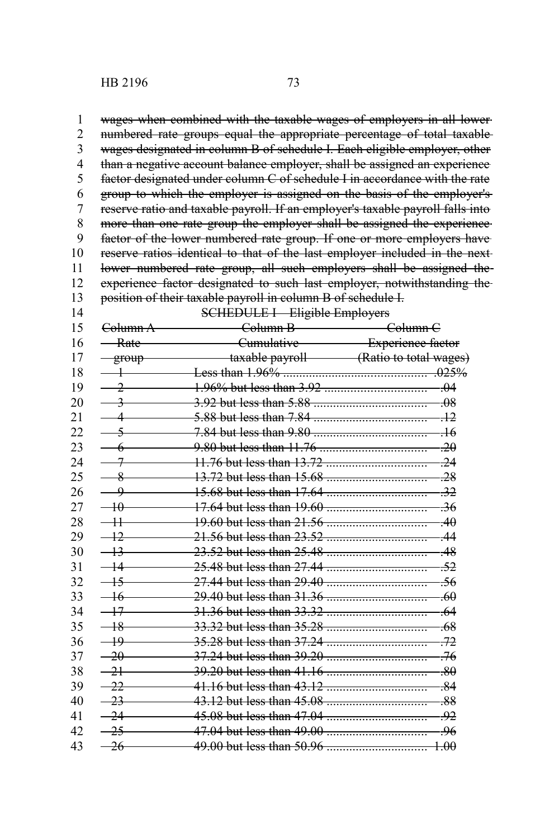HB 2196 73

wages when combined with the taxable wages of employers in all lower numbered rate groups equal the appropriate percentage of total taxable wages designated in column B of schedule I. Each eligible employer, other than a negative account balance employer, shall be assigned an experience factor designated under column C of schedule I in accordance with the rate group to which the employer is assigned on the basis of the employer's reserve ratio and taxable payroll. If an employer's taxable payroll falls into more than one rate group the employer shall be assigned the experience factor of the lower numbered rate group. If one or more employers have reserve ratios identical to that of the last employer included in the next lower numbered rate group, all such employers shall be assigned theexperience factor designated to such last employer, notwithstanding the position of their taxable payroll in column B of schedule I. 1 2 3 4 5 6 7 8 9 10 11 12 13

| <del>Column A</del> | <del>Column B</del>            | <del>Column C</del>                      |
|---------------------|--------------------------------|------------------------------------------|
| <del>Rate</del>     |                                | Cumulative Experience factor             |
| group               | taxable payroll <b>taxable</b> | (Ratio to total wages)                   |
|                     |                                | .025%                                    |
| 2                   |                                | $\overline{0}$                           |
|                     |                                | <del>08</del>                            |
|                     |                                | $+2$                                     |
|                     |                                | $\overline{16}$                          |
|                     |                                | $-20$                                    |
|                     |                                | $-24$                                    |
| ዳ                   |                                | .28                                      |
| q                   |                                | -32                                      |
| 40                  |                                | -36                                      |
|                     |                                | -40                                      |
| 12                  |                                | 44                                       |
| 12                  |                                | 48                                       |
|                     | 25.48 but less than 27.44      | -52<br>_________________________________ |
| 15                  |                                | -56                                      |
| -16                 |                                | -60                                      |
| $+7$                |                                | -64                                      |
| -18                 |                                | -68                                      |
| 49                  |                                | -72                                      |
| $-20$               |                                | -76                                      |
| $\overline{21}$     |                                | $-80$                                    |
| 22                  |                                | $-84$                                    |
| 23                  |                                | .88                                      |
| -24                 | 45.08 but less than 47.04      | -92                                      |
| 25                  |                                | -96                                      |
| $-26$               |                                | $+00$                                    |
|                     |                                | <b>SCHEDULE I—Eligible Employers</b>     |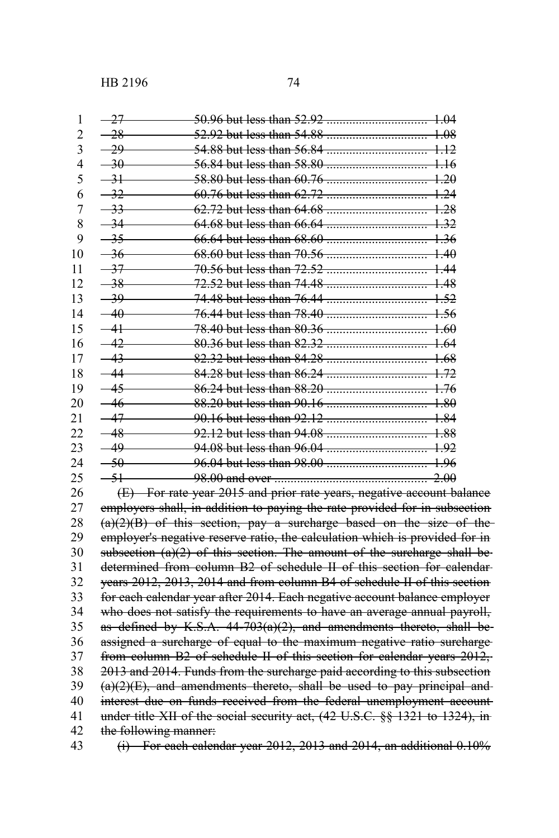HB 2196 74

| $\mathbf{1}$ | $-27$ |                                                                                                                        |
|--------------|-------|------------------------------------------------------------------------------------------------------------------------|
| 2            |       | $-28$                                                                                                                  |
| 3            |       | $-29$                                                                                                                  |
| 4            |       |                                                                                                                        |
| 5            |       | $-31$                                                                                                                  |
| 6            |       | $-32$                                                                                                                  |
| 7            |       | $-33$                                                                                                                  |
| 8            |       | $-34$                                                                                                                  |
| 9            |       | $-35$                                                                                                                  |
| 10           |       | $-36$                                                                                                                  |
| 11           |       | $-37$                                                                                                                  |
| 12           |       | $-38$                                                                                                                  |
| 13           |       |                                                                                                                        |
| 14           |       |                                                                                                                        |
| 15           |       | $-41$<br>-78.40 but less than 80.36                                                                                    |
| 16           |       | $-42$ 80.36 but less than 82.32  2010 1.64                                                                             |
| 17           |       | $-43$                                                                                                                  |
| 18           |       |                                                                                                                        |
| 19           |       |                                                                                                                        |
| 20           |       | $-46$                                                                                                                  |
| 21           |       |                                                                                                                        |
| 22           |       | $-48$                                                                                                                  |
| 23           |       | $-49$                                                                                                                  |
| 24           |       | $-50$                                                                                                                  |
| 25           |       | $-51$                                                                                                                  |
| 26           |       | (E) For rate year 2015 and prior rate years, negative account balance                                                  |
| 27           |       | employers shall, in addition to paying the rate provided for in subsection                                             |
| 28           |       | $(a)(2)(B)$ of this section, pay a surcharge based on the size of the                                                  |
| $\mathbf{a}$ |       | . In the contract of the components of the second state of the following the following $\mathcal{C}_{\mathbf{z}}$ . In |

employers shall, in addition to paying the rate provided for in subsection  $(a)(2)(B)$  of this section, pay a surcharge based on the size of the employer's negative reserve ratio, the calculation which is provided for in subsection  $(a)(2)$  of this section. The amount of the surcharge shall bedetermined from column B2 of schedule II of this section for calendar years 2012, 2013, 2014 and from column B4 of schedule II of this section for each calendar year after 2014. Each negative account balance employer who does not satisfy the requirements to have an average annual payroll, as defined by K.S.A.  $44-703(a)(2)$ , and amendments thereto, shall beassigned a surcharge of equal to the maximum negative ratio surcharge from column B2 of schedule II of this section for calendar years 2012, 2013 and 2014. Funds from the surcharge paid according to this subsection  $(a)(2)(E)$ , and amendments thereto, shall be used to pay principal andinterest due on funds received from the federal unemployment account under title XII of the social security act, (42 U.S.C. §§ 1321 to 1324), in the following manner: 29 30 31 32 33 34 35 36 37 38 39 40 41 42 43

 $(i)$  For each calendar year 2012, 2013 and 2014, an additional 0.10%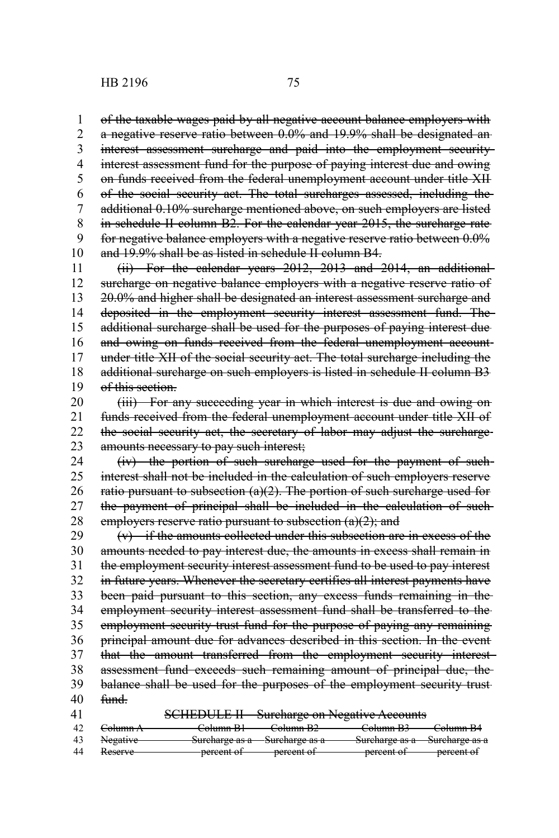of the taxable wages paid by all negative account balance employers with a negative reserve ratio between 0.0% and 19.9% shall be designated an interest assessment surcharge and paid into the employment security interest assessment fund for the purpose of paying interest due and owing on funds received from the federal unemployment account under title XII of the social security act. The total surcharges assessed, including the additional 0.10% surcharge mentioned above, on such employers are listed in schedule II column B2. For the calendar year 2015, the surcharge rate for negative balance employers with a negative reserve ratio between 0.0% and 19.9% shall be as listed in schedule II column B4. 1 2 3 4 5 6 7 8 9 10

(ii) For the calendar years 2012, 2013 and 2014, an additional surcharge on negative balance employers with a negative reserve ratio of 20.0% and higher shall be designated an interest assessment surcharge and deposited in the employment security interest assessment fund. The additional surcharge shall be used for the purposes of paying interest due and owing on funds received from the federal unemployment account under title XII of the social security act. The total surcharge including the additional surcharge on such employers is listed in schedule II column B3 of this section. 11 12 13 14 15 16 17 18 19

(iii) For any succeeding year in which interest is due and owing on funds received from the federal unemployment account under title XII of the social security act, the secretary of labor may adjust the surcharge amounts necessary to pay such interest; 20 21 22 23

(iv) the portion of such surcharge used for the payment of such interest shall not be included in the calculation of such employers reserve ratio pursuant to subsection  $(a)(2)$ . The portion of such surcharge used for the payment of principal shall be included in the calculation of such employers reserve ratio pursuant to subsection (a)(2); and 24 25 26 27 28

(v) if the amounts collected under this subsection are in excess of the amounts needed to pay interest due, the amounts in excess shall remain in the employment security interest assessment fund to be used to pay interest in future years. Whenever the secretary certifies all interest payments have been paid pursuant to this section, any excess funds remaining in the employment security interest assessment fund shall be transferred to the employment security trust fund for the purpose of paying any remaining principal amount due for advances described in this section. In the event that the amount transferred from the employment security interest assessment fund exceeds such remaining amount of principal due, the balance shall be used for the purposes of the employment security trust fund. SCHEDULE II—Surcharge on Negative Accounts 29 30 31 32 33 34 35 36 37 38 39 40 41

| -42 | <del>Column A</del> | <del>Column B1 -</del> | <del>-Column B2</del>         | -Column B3 | <del>Column B4</del>          |
|-----|---------------------|------------------------|-------------------------------|------------|-------------------------------|
|     |                     |                        |                               |            |                               |
|     | Negative            |                        | Sureharge as a Sureharge as a |            | Sureharge as a Sureharge as a |
|     |                     |                        |                               |            |                               |
| 44  | <del>Reserve</del>  | percent of             | -percent of                   | percent of | <del>-percent of</del>        |
|     |                     |                        |                               |            |                               |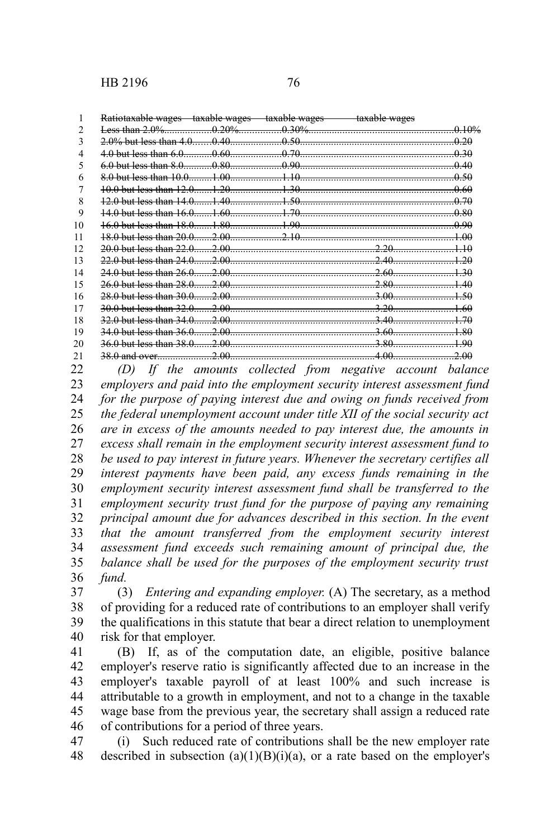1

| Potiotovable wages            | $t$ ovoblo wagog | $t$ ovoblo wagog | taxable waqea            |
|-------------------------------|------------------|------------------|--------------------------|
| <del>Rationaxable wages</del> | taxaon wagos     | taxaon wagos     | <del>taxavic wages</del> |

| າ   |                                                                                                                 |      | $-0.20\%$ $-0.30\%$ |                |         |
|-----|-----------------------------------------------------------------------------------------------------------------|------|---------------------|----------------|---------|
| 3   |                                                                                                                 |      |                     |                | $-0.20$ |
| 4   | $4.0$ but less than 6.0                                                                                         |      |                     | $-0.60$ 0.70   | 0.30    |
| 5   | $6.0$ but less than $8.0$                                                                                       |      |                     | $0.80$ $0.90$  | -0-40   |
| 6   |                                                                                                                 |      |                     |                | -0-50   |
|     |                                                                                                                 |      |                     |                | -0.60   |
| 8   |                                                                                                                 |      |                     |                |         |
| 9   |                                                                                                                 |      |                     |                |         |
| 10  |                                                                                                                 |      |                     |                |         |
| 11  |                                                                                                                 |      |                     |                |         |
| 12. | 20.0 but less than 22.0 2.00 2.00 2.00 2.00 2.20 2.00 2.20 2.00 2.20 2.00 2.20 2.00 2.20 2.00 2.20 2.00 2.10 2. |      |                     |                |         |
| 13  |                                                                                                                 |      |                     |                |         |
| 14  |                                                                                                                 |      |                     |                |         |
| 15  |                                                                                                                 |      |                     |                |         |
| 16  |                                                                                                                 |      |                     |                |         |
| 17  | -44                                                                                                             |      |                     |                |         |
| 18  | $0$ but loss than $34.0$                                                                                        |      |                     | $-3.40$        |         |
| 19  | $0$ but loss than $36.0$                                                                                        |      | 2.00                | $-3.60$        |         |
| 20  | 0 but less than 38.0                                                                                            | 2.00 |                     | $-3.80$        |         |
| 21  | and over                                                                                                        |      |                     | $-2.00$ $4.00$ |         |

*(D) If the amounts collected from negative account balance employers and paid into the employment security interest assessment fund for the purpose of paying interest due and owing on funds received from the federal unemployment account under title XII of the social security act are in excess of the amounts needed to pay interest due, the amounts in excess shall remain in the employment security interest assessment fund to be used to pay interest in future years. Whenever the secretary certifies all interest payments have been paid, any excess funds remaining in the employment security interest assessment fund shall be transferred to the employment security trust fund for the purpose of paying any remaining principal amount due for advances described in this section. In the event that the amount transferred from the employment security interest assessment fund exceeds such remaining amount of principal due, the balance shall be used for the purposes of the employment security trust fund.* 22 23 24 25 26 27 28 29 30 31 32 33 34 35 36

(3) *Entering and expanding employer.* (A) The secretary, as a method of providing for a reduced rate of contributions to an employer shall verify the qualifications in this statute that bear a direct relation to unemployment risk for that employer. 37 38 39 40

(B) If, as of the computation date, an eligible, positive balance employer's reserve ratio is significantly affected due to an increase in the employer's taxable payroll of at least 100% and such increase is attributable to a growth in employment, and not to a change in the taxable wage base from the previous year, the secretary shall assign a reduced rate of contributions for a period of three years. 41 42 43 44 45 46

(i) Such reduced rate of contributions shall be the new employer rate described in subsection  $(a)(1)(B)(i)(a)$ , or a rate based on the employer's 47 48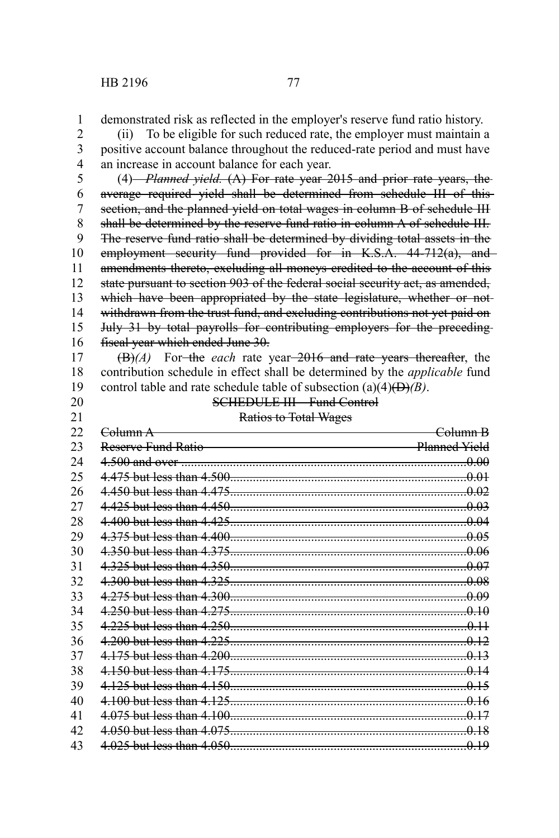demonstrated risk as reflected in the employer's reserve fund ratio history. 1

(ii) To be eligible for such reduced rate, the employer must maintain a positive account balance throughout the reduced-rate period and must have an increase in account balance for each year. 2 3 4

(4) *Planned yield.* (A) For rate year 2015 and prior rate years, the average required yield shall be determined from schedule III of this section, and the planned yield on total wages in column B of schedule III shall be determined by the reserve fund ratio in column A of schedule III. The reserve fund ratio shall be determined by dividing total assets in the employment security fund provided for in K.S.A. 44-712(a), and amendments thereto, excluding all moneys credited to the account of this state pursuant to section 903 of the federal social security act, as amended, which have been appropriated by the state legislature, whether or notwithdrawn from the trust fund, and excluding contributions not yet paid on July 31 by total payrolls for contributing employers for the preceding fiscal year which ended June 30. 5 6 7 8 9 10 11 12 13 14 15 16

(B)*(A)* For the *each* rate year 2016 and rate years thereafter, the contribution schedule in effect shall be determined by the *applicable* fund control table and rate schedule table of subsection (a)(4)(D)*(B)*. 17 18 19

- 20 21
- 
- SCHEDULE III—Fund Control Ratios to Total Wages

| 22 | <del>Column A</del>       | <del>Column R</del> |
|----|---------------------------|---------------------|
| 23 | <u>Reserve Fund Ratio</u> | Planned Yield       |
| 24 |                           |                     |
| 25 |                           |                     |
| 26 |                           |                     |
| 27 |                           |                     |
| 28 |                           |                     |
| 29 |                           |                     |
| 30 |                           |                     |
| 31 |                           |                     |
| 32 |                           |                     |
| 33 |                           |                     |
| 34 |                           |                     |
| 35 |                           |                     |
| 36 |                           |                     |
| 37 |                           |                     |
| 38 |                           |                     |
| 39 |                           |                     |
| 40 |                           |                     |
| 41 |                           |                     |
| 42 |                           |                     |
| 43 |                           |                     |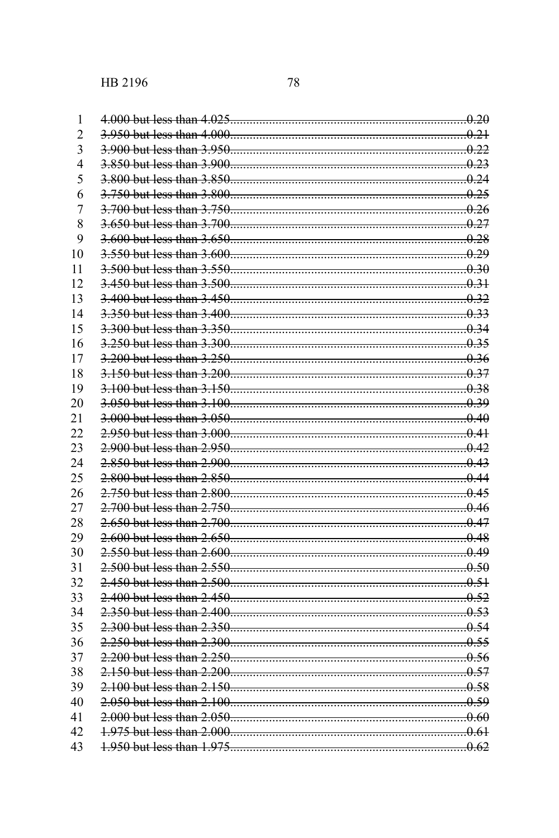| 1<br>$\overline{c}$ |                            |  |
|---------------------|----------------------------|--|
| 3                   |                            |  |
| 4                   |                            |  |
| 5                   |                            |  |
| 6                   |                            |  |
| $\overline{7}$      |                            |  |
| 8                   |                            |  |
| 9                   |                            |  |
|                     |                            |  |
| 10                  |                            |  |
| 11                  |                            |  |
| 12                  |                            |  |
| 13                  | 3.350 but less than 3.400. |  |
| 14                  |                            |  |
| 15                  |                            |  |
| 16                  |                            |  |
| 17                  |                            |  |
| 18                  | 3.150 but less than 3.200. |  |
| 19                  |                            |  |
| 20                  |                            |  |
| 21                  |                            |  |
| 22                  |                            |  |
| 23                  |                            |  |
| 24                  |                            |  |
| 25                  |                            |  |
| 26                  |                            |  |
| 27                  |                            |  |
| 28                  |                            |  |
| 29                  |                            |  |
| 30                  |                            |  |
| 31                  |                            |  |
| 32                  |                            |  |
| 33                  |                            |  |
| 34                  |                            |  |
| 35                  |                            |  |
| 36                  |                            |  |
| 37                  |                            |  |
| 38                  |                            |  |
| 39                  |                            |  |
| 40                  |                            |  |
| 41                  |                            |  |
| 42                  |                            |  |
| 43                  |                            |  |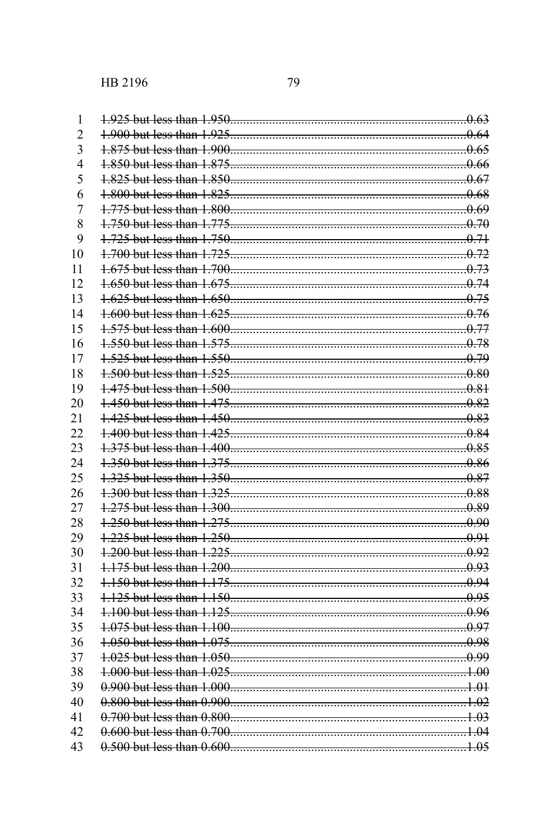| 1              |  |
|----------------|--|
| $\overline{2}$ |  |
| 3              |  |
| $\overline{4}$ |  |
| 5              |  |
| 6              |  |
| $\overline{7}$ |  |
| 8              |  |
|                |  |
| 9              |  |
| 10             |  |
| 11             |  |
| 12             |  |
| 13             |  |
| 14             |  |
| 15             |  |
| 16             |  |
| 17             |  |
| 18             |  |
| 19             |  |
| 20             |  |
| 21             |  |
| 22             |  |
| 23             |  |
| 24             |  |
| 25             |  |
| 26             |  |
| 27             |  |
| 28             |  |
| 29             |  |
| 30             |  |
| 31             |  |
| 32             |  |
| 33             |  |
| 34             |  |
| 35             |  |
| 36             |  |
| 37             |  |
| 38             |  |
| 39             |  |
| 40             |  |
| 41             |  |
| 42             |  |
| 43             |  |
|                |  |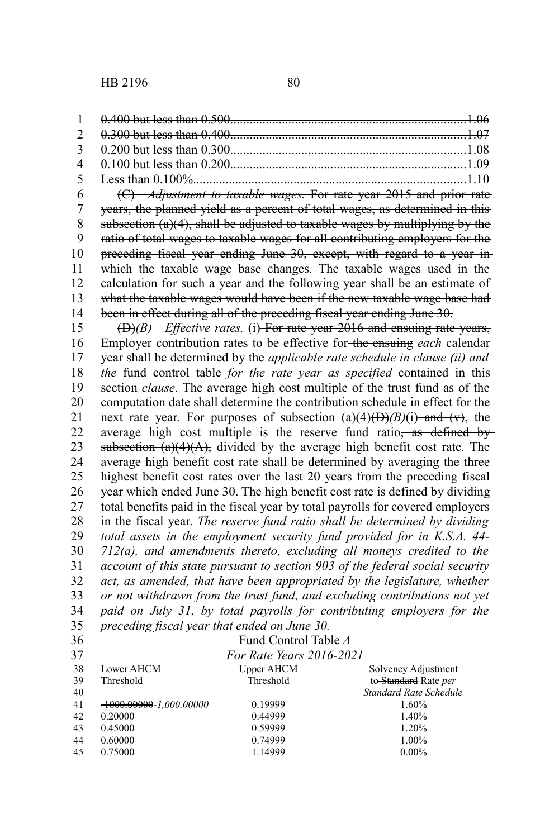(C) *Adjustment to taxable wages.* For rate year 2015 and prior rate years, the planned yield as a percent of total wages, as determined in this subsection  $(a)(4)$ , shall be adjusted to taxable wages by multiplying by the ratio of total wages to taxable wages for all contributing employers for the preceding fiscal year ending June 30, except, with regard to a year in which the taxable wage base changes. The taxable wages used in the calculation for such a year and the following year shall be an estimate of what the taxable wages would have been if the new taxable wage base had been in effect during all of the preceding fiscal year ending June 30. 6 7 8 9 10 11 12 13 14

(D)*(B) Effective rates.* (i) For rate year 2016 and ensuing rate years, Employer contribution rates to be effective for the ensuing *each* calendar year shall be determined by the *applicable rate schedule in clause (ii) and the* fund control table *for the rate year as specified* contained in this section *clause*. The average high cost multiple of the trust fund as of the computation date shall determine the contribution schedule in effect for the next rate year. For purposes of subsection  $(a)(4)(D)(B)(i)$  and  $(v)$ , the average high cost multiple is the reserve fund ratio, as defined by subsection  $(a)(4)(A)$ , divided by the average high benefit cost rate. The average high benefit cost rate shall be determined by averaging the three highest benefit cost rates over the last 20 years from the preceding fiscal year which ended June 30. The high benefit cost rate is defined by dividing total benefits paid in the fiscal year by total payrolls for covered employers in the fiscal year. *The reserve fund ratio shall be determined by dividing total assets in the employment security fund provided for in K.S.A. 44- 712(a), and amendments thereto, excluding all moneys credited to the account of this state pursuant to section 903 of the federal social security act, as amended, that have been appropriated by the legislature, whether or not withdrawn from the trust fund, and excluding contributions not yet paid on July 31, by total payrolls for contributing employers for the preceding fiscal year that ended on June 30.* 15 16 17 18 19 20 21 22 23 24 25 26 27 28 29 30 31 32 33 34 35

36  $\sim$ 

## Fund Control Table *A*

| 37 |                             | For Rate Years 2016-2021 |                        |
|----|-----------------------------|--------------------------|------------------------|
| 38 | Lower AHCM                  | <b>Upper AHCM</b>        | Solvency Adjustment    |
| 39 | Threshold                   | Threshold                | to-Standard Rate per   |
| 40 |                             |                          | Standard Rate Schedule |
| 41 | $-1000.00000 - 1.000.00000$ | 0.19999                  | 1.60%                  |
| 42 | 0.20000                     | 0.44999                  | 1.40%                  |
| 43 | 0.45000                     | 0.59999                  | 1.20%                  |
| 44 | 0.60000                     | 0.74999                  | 1.00%                  |
| 45 | 0.75000                     | 1.14999                  | $0.00\%$               |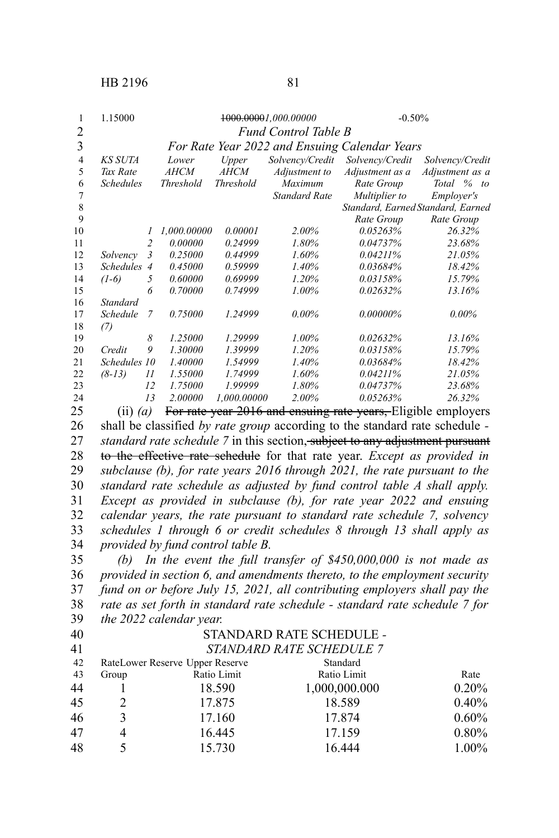| 1  | 1.15000          |                |                  |                  | <del>1000.0000</del> 1,000.00000 | $-0.50%$                                      |                     |
|----|------------------|----------------|------------------|------------------|----------------------------------|-----------------------------------------------|---------------------|
| 2  |                  |                |                  |                  | Fund Control Table B             |                                               |                     |
| 3  |                  |                |                  |                  |                                  | For Rate Year 2022 and Ensuing Calendar Years |                     |
| 4  | KS SUTA          |                | Lower            | Upper            | Solvency/Credit                  | Solvency/Credit                               | Solvency/Credit     |
| 5  | Tax Rate         |                | <b>AHCM</b>      | <b>AHCM</b>      | Adjustment to                    | Adjustment as a                               | Adjustment as a     |
| 6  | <b>Schedules</b> |                | <b>Threshold</b> | <b>Threshold</b> | Maximum                          | Rate Group                                    | Total %<br>$\omega$ |
| 7  |                  |                |                  |                  | <b>Standard Rate</b>             | Multiplier to                                 | Employer's          |
| 8  |                  |                |                  |                  |                                  | Standard, Earned Standard, Earned             |                     |
| 9  |                  |                |                  |                  |                                  | Rate Group                                    | Rate Group          |
| 10 |                  | 1              | 1,000.00000      | 0.00001          | $2.00\%$                         | 0.05263%                                      | 26.32%              |
| 11 |                  | $\overline{c}$ | 0.00000          | 0.24999          | 1.80%                            | 0.04737%                                      | 23.68%              |
| 12 | Solvency         | 3              | 0.25000          | 0.44999          | 1.60%                            | $0.04211\%$                                   | 21.05%              |
| 13 | <b>Schedules</b> | $\overline{4}$ | 0.45000          | 0.59999          | 1.40%                            | 0.03684%                                      | 18.42%              |
| 14 | $(1-6)$          | 5              | 0.60000          | 0.69999          | 1.20%                            | 0.03158%                                      | 15.79%              |
| 15 |                  | 6              | 0.70000          | 0.74999          | $1.00\%$                         | 0.02632%                                      | 13.16%              |
| 16 | Standard         |                |                  |                  |                                  |                                               |                     |
| 17 | Schedule         | $\overline{7}$ | 0.75000          | 1.24999          | $0.00\%$                         | $0.00000\%$                                   | $0.00\%$            |
| 18 | (7)              |                |                  |                  |                                  |                                               |                     |
| 19 |                  | 8              | 1.25000          | 1.29999          | $1.00\%$                         | 0.02632%                                      | 13.16%              |
| 20 | Credit           | 9              | 1.30000          | 1.39999          | 1.20%                            | 0.03158%                                      | 15.79%              |
| 21 | <b>Schedules</b> | 10             | 1.40000          | 1.54999          | 1.40%                            | 0.03684%                                      | 18.42%              |
| 22 | $(8-13)$         | 11             | 1.55000          | 1.74999          | 1.60%                            | 0.04211%                                      | 21.05%              |
| 23 |                  | 12             | 1.75000          | 1.99999          | 1.80%                            | 0.04737%                                      | 23.68%              |
| 24 |                  | 13             | 2.00000          | 1.000.00000      | $2.00\%$                         | 0.05263%                                      | 26.32%              |

(ii) *(a)* For rate year 2016 and ensuing rate years, Eligible employers shall be classified *by rate group* according to the standard rate schedule *standard rate schedule 7* in this section, subject to any adjustment pursuant to the effective rate schedule for that rate year. *Except as provided in subclause (b), for rate years 2016 through 2021, the rate pursuant to the standard rate schedule as adjusted by fund control table A shall apply. Except as provided in subclause (b), for rate year 2022 and ensuing calendar years, the rate pursuant to standard rate schedule 7, solvency schedules 1 through 6 or credit schedules 8 through 13 shall apply as provided by fund control table B.* 

*(b) In the event the full transfer of \$450,000,000 is not made as provided in section 6, and amendments thereto, to the employment security fund on or before July 15, 2021, all contributing employers shall pay the rate as set forth in standard rate schedule - standard rate schedule 7 for the 2022 calendar year.* 

| ×<br>۰, |
|---------|
|         |

## STANDARD RATE SCHEDULE *- STANDARD RATE SCHEDULE 7*

| 42 |       | RateLower Reserve Upper Reserve | Standard      |       |
|----|-------|---------------------------------|---------------|-------|
| 43 | Group | Ratio Limit                     | Ratio Limit   | Rate  |
| 44 |       | 18.590                          | 1,000,000.000 | 0.20% |
| 45 |       | 17.875                          | 18.589        | 0.40% |
| 46 |       | 17.160                          | 17.874        | 0.60% |
| 47 |       | 16.445                          | 17.159        | 0.80% |
| 48 |       | 15.730                          | 16.444        | 1.00% |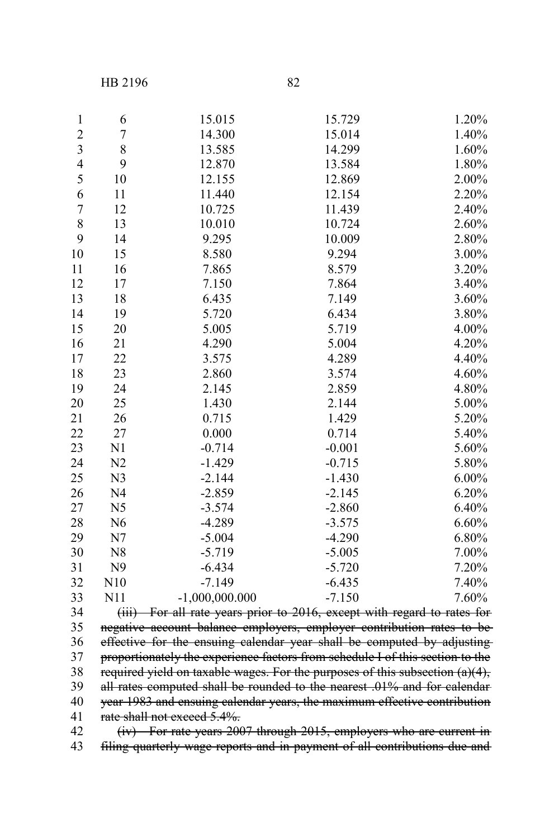HB 2196 82

| $\mathbf{1}$            | 6              | 15.015                                                                        | 15.729   | 1.20%    |
|-------------------------|----------------|-------------------------------------------------------------------------------|----------|----------|
| $\overline{\mathbf{c}}$ | 7              | 14.300                                                                        | 15.014   | 1.40%    |
| $\overline{\mathbf{3}}$ | 8              | 13.585                                                                        | 14.299   | 1.60%    |
| $\overline{4}$          | 9              | 12.870                                                                        | 13.584   | 1.80%    |
| 5                       | 10             | 12.155                                                                        | 12.869   | 2.00%    |
| 6                       | 11             | 11.440                                                                        | 12.154   | 2.20%    |
| 7                       | 12             | 10.725                                                                        | 11.439   | 2.40%    |
| $\,$ $\,$               | 13             | 10.010                                                                        | 10.724   | 2.60%    |
| 9                       | 14             | 9.295                                                                         | 10.009   | 2.80%    |
| 10                      | 15             | 8.580                                                                         | 9.294    | 3.00%    |
| 11                      | 16             | 7.865                                                                         | 8.579    | 3.20%    |
| 12                      | 17             | 7.150                                                                         | 7.864    | 3.40%    |
| 13                      | 18             | 6.435                                                                         | 7.149    | 3.60%    |
| 14                      | 19             | 5.720                                                                         | 6.434    | $3.80\%$ |
| 15                      | 20             | 5.005                                                                         | 5.719    | 4.00%    |
| 16                      | 21             | 4.290                                                                         | 5.004    | 4.20%    |
| 17                      | 22             | 3.575                                                                         | 4.289    | 4.40%    |
| 18                      | 23             | 2.860                                                                         | 3.574    | 4.60%    |
| 19                      | 24             | 2.145                                                                         | 2.859    | 4.80%    |
| 20                      | 25             | 1.430                                                                         | 2.144    | 5.00%    |
| 21                      | 26             | 0.715                                                                         | 1.429    | 5.20%    |
| 22                      | 27             | 0.000                                                                         | 0.714    | 5.40%    |
| 23                      | N1             | $-0.714$                                                                      | $-0.001$ | 5.60%    |
| 24                      | N <sub>2</sub> | $-1.429$                                                                      | $-0.715$ | 5.80%    |
| 25                      | N <sub>3</sub> | $-2.144$                                                                      | $-1.430$ | $6.00\%$ |
| 26                      | N <sub>4</sub> | $-2.859$                                                                      | $-2.145$ | 6.20%    |
| 27                      | N <sub>5</sub> | $-3.574$                                                                      | $-2.860$ | 6.40%    |
| 28                      | N <sub>6</sub> | $-4.289$                                                                      | $-3.575$ | 6.60%    |
| 29                      | N7             | $-5.004$                                                                      | $-4.290$ | 6.80%    |
| 30                      | N8             | $-5.719$                                                                      | $-5.005$ | 7.00%    |
| 31                      | N <sub>9</sub> | $-6.434$                                                                      | $-5.720$ | 7.20%    |
| 32                      | N10            | $-7.149$                                                                      | $-6.435$ | 7.40%    |
| 33                      | N11            | $-1,000,000.000$                                                              | $-7.150$ | 7.60%    |
| 34                      |                | (iii) For all rate years prior to 2016, except with regard to rates for       |          |          |
| 35                      |                | negative account balance employers, employer contribution rates to be         |          |          |
| 36                      |                | effective for the ensuing calendar year shall be computed by adjusting        |          |          |
| 37                      |                | proportionately the experience factors from schedule I of this section to the |          |          |
| 38                      |                | required yield on taxable wages. For the purposes of this subsection (a)(4),  |          |          |
| 39                      |                | all rates computed shall be rounded to the nearest .01% and for calendar      |          |          |

40 year 1983 and ensuing calendar years, the maximum effective contribution rate shall not exceed 5.4%. 

(iv) For rate years 2007 through 2015, employers who are current in filing quarterly wage reports and in payment of all contributions due and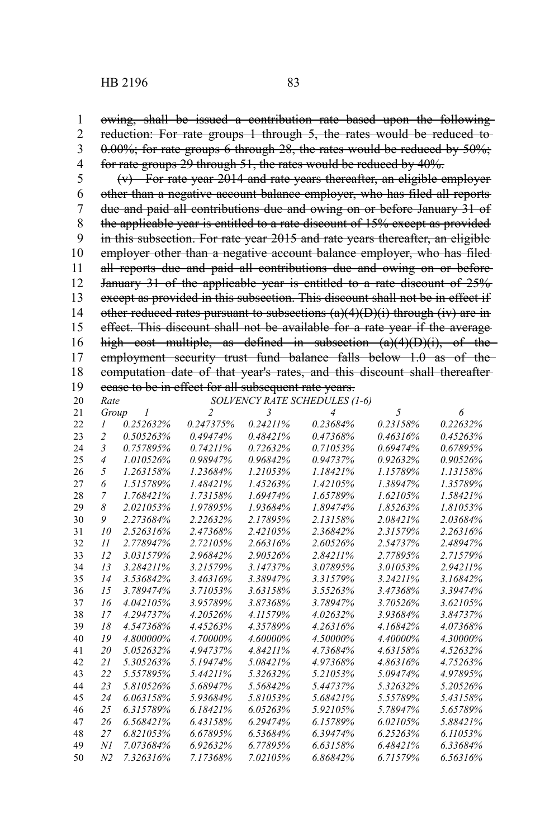owing, shall be issued a contribution rate based upon the following reduction: For rate groups 1 through 5, the rates would be reduced to- $0.00\%$ ; for rate groups 6 through 28, the rates would be reduced by  $50\%$ ; for rate groups 29 through 51, the rates would be reduced by 40%. 

(v) For rate year 2014 and rate years thereafter, an eligible employer other than a negative account balance employer, who has filed all reports due and paid all contributions due and owing on or before January 31 of the applicable year is entitled to a rate discount of 15% except as provided in this subsection. For rate year 2015 and rate years thereafter, an eligible employer other than a negative account balance employer, who has filed all reports due and paid all contributions due and owing on or before January 31 of the applicable year is entitled to a rate discount of 25% except as provided in this subsection. This discount shall not be in effect if other reduced rates pursuant to subsections  $(a)(4)(D)(i)$  through (iv) are in effect. This discount shall not be available for a rate year if the average high cost multiple, as defined in subsection (a)(4)(D)(i), of the employment security trust fund balance falls below 1.0 as of thecomputation date of that year's rates, and this discount shall thereafter cease to be in effect for all subsequent rate years. 

| 20 | Rate                    |              | SOLVENCY RATE SCHEDULES (1-6) |                |                |          |          |
|----|-------------------------|--------------|-------------------------------|----------------|----------------|----------|----------|
| 21 | Group                   | $\mathcal I$ | $\overline{c}$                | $\mathfrak{Z}$ | $\overline{4}$ | 5        | 6        |
| 22 | 1                       | 0.252632%    | 0.247375%                     | $0.24211\%$    | 0.23684%       | 0.23158% | 0.22632% |
| 23 | $\overline{2}$          | 0.505263%    | 0.49474%                      | 0.48421%       | 0.47368%       | 0.46316% | 0.45263% |
| 24 | $\overline{\mathbf{3}}$ | 0.757895%    | 0.74211%                      | 0.72632%       | 0.71053%       | 0.69474% | 0.67895% |
| 25 | $\overline{4}$          | 1.010526%    | 0.98947%                      | 0.96842%       | 0.94737%       | 0.92632% | 0.90526% |
| 26 | 5                       | 1.263158%    | 1.23684%                      | 1.21053%       | 1.18421%       | 1.15789% | 1.13158% |
| 27 | 6                       | 1.515789%    | 1.48421%                      | 1.45263%       | 1.42105%       | 1.38947% | 1.35789% |
| 28 | 7                       | 1.768421%    | 1.73158%                      | 1.69474%       | 1.65789%       | 1.62105% | 1.58421% |
| 29 | 8                       | 2.021053%    | 1.97895%                      | 1.93684%       | 1.89474%       | 1.85263% | 1.81053% |
| 30 | 9                       | 2.273684%    | 2.22632%                      | 2.17895%       | 2.13158%       | 2.08421% | 2.03684% |
| 31 | 10                      | 2.526316%    | 2.47368%                      | 2.42105%       | 2.36842%       | 2.31579% | 2.26316% |
| 32 | 11                      | 2.778947%    | 2.72105%                      | 2.66316%       | 2.60526%       | 2.54737% | 2.48947% |
| 33 | 12                      | 3.031579%    | 2.96842%                      | 2.90526%       | 2.84211%       | 2.77895% | 2.71579% |
| 34 | 13                      | 3.284211%    | 3.21579%                      | 3.14737%       | 3.07895%       | 3.01053% | 2.94211% |
| 35 | 14                      | 3.536842%    | 3.46316%                      | 3.38947%       | 3.31579%       | 3.24211% | 3.16842% |
| 36 | 15                      | 3.789474%    | 3.71053%                      | 3.63158%       | 3.55263%       | 3.47368% | 3.39474% |
| 37 | 16                      | 4.042105%    | 3.95789%                      | 3.87368%       | 3.78947%       | 3.70526% | 3.62105% |
| 38 | 17                      | 4.294737%    | 4.20526%                      | 4.11579%       | 4.02632%       | 3.93684% | 3.84737% |
| 39 | 18                      | 4.547368%    | 4.45263%                      | 4.35789%       | 4.26316%       | 4.16842% | 4.07368% |
| 40 | 19                      | 4.800000%    | 4.70000%                      | 4.60000%       | 4.50000%       | 4.40000% | 4.30000% |
| 41 | 20                      | 5.052632%    | 4.94737%                      | 4.84211%       | 4.73684%       | 4.63158% | 4.52632% |
| 42 | 21                      | 5.305263%    | 5.19474%                      | 5.08421%       | 4.97368%       | 4.86316% | 4.75263% |
| 43 | 22                      | 5.557895%    | 5.44211%                      | 5.32632%       | 5.21053%       | 5.09474% | 4.97895% |
| 44 | 23                      | 5.810526%    | 5.68947%                      | 5.56842%       | 5.44737%       | 5.32632% | 5.20526% |
| 45 | 24                      | 6.063158%    | 5.93684%                      | 5.81053%       | 5.68421%       | 5.55789% | 5.43158% |
| 46 | 25                      | 6.315789%    | 6.18421%                      | 6.05263%       | 5.92105%       | 5.78947% | 5.65789% |
| 47 | 26                      | 6.568421%    | 6.43158%                      | 6.29474%       | 6.15789%       | 6.02105% | 5.88421% |
| 48 | 27                      | 6.821053%    | 6.67895%                      | 6.53684%       | 6.39474%       | 6.25263% | 6.11053% |
| 49 | NI                      | 7.073684%    | 6.92632%                      | 6.77895%       | 6.63158%       | 6.48421% | 6.33684% |
| 50 | N <sub>2</sub>          | 7.326316%    | 7.17368%                      | 7.02105%       | 6.86842%       | 6.71579% | 6.56316% |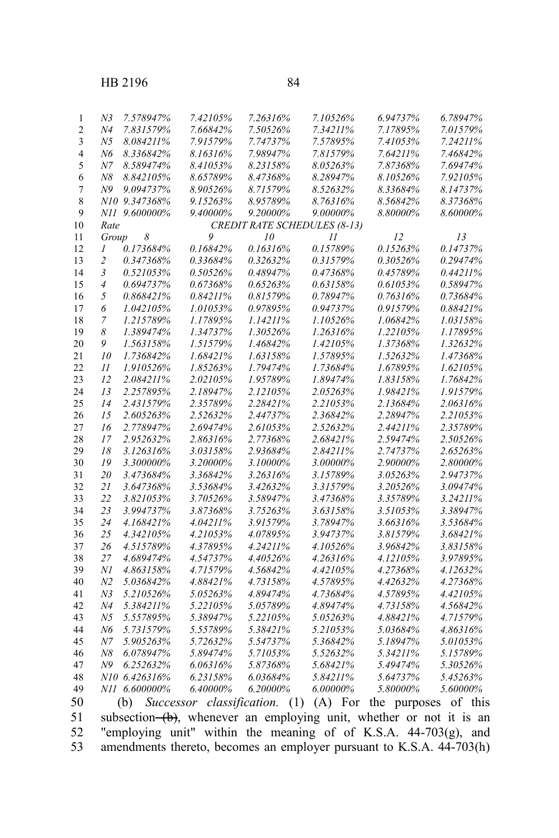| N3    | 7.578947%     | 7.42105%    | 7.26316%    | 7.10526%                            | 6.94737% | 6.78947% |
|-------|---------------|-------------|-------------|-------------------------------------|----------|----------|
| Ν4    | 7.831579%     | 7.66842%    | 7.50526%    | 7.34211%                            | 7.17895% | 7.01579% |
| N5    | 8.084211%     | 7.91579%    | 7.74737%    | 7.57895%                            | 7.41053% | 7.24211% |
| N6    | 8.336842%     | 8.16316%    | 7.98947%    | 7.81579%                            | 7.64211% | 7.46842% |
| Ν7    | 8.589474%     | 8.41053%    | 8.23158%    | 8.05263%                            | 7.87368% | 7.69474% |
| Ν8    | 8.842105%     | 8.65789%    | 8.47368%    | 8.28947%                            | 8.10526% | 7.92105% |
| N9    | 9.094737%     | 8.90526%    | 8.71579%    | 8.52632%                            | 8.33684% | 8.14737% |
|       | N10 9.347368% | 9.15263%    | 8.95789%    | 8.76316%                            | 8.56842% | 8.37368% |
| NH    | 9.600000%     | $9.40000\%$ | $9.20000\%$ | 9.00000%                            | 8.80000% | 8.60000% |
| Rate  |               |             |             | <b>CREDIT RATE SCHEDULES (8-13)</b> |          |          |
| Group | 8             | 9           | 10          | $_{11}$                             | 12       | 13       |
| 1     | 0.173684%     | 0.16842%    | $0.16316\%$ | 0.15789%                            | 0.15263% | 0.14737% |
| 2     | 0.347368%     | 0.33684%    | 0.32632%    | 0.31579%                            | 0.30526% | 0.29474% |
| 3     | 0.521053%     | 0.50526%    | 0.48947%    | 0.47368%                            | 0.45789% | 0.44211% |
| 4     | 0.694737%     | 0.67368%    | 0.65263%    | 0.63158%                            | 0.61053% | 0.58947% |
| 5     | 0.868421%     | 0.84211%    | 0.81579%    | 0.78947%                            | 0.76316% | 0.73684% |
| 6     | 1.042105%     | 1.01053%    | 0.97895%    | 0.94737%                            | 0.91579% | 0.88421% |
| 7     | 1.215789%     | 1.17895%    | $1.14211\%$ | 1.10526%                            | 1.06842% | 1.03158% |
| 8     | 1.389474%     | 1.34737%    | 1.30526%    | 1.26316%                            | 1.22105% | 1.17895% |
| 9     | 1.563158%     | 1.51579%    | 1.46842%    | 1.42105%                            | 1.37368% | 1.32632% |
| 10    | 1.736842%     | 1.68421%    | 1.63158%    | 1.57895%                            | 1.52632% | 1.47368% |
| 11    | 1.910526%     | 1.85263%    | 1.79474%    | 1.73684%                            | 1.67895% | 1.62105% |
| 12    | 2.084211%     | 2.02105%    | 1.95789%    | 1.89474%                            | 1.83158% | 1.76842% |
| 13    | 2.257895%     | 2.18947%    | 2.12105%    | 2.05263%                            | 1.98421% | 1.91579% |
| 14    | 2.431579%     | 2.35789%    | 2.28421%    | 2.21053%                            | 2.13684% | 2.06316% |
|       |               |             |             |                                     |          |          |

| 21<br>22<br>23<br>24<br>25<br>26<br>27<br>28<br>29 | 10<br>$_{II}$<br>12<br>13<br>14<br>15<br>16<br>17<br>18<br>19 | 1.736842%<br>1.910526%<br>2.084211%<br>2.257895%<br>2.431579%<br>2.605263%<br>2.778947%<br>2.952632%<br>3.126316% | 1.68421%<br>1.85263%<br>2.02105%<br>2.18947%<br>2.35789%<br>2.52632%<br>2.69474%<br>2.86316% | 1.63158%<br>1.79474%<br>1.95789%<br>2.12105%<br>2.28421%<br>2.44737%<br>2.61053% | 1.57895%<br>1.73684%<br>1.89474%<br>2.05263%<br>2.21053%<br>2.36842%<br>2.52632% | 1.52632%<br>1.67895%<br>1.83158%<br>1.98421%<br>2.13684%<br>2.28947% | 1.47368%<br>1.62105%<br>1.76842%<br>1.91579%<br>2.06316%<br>2.21053% |
|----------------------------------------------------|---------------------------------------------------------------|-------------------------------------------------------------------------------------------------------------------|----------------------------------------------------------------------------------------------|----------------------------------------------------------------------------------|----------------------------------------------------------------------------------|----------------------------------------------------------------------|----------------------------------------------------------------------|
|                                                    |                                                               |                                                                                                                   |                                                                                              |                                                                                  |                                                                                  |                                                                      |                                                                      |
|                                                    |                                                               |                                                                                                                   |                                                                                              |                                                                                  |                                                                                  |                                                                      |                                                                      |
|                                                    |                                                               |                                                                                                                   |                                                                                              |                                                                                  |                                                                                  |                                                                      |                                                                      |
|                                                    |                                                               |                                                                                                                   |                                                                                              |                                                                                  |                                                                                  |                                                                      |                                                                      |
|                                                    |                                                               |                                                                                                                   |                                                                                              |                                                                                  |                                                                                  |                                                                      |                                                                      |
|                                                    |                                                               |                                                                                                                   |                                                                                              |                                                                                  |                                                                                  |                                                                      |                                                                      |
|                                                    |                                                               |                                                                                                                   |                                                                                              |                                                                                  |                                                                                  | $2.44211\%$                                                          | 2.35789%                                                             |
|                                                    |                                                               |                                                                                                                   |                                                                                              | 2.77368%                                                                         | 2.68421%                                                                         | 2.59474%                                                             | 2.50526%                                                             |
|                                                    |                                                               |                                                                                                                   | 3.03158%                                                                                     | 2.93684%                                                                         | 2.84211%                                                                         | 2.74737%                                                             | 2.65263%                                                             |
| 30                                                 |                                                               | 3.300000%                                                                                                         | 3.20000%                                                                                     | 3.10000%                                                                         | 3.00000%                                                                         | 2.90000%                                                             | 2.80000%                                                             |
| 20<br>31                                           |                                                               | 3.473684%                                                                                                         | 3.36842%                                                                                     | 3.26316%                                                                         | 3.15789%                                                                         | 3.05263%                                                             | 2.94737%                                                             |
| 32                                                 | 21                                                            | 3.647368%                                                                                                         | 3.53684%                                                                                     | 3.42632%                                                                         | 3.31579%                                                                         | 3.20526%                                                             | 3.09474%                                                             |
| 33                                                 | 22                                                            | 3.821053%                                                                                                         | 3.70526%                                                                                     | 3.58947%                                                                         | 3.47368%                                                                         | 3.35789%                                                             | 3.24211%                                                             |
| 34                                                 | 23                                                            | 3.994737%                                                                                                         | 3.87368%                                                                                     | 3.75263%                                                                         | 3.63158%                                                                         | 3.51053%                                                             | 3.38947%                                                             |
| 35                                                 | 24                                                            | 4.168421%                                                                                                         | 4.04211%                                                                                     | 3.91579%                                                                         | 3.78947%                                                                         | 3.66316%                                                             | 3.53684%                                                             |
| 36                                                 | 25                                                            | 4.342105%                                                                                                         | 4.21053%                                                                                     | 4.07895%                                                                         | 3.94737%                                                                         | 3.81579%                                                             | 3.68421%                                                             |
| 37                                                 | 26                                                            | 4.515789%                                                                                                         | 4.37895%                                                                                     | 4.24211%                                                                         | 4.10526%                                                                         | 3.96842%                                                             | 3.83158%                                                             |
| 38                                                 | 27                                                            | 4.689474%                                                                                                         | 4.54737%                                                                                     | 4.40526%                                                                         | 4.26316%                                                                         | 4.12105%                                                             | 3.97895%                                                             |
| 39                                                 | Νl                                                            | 4.863158%                                                                                                         | 4.71579%                                                                                     | 4.56842%                                                                         | 4.42105%                                                                         | 4.27368%                                                             | 4.12632%                                                             |
| 40                                                 | N <sub>2</sub>                                                | 5.036842%                                                                                                         | 4.88421%                                                                                     | 4.73158%                                                                         | 4.57895%                                                                         | 4.42632%                                                             | 4.27368%                                                             |
| 41                                                 | N <sub>3</sub>                                                | 5.210526%                                                                                                         | 5.05263%                                                                                     | 4.89474%                                                                         | 4.73684%                                                                         | 4.57895%                                                             | 4.42105%                                                             |
| 42                                                 | N <sub>4</sub>                                                | 5.384211%                                                                                                         | 5.22105%                                                                                     | 5.05789%                                                                         | 4.89474%                                                                         | 4.73158%                                                             | 4.56842%                                                             |
| 43                                                 | N5                                                            | 5.557895%                                                                                                         | 5.38947%                                                                                     | 5.22105%                                                                         | 5.05263%                                                                         | 4.88421%                                                             | 4.71579%                                                             |
| 44                                                 | N6                                                            | 5.731579%                                                                                                         | 5.55789%                                                                                     | 5.38421%                                                                         | 5.21053%                                                                         | 5.03684%                                                             | 4.86316%                                                             |
| 45                                                 | N7                                                            | 5.905263%                                                                                                         | 5.72632%                                                                                     | 5.54737%                                                                         | 5.36842%                                                                         | 5.18947%                                                             | 5.01053%                                                             |
| 46                                                 | N8                                                            | 6.078947%                                                                                                         | 5.89474%                                                                                     | 5.71053%                                                                         | 5.52632%                                                                         | 5.34211%                                                             | 5.15789%                                                             |
| 47                                                 | N <sub>9</sub>                                                | 6.252632%                                                                                                         | 6.06316%                                                                                     | 5.87368%                                                                         | 5.68421%                                                                         | 5.49474%                                                             | 5.30526%                                                             |
| 48                                                 | N10                                                           | 6.426316%                                                                                                         | 6.23158%                                                                                     | 6.03684%                                                                         | 5.84211%                                                                         | 5.64737%                                                             | 5.45263%                                                             |
| 49<br>NH.                                          |                                                               | 6.600000%                                                                                                         | 6.40000%                                                                                     | 6.20000%                                                                         | 6.00000%                                                                         | 5.80000%                                                             | 5.60000%                                                             |

(b) *Successor classification.* (1) (A) For the purposes of this subsection  $(b)$ , whenever an employing unit, whether or not it is an "employing unit" within the meaning of of K.S.A. 44-703(g), and amendments thereto, becomes an employer pursuant to K.S.A. 44-703(h)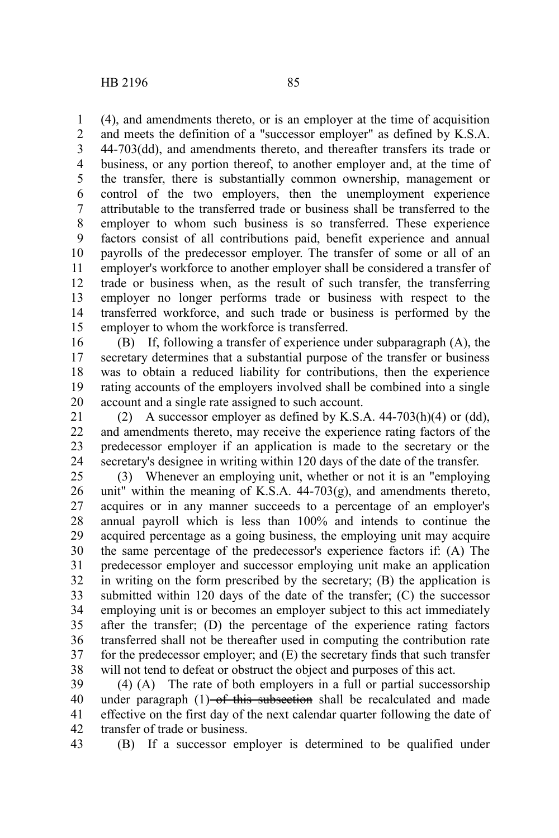(4), and amendments thereto, or is an employer at the time of acquisition and meets the definition of a "successor employer" as defined by K.S.A. 44-703(dd), and amendments thereto, and thereafter transfers its trade or business, or any portion thereof, to another employer and, at the time of the transfer, there is substantially common ownership, management or control of the two employers, then the unemployment experience attributable to the transferred trade or business shall be transferred to the employer to whom such business is so transferred. These experience factors consist of all contributions paid, benefit experience and annual payrolls of the predecessor employer. The transfer of some or all of an employer's workforce to another employer shall be considered a transfer of trade or business when, as the result of such transfer, the transferring employer no longer performs trade or business with respect to the transferred workforce, and such trade or business is performed by the employer to whom the workforce is transferred. 1 2 3 4 5 6 7 8 9 10 11 12 13 14 15

(B) If, following a transfer of experience under subparagraph (A), the secretary determines that a substantial purpose of the transfer or business was to obtain a reduced liability for contributions, then the experience rating accounts of the employers involved shall be combined into a single account and a single rate assigned to such account. 16 17 18 19 20

(2) A successor employer as defined by K.S.A.  $44-703(h)(4)$  or (dd), and amendments thereto, may receive the experience rating factors of the predecessor employer if an application is made to the secretary or the secretary's designee in writing within 120 days of the date of the transfer. 21 22 23 24

(3) Whenever an employing unit, whether or not it is an "employing unit" within the meaning of K.S.A.  $44-703(g)$ , and amendments thereto, acquires or in any manner succeeds to a percentage of an employer's annual payroll which is less than 100% and intends to continue the acquired percentage as a going business, the employing unit may acquire the same percentage of the predecessor's experience factors if: (A) The predecessor employer and successor employing unit make an application in writing on the form prescribed by the secretary; (B) the application is submitted within 120 days of the date of the transfer; (C) the successor employing unit is or becomes an employer subject to this act immediately after the transfer; (D) the percentage of the experience rating factors transferred shall not be thereafter used in computing the contribution rate for the predecessor employer; and (E) the secretary finds that such transfer will not tend to defeat or obstruct the object and purposes of this act. 25 26 27 28 29 30 31 32 33 34 35 36 37 38

(4) (A) The rate of both employers in a full or partial successorship under paragraph (1) of this subsection shall be recalculated and made effective on the first day of the next calendar quarter following the date of transfer of trade or business. 39 40 41 42

43

(B) If a successor employer is determined to be qualified under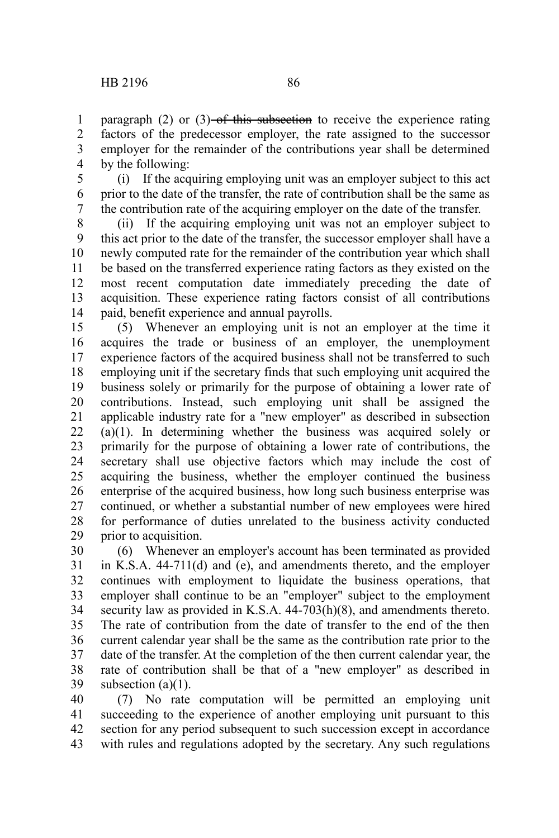paragraph (2) or  $(3)$ -of this subsection to receive the experience rating factors of the predecessor employer, the rate assigned to the successor employer for the remainder of the contributions year shall be determined by the following: 1 2 3 4

(i) If the acquiring employing unit was an employer subject to this act prior to the date of the transfer, the rate of contribution shall be the same as the contribution rate of the acquiring employer on the date of the transfer. 5 6 7

(ii) If the acquiring employing unit was not an employer subject to this act prior to the date of the transfer, the successor employer shall have a newly computed rate for the remainder of the contribution year which shall be based on the transferred experience rating factors as they existed on the most recent computation date immediately preceding the date of acquisition. These experience rating factors consist of all contributions paid, benefit experience and annual payrolls. 8 9 10 11 12 13 14

(5) Whenever an employing unit is not an employer at the time it acquires the trade or business of an employer, the unemployment experience factors of the acquired business shall not be transferred to such employing unit if the secretary finds that such employing unit acquired the business solely or primarily for the purpose of obtaining a lower rate of contributions. Instead, such employing unit shall be assigned the applicable industry rate for a "new employer" as described in subsection (a)(1). In determining whether the business was acquired solely or primarily for the purpose of obtaining a lower rate of contributions, the secretary shall use objective factors which may include the cost of acquiring the business, whether the employer continued the business enterprise of the acquired business, how long such business enterprise was continued, or whether a substantial number of new employees were hired for performance of duties unrelated to the business activity conducted prior to acquisition. 15 16 17 18 19 20 21 22 23 24 25 26 27 28 29

(6) Whenever an employer's account has been terminated as provided in K.S.A. 44-711(d) and (e), and amendments thereto, and the employer continues with employment to liquidate the business operations, that employer shall continue to be an "employer" subject to the employment security law as provided in K.S.A. 44-703(h)(8), and amendments thereto. The rate of contribution from the date of transfer to the end of the then current calendar year shall be the same as the contribution rate prior to the date of the transfer. At the completion of the then current calendar year, the rate of contribution shall be that of a "new employer" as described in subsection  $(a)(1)$ . 30 31 32 33 34 35 36 37 38 39

(7) No rate computation will be permitted an employing unit succeeding to the experience of another employing unit pursuant to this section for any period subsequent to such succession except in accordance with rules and regulations adopted by the secretary. Any such regulations 40 41 42 43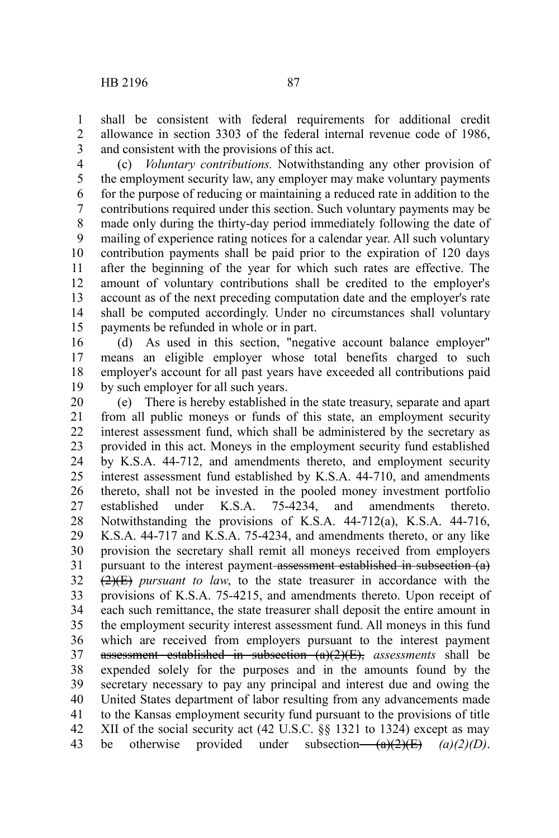shall be consistent with federal requirements for additional credit allowance in section 3303 of the federal internal revenue code of 1986, and consistent with the provisions of this act. 1 2 3

(c) *Voluntary contributions.* Notwithstanding any other provision of the employment security law, any employer may make voluntary payments for the purpose of reducing or maintaining a reduced rate in addition to the contributions required under this section. Such voluntary payments may be made only during the thirty-day period immediately following the date of mailing of experience rating notices for a calendar year. All such voluntary contribution payments shall be paid prior to the expiration of 120 days after the beginning of the year for which such rates are effective. The amount of voluntary contributions shall be credited to the employer's account as of the next preceding computation date and the employer's rate shall be computed accordingly. Under no circumstances shall voluntary payments be refunded in whole or in part. 4 5 6 7 8 9 10 11 12 13 14 15

(d) As used in this section, "negative account balance employer" means an eligible employer whose total benefits charged to such employer's account for all past years have exceeded all contributions paid by such employer for all such years. 16 17 18 19

(e) There is hereby established in the state treasury, separate and apart from all public moneys or funds of this state, an employment security interest assessment fund, which shall be administered by the secretary as provided in this act. Moneys in the employment security fund established by K.S.A. 44-712, and amendments thereto, and employment security interest assessment fund established by K.S.A. 44-710, and amendments thereto, shall not be invested in the pooled money investment portfolio established under K.S.A. 75-4234, and amendments thereto. Notwithstanding the provisions of K.S.A. 44-712(a), K.S.A. 44-716, K.S.A. 44-717 and K.S.A. 75-4234, and amendments thereto, or any like provision the secretary shall remit all moneys received from employers pursuant to the interest payment-assessment established in subsection (a)  $\left(2\right)$ ( $\equiv$ ) *pursuant to law*, to the state treasurer in accordance with the provisions of K.S.A. 75-4215, and amendments thereto. Upon receipt of each such remittance, the state treasurer shall deposit the entire amount in the employment security interest assessment fund. All moneys in this fund which are received from employers pursuant to the interest payment assessment established in subsection (a)(2)(E), *assessments* shall be expended solely for the purposes and in the amounts found by the secretary necessary to pay any principal and interest due and owing the United States department of labor resulting from any advancements made to the Kansas employment security fund pursuant to the provisions of title XII of the social security act (42 U.S.C. §§ 1321 to 1324) except as may be otherwise provided under subsection— $(a)(2)(E)$  (a)(2)(D). 20 21 22 23 24 25 26 27 28 29 30 31 32 33 34 35 36 37 38 39 40 41 42 43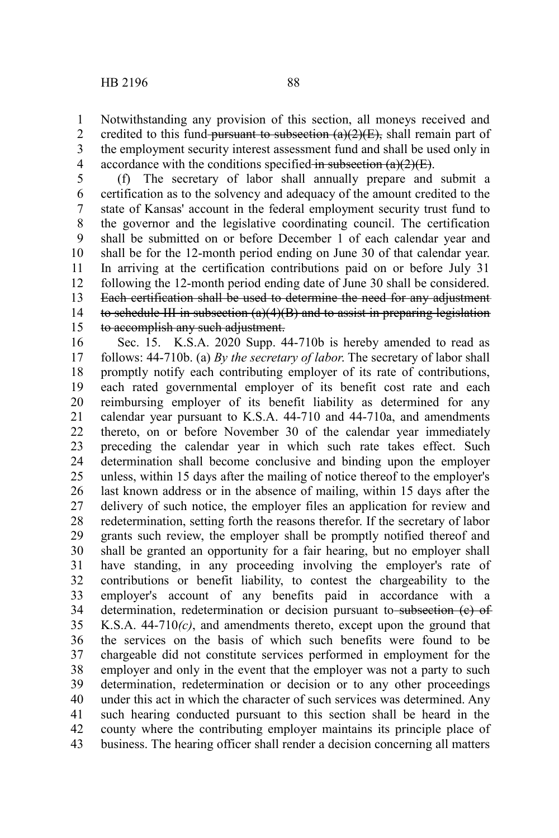credited to this fund-pursuant to subsection  $(a)(2)(E)$ , shall remain part of the employment security interest assessment fund and shall be used only in accordance with the conditions specified in subsection  $(a)(2)(E)$ . 2 3 4

1

(f) The secretary of labor shall annually prepare and submit a certification as to the solvency and adequacy of the amount credited to the state of Kansas' account in the federal employment security trust fund to the governor and the legislative coordinating council. The certification shall be submitted on or before December 1 of each calendar year and shall be for the 12-month period ending on June 30 of that calendar year. In arriving at the certification contributions paid on or before July 31 following the 12-month period ending date of June 30 shall be considered. Each certification shall be used to determine the need for any adjustment to schedule III in subsection (a)(4)(B) and to assist in preparing legislation to accomplish any such adjustment. 5 6 7 8 9 10 11 12 13 14 15

Sec. 15. K.S.A. 2020 Supp. 44-710b is hereby amended to read as follows: 44-710b. (a) *By the secretary of labor*. The secretary of labor shall promptly notify each contributing employer of its rate of contributions, each rated governmental employer of its benefit cost rate and each reimbursing employer of its benefit liability as determined for any calendar year pursuant to K.S.A. 44-710 and 44-710a, and amendments thereto, on or before November 30 of the calendar year immediately preceding the calendar year in which such rate takes effect. Such determination shall become conclusive and binding upon the employer unless, within 15 days after the mailing of notice thereof to the employer's last known address or in the absence of mailing, within 15 days after the delivery of such notice, the employer files an application for review and redetermination, setting forth the reasons therefor. If the secretary of labor grants such review, the employer shall be promptly notified thereof and shall be granted an opportunity for a fair hearing, but no employer shall have standing, in any proceeding involving the employer's rate of contributions or benefit liability, to contest the chargeability to the employer's account of any benefits paid in accordance with a determination, redetermination or decision pursuant to subsection (e) of K.S.A. 44-710*(c)*, and amendments thereto, except upon the ground that the services on the basis of which such benefits were found to be chargeable did not constitute services performed in employment for the employer and only in the event that the employer was not a party to such determination, redetermination or decision or to any other proceedings under this act in which the character of such services was determined. Any such hearing conducted pursuant to this section shall be heard in the county where the contributing employer maintains its principle place of business. The hearing officer shall render a decision concerning all matters 16 17 18 19 20 21 22 23 24 25 26 27 28 29 30 31 32 33 34 35 36 37 38 39 40 41 42 43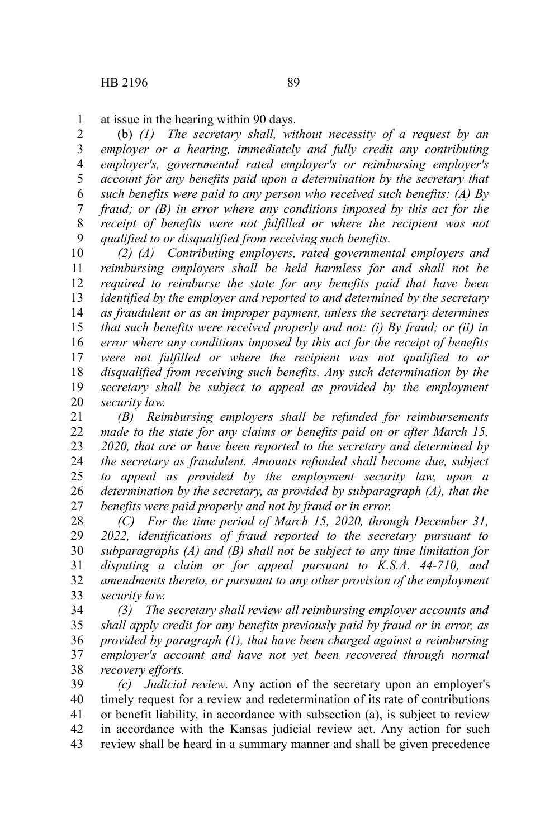at issue in the hearing within 90 days. 1

(b) *(1) The secretary shall, without necessity of a request by an employer or a hearing, immediately and fully credit any contributing employer's, governmental rated employer's or reimbursing employer's account for any benefits paid upon a determination by the secretary that such benefits were paid to any person who received such benefits: (A) By fraud; or (B) in error where any conditions imposed by this act for the receipt of benefits were not fulfilled or where the recipient was not qualified to or disqualified from receiving such benefits.* 2 3 4 5 6 7 8 9

*(2) (A) Contributing employers, rated governmental employers and reimbursing employers shall be held harmless for and shall not be required to reimburse the state for any benefits paid that have been identified by the employer and reported to and determined by the secretary as fraudulent or as an improper payment, unless the secretary determines that such benefits were received properly and not: (i) By fraud; or (ii) in error where any conditions imposed by this act for the receipt of benefits were not fulfilled or where the recipient was not qualified to or disqualified from receiving such benefits. Any such determination by the secretary shall be subject to appeal as provided by the employment security law.* 10 11 12 13 14 15 16 17 18 19 20

*(B) Reimbursing employers shall be refunded for reimbursements made to the state for any claims or benefits paid on or after March 15, 2020, that are or have been reported to the secretary and determined by the secretary as fraudulent. Amounts refunded shall become due, subject to appeal as provided by the employment security law, upon a determination by the secretary, as provided by subparagraph (A), that the benefits were paid properly and not by fraud or in error.* 21 22 23 24 25 26 27

*(C) For the time period of March 15, 2020, through December 31, 2022, identifications of fraud reported to the secretary pursuant to subparagraphs (A) and (B) shall not be subject to any time limitation for disputing a claim or for appeal pursuant to K.S.A. 44-710, and amendments thereto, or pursuant to any other provision of the employment security law.* 28 29 30 31 32 33

*(3) The secretary shall review all reimbursing employer accounts and shall apply credit for any benefits previously paid by fraud or in error, as provided by paragraph (1), that have been charged against a reimbursing employer's account and have not yet been recovered through normal recovery efforts.* 34 35 36 37 38

*(c) Judicial review*. Any action of the secretary upon an employer's timely request for a review and redetermination of its rate of contributions or benefit liability, in accordance with subsection (a), is subject to review in accordance with the Kansas judicial review act. Any action for such review shall be heard in a summary manner and shall be given precedence 39 40 41 42 43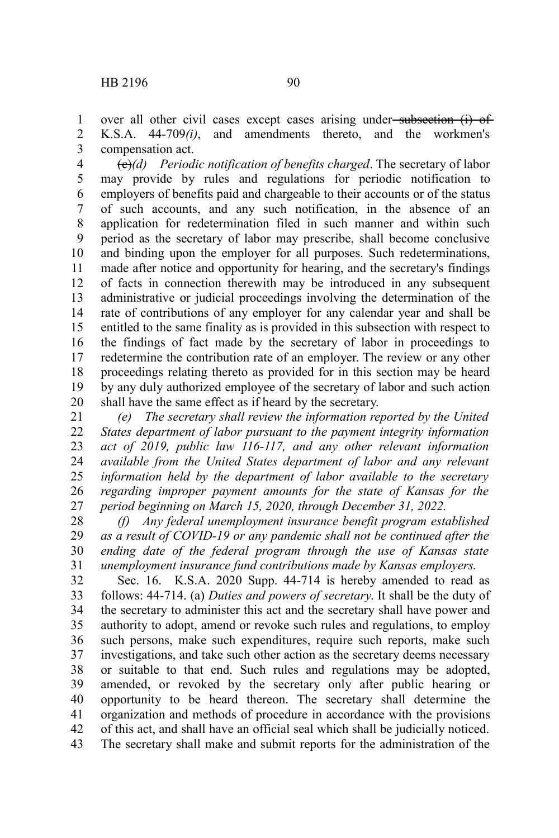over all other civil cases except cases arising under-subsection (i) of K.S.A. 44-709*(i)*, and amendments thereto, and the workmen's compensation act. 1 2 3

(c)*(d) Periodic notification of benefits charged*. The secretary of labor may provide by rules and regulations for periodic notification to employers of benefits paid and chargeable to their accounts or of the status of such accounts, and any such notification, in the absence of an application for redetermination filed in such manner and within such period as the secretary of labor may prescribe, shall become conclusive and binding upon the employer for all purposes. Such redeterminations, made after notice and opportunity for hearing, and the secretary's findings of facts in connection therewith may be introduced in any subsequent administrative or judicial proceedings involving the determination of the rate of contributions of any employer for any calendar year and shall be entitled to the same finality as is provided in this subsection with respect to the findings of fact made by the secretary of labor in proceedings to redetermine the contribution rate of an employer. The review or any other proceedings relating thereto as provided for in this section may be heard by any duly authorized employee of the secretary of labor and such action shall have the same effect as if heard by the secretary. 4 5 6 7 8 9 10 11 12 13 14 15 16 17 18 19 20

*(e) The secretary shall review the information reported by the United States department of labor pursuant to the payment integrity information act of 2019, public law 116-117, and any other relevant information available from the United States department of labor and any relevant information held by the department of labor available to the secretary regarding improper payment amounts for the state of Kansas for the period beginning on March 15, 2020, through December 31, 2022.* 21 22 23 24 25 26 27

*(f) Any federal unemployment insurance benefit program established as a result of COVID-19 or any pandemic shall not be continued after the ending date of the federal program through the use of Kansas state unemployment insurance fund contributions made by Kansas employers.* 28 29 30 31

Sec. 16. K.S.A. 2020 Supp. 44-714 is hereby amended to read as follows: 44-714. (a) *Duties and powers of secretary*. It shall be the duty of the secretary to administer this act and the secretary shall have power and authority to adopt, amend or revoke such rules and regulations, to employ such persons, make such expenditures, require such reports, make such investigations, and take such other action as the secretary deems necessary or suitable to that end. Such rules and regulations may be adopted, amended, or revoked by the secretary only after public hearing or opportunity to be heard thereon. The secretary shall determine the organization and methods of procedure in accordance with the provisions of this act, and shall have an official seal which shall be judicially noticed. The secretary shall make and submit reports for the administration of the 32 33 34 35 36 37 38 39 40 41 42 43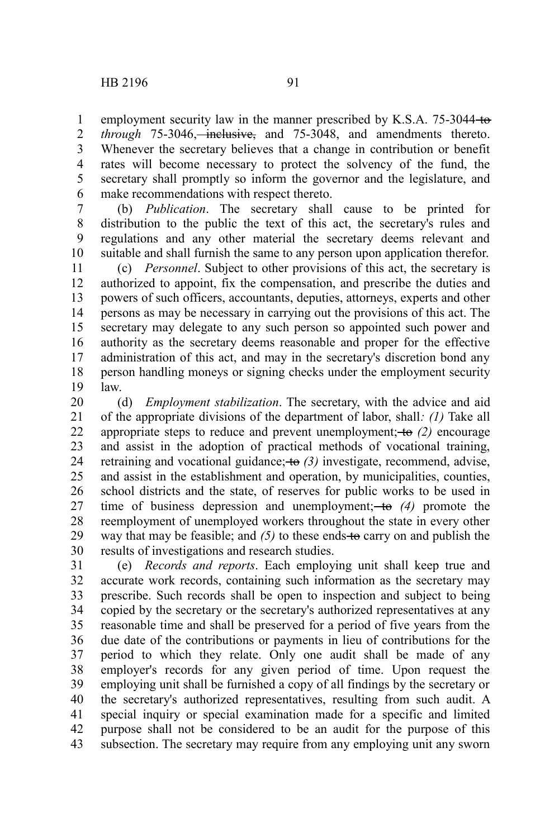1

employment security law in the manner prescribed by K.S.A. 75-3044-to-

*through* 75-3046, *inclusive*, and 75-3048, and amendments thereto. Whenever the secretary believes that a change in contribution or benefit rates will become necessary to protect the solvency of the fund, the secretary shall promptly so inform the governor and the legislature, and make recommendations with respect thereto. 2 3 4 5 6

(b) *Publication*. The secretary shall cause to be printed for distribution to the public the text of this act, the secretary's rules and regulations and any other material the secretary deems relevant and suitable and shall furnish the same to any person upon application therefor. 7 8 9 10

(c) *Personnel*. Subject to other provisions of this act, the secretary is authorized to appoint, fix the compensation, and prescribe the duties and powers of such officers, accountants, deputies, attorneys, experts and other persons as may be necessary in carrying out the provisions of this act. The secretary may delegate to any such person so appointed such power and authority as the secretary deems reasonable and proper for the effective administration of this act, and may in the secretary's discretion bond any person handling moneys or signing checks under the employment security law. 11 12 13 14 15 16 17 18 19

(d) *Employment stabilization*. The secretary, with the advice and aid of the appropriate divisions of the department of labor, shall*: (1)* Take all appropriate steps to reduce and prevent unemployment;  $+$ **o**  $(2)$  encourage and assist in the adoption of practical methods of vocational training, retraining and vocational guidance; to *(3)* investigate, recommend, advise, and assist in the establishment and operation, by municipalities, counties, school districts and the state, of reserves for public works to be used in time of business depression and unemployment; to *(4)* promote the reemployment of unemployed workers throughout the state in every other way that may be feasible; and  $(5)$  to these ends to carry on and publish the results of investigations and research studies. 20 21 22 23 24 25 26 27 28 29 30

(e) *Records and reports*. Each employing unit shall keep true and accurate work records, containing such information as the secretary may prescribe. Such records shall be open to inspection and subject to being copied by the secretary or the secretary's authorized representatives at any reasonable time and shall be preserved for a period of five years from the due date of the contributions or payments in lieu of contributions for the period to which they relate. Only one audit shall be made of any employer's records for any given period of time. Upon request the employing unit shall be furnished a copy of all findings by the secretary or the secretary's authorized representatives, resulting from such audit. A special inquiry or special examination made for a specific and limited purpose shall not be considered to be an audit for the purpose of this subsection. The secretary may require from any employing unit any sworn 31 32 33 34 35 36 37 38 39 40 41 42 43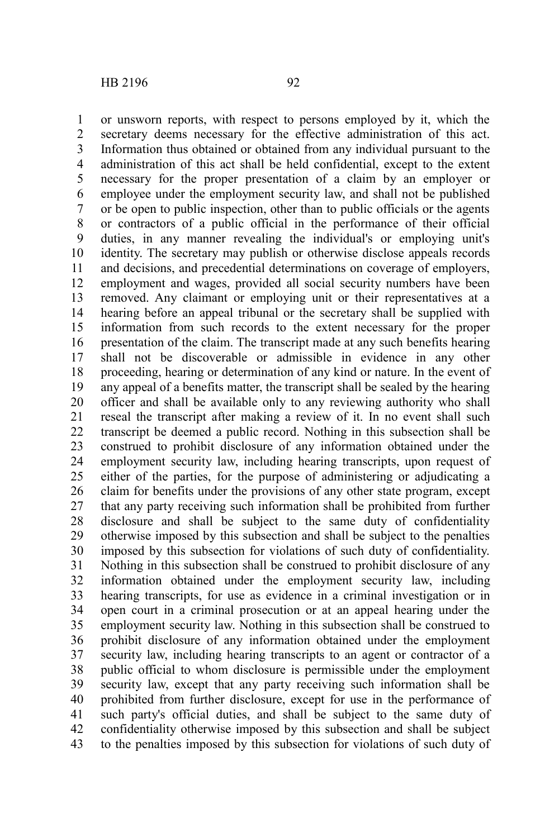or unsworn reports, with respect to persons employed by it, which the secretary deems necessary for the effective administration of this act. Information thus obtained or obtained from any individual pursuant to the administration of this act shall be held confidential, except to the extent necessary for the proper presentation of a claim by an employer or employee under the employment security law, and shall not be published or be open to public inspection, other than to public officials or the agents or contractors of a public official in the performance of their official duties, in any manner revealing the individual's or employing unit's identity. The secretary may publish or otherwise disclose appeals records and decisions, and precedential determinations on coverage of employers, employment and wages, provided all social security numbers have been removed. Any claimant or employing unit or their representatives at a hearing before an appeal tribunal or the secretary shall be supplied with information from such records to the extent necessary for the proper presentation of the claim. The transcript made at any such benefits hearing shall not be discoverable or admissible in evidence in any other proceeding, hearing or determination of any kind or nature. In the event of any appeal of a benefits matter, the transcript shall be sealed by the hearing officer and shall be available only to any reviewing authority who shall reseal the transcript after making a review of it. In no event shall such transcript be deemed a public record. Nothing in this subsection shall be construed to prohibit disclosure of any information obtained under the employment security law, including hearing transcripts, upon request of either of the parties, for the purpose of administering or adjudicating a claim for benefits under the provisions of any other state program, except that any party receiving such information shall be prohibited from further disclosure and shall be subject to the same duty of confidentiality otherwise imposed by this subsection and shall be subject to the penalties imposed by this subsection for violations of such duty of confidentiality. Nothing in this subsection shall be construed to prohibit disclosure of any information obtained under the employment security law, including hearing transcripts, for use as evidence in a criminal investigation or in open court in a criminal prosecution or at an appeal hearing under the employment security law. Nothing in this subsection shall be construed to prohibit disclosure of any information obtained under the employment security law, including hearing transcripts to an agent or contractor of a public official to whom disclosure is permissible under the employment security law, except that any party receiving such information shall be prohibited from further disclosure, except for use in the performance of such party's official duties, and shall be subject to the same duty of confidentiality otherwise imposed by this subsection and shall be subject to the penalties imposed by this subsection for violations of such duty of 1 2 3 4 5 6 7 8 9 10 11 12 13 14 15 16 17 18 19 20 21 22 23 24 25 26 27 28 29 30 31 32 33 34 35 36 37 38 39 40 41 42 43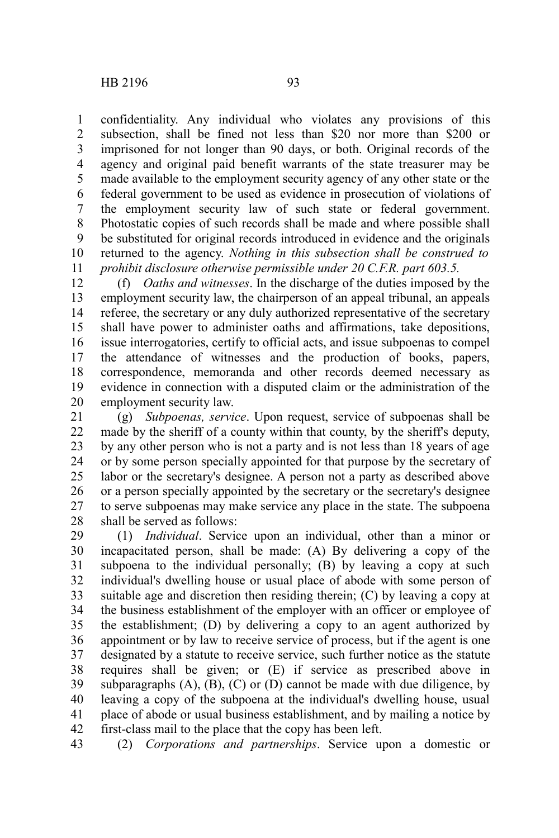confidentiality. Any individual who violates any provisions of this subsection, shall be fined not less than \$20 nor more than \$200 or imprisoned for not longer than 90 days, or both. Original records of the agency and original paid benefit warrants of the state treasurer may be made available to the employment security agency of any other state or the federal government to be used as evidence in prosecution of violations of the employment security law of such state or federal government. Photostatic copies of such records shall be made and where possible shall be substituted for original records introduced in evidence and the originals returned to the agency. *Nothing in this subsection shall be construed to prohibit disclosure otherwise permissible under 20 C.F.R. part 603.5.* 1 2 3 4 5 6 7 8 9 10 11

(f) *Oaths and witnesses*. In the discharge of the duties imposed by the employment security law, the chairperson of an appeal tribunal, an appeals referee, the secretary or any duly authorized representative of the secretary shall have power to administer oaths and affirmations, take depositions, issue interrogatories, certify to official acts, and issue subpoenas to compel the attendance of witnesses and the production of books, papers, correspondence, memoranda and other records deemed necessary as evidence in connection with a disputed claim or the administration of the employment security law. 12 13 14 15 16 17 18 19 20

(g) *Subpoenas, service*. Upon request, service of subpoenas shall be made by the sheriff of a county within that county, by the sheriff's deputy, by any other person who is not a party and is not less than 18 years of age or by some person specially appointed for that purpose by the secretary of labor or the secretary's designee. A person not a party as described above or a person specially appointed by the secretary or the secretary's designee to serve subpoenas may make service any place in the state. The subpoena shall be served as follows: 21 22 23 24 25 26 27 28

(1) *Individual*. Service upon an individual, other than a minor or incapacitated person, shall be made: (A) By delivering a copy of the subpoena to the individual personally; (B) by leaving a copy at such individual's dwelling house or usual place of abode with some person of suitable age and discretion then residing therein; (C) by leaving a copy at the business establishment of the employer with an officer or employee of the establishment; (D) by delivering a copy to an agent authorized by appointment or by law to receive service of process, but if the agent is one designated by a statute to receive service, such further notice as the statute requires shall be given; or (E) if service as prescribed above in subparagraphs  $(A)$ ,  $(B)$ ,  $(C)$  or  $(D)$  cannot be made with due diligence, by leaving a copy of the subpoena at the individual's dwelling house, usual place of abode or usual business establishment, and by mailing a notice by first-class mail to the place that the copy has been left. 29 30 31 32 33 34 35 36 37 38 39 40 41 42

(2) *Corporations and partnerships*. Service upon a domestic or 43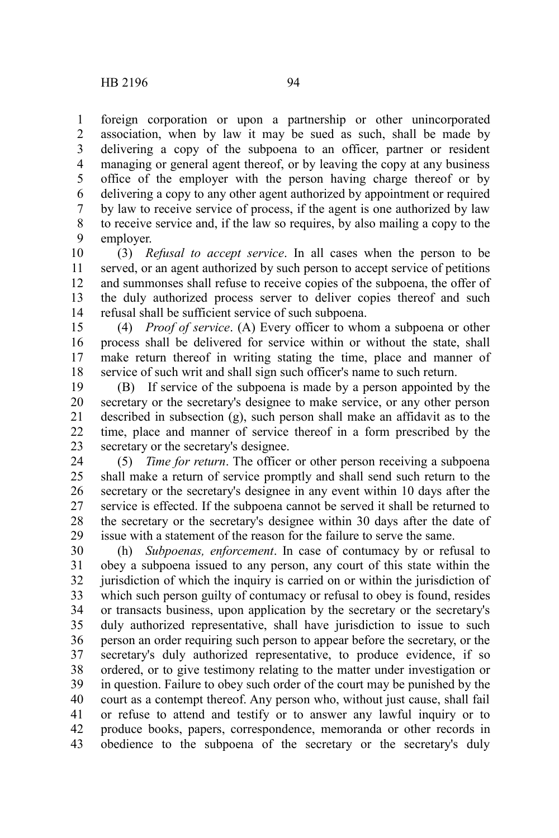foreign corporation or upon a partnership or other unincorporated association, when by law it may be sued as such, shall be made by delivering a copy of the subpoena to an officer, partner or resident managing or general agent thereof, or by leaving the copy at any business office of the employer with the person having charge thereof or by delivering a copy to any other agent authorized by appointment or required by law to receive service of process, if the agent is one authorized by law to receive service and, if the law so requires, by also mailing a copy to the employer. 1 2 3 4 5 6 7 8 9

(3) *Refusal to accept service*. In all cases when the person to be served, or an agent authorized by such person to accept service of petitions and summonses shall refuse to receive copies of the subpoena, the offer of the duly authorized process server to deliver copies thereof and such refusal shall be sufficient service of such subpoena. 10 11 12 13 14

(4) *Proof of service*. (A) Every officer to whom a subpoena or other process shall be delivered for service within or without the state, shall make return thereof in writing stating the time, place and manner of service of such writ and shall sign such officer's name to such return. 15 16 17 18

(B) If service of the subpoena is made by a person appointed by the secretary or the secretary's designee to make service, or any other person described in subsection (g), such person shall make an affidavit as to the time, place and manner of service thereof in a form prescribed by the secretary or the secretary's designee. 19 20 21 22 23

(5) *Time for return*. The officer or other person receiving a subpoena shall make a return of service promptly and shall send such return to the secretary or the secretary's designee in any event within 10 days after the service is effected. If the subpoena cannot be served it shall be returned to the secretary or the secretary's designee within 30 days after the date of issue with a statement of the reason for the failure to serve the same. 24 25 26 27 28 29

(h) *Subpoenas, enforcement*. In case of contumacy by or refusal to obey a subpoena issued to any person, any court of this state within the jurisdiction of which the inquiry is carried on or within the jurisdiction of which such person guilty of contumacy or refusal to obey is found, resides or transacts business, upon application by the secretary or the secretary's duly authorized representative, shall have jurisdiction to issue to such person an order requiring such person to appear before the secretary, or the secretary's duly authorized representative, to produce evidence, if so ordered, or to give testimony relating to the matter under investigation or in question. Failure to obey such order of the court may be punished by the court as a contempt thereof. Any person who, without just cause, shall fail or refuse to attend and testify or to answer any lawful inquiry or to produce books, papers, correspondence, memoranda or other records in obedience to the subpoena of the secretary or the secretary's duly 30 31 32 33 34 35 36 37 38 39 40 41 42 43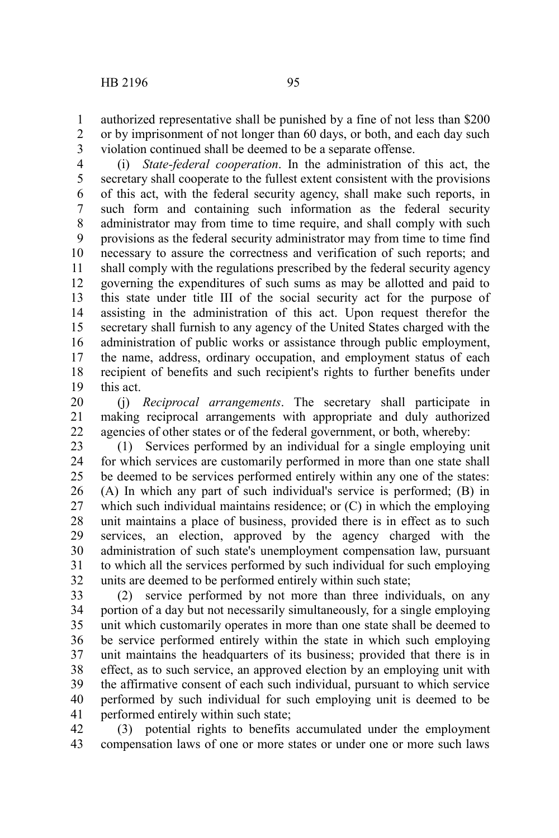authorized representative shall be punished by a fine of not less than \$200 or by imprisonment of not longer than 60 days, or both, and each day such violation continued shall be deemed to be a separate offense. 1 2 3

(i) *State-federal cooperation*. In the administration of this act, the secretary shall cooperate to the fullest extent consistent with the provisions of this act, with the federal security agency, shall make such reports, in such form and containing such information as the federal security administrator may from time to time require, and shall comply with such provisions as the federal security administrator may from time to time find necessary to assure the correctness and verification of such reports; and shall comply with the regulations prescribed by the federal security agency governing the expenditures of such sums as may be allotted and paid to this state under title III of the social security act for the purpose of assisting in the administration of this act. Upon request therefor the secretary shall furnish to any agency of the United States charged with the administration of public works or assistance through public employment, the name, address, ordinary occupation, and employment status of each recipient of benefits and such recipient's rights to further benefits under this act. 4 5 6 7 8 9 10 11 12 13 14 15 16 17 18 19

(j) *Reciprocal arrangements*. The secretary shall participate in making reciprocal arrangements with appropriate and duly authorized agencies of other states or of the federal government, or both, whereby: 20 21 22

(1) Services performed by an individual for a single employing unit for which services are customarily performed in more than one state shall be deemed to be services performed entirely within any one of the states: (A) In which any part of such individual's service is performed; (B) in which such individual maintains residence; or  $(C)$  in which the employing unit maintains a place of business, provided there is in effect as to such services, an election, approved by the agency charged with the administration of such state's unemployment compensation law, pursuant to which all the services performed by such individual for such employing units are deemed to be performed entirely within such state; 23 24 25 26 27 28 29 30 31 32

(2) service performed by not more than three individuals, on any portion of a day but not necessarily simultaneously, for a single employing unit which customarily operates in more than one state shall be deemed to be service performed entirely within the state in which such employing unit maintains the headquarters of its business; provided that there is in effect, as to such service, an approved election by an employing unit with the affirmative consent of each such individual, pursuant to which service performed by such individual for such employing unit is deemed to be performed entirely within such state; 33 34 35 36 37 38 39 40 41

(3) potential rights to benefits accumulated under the employment compensation laws of one or more states or under one or more such laws 42 43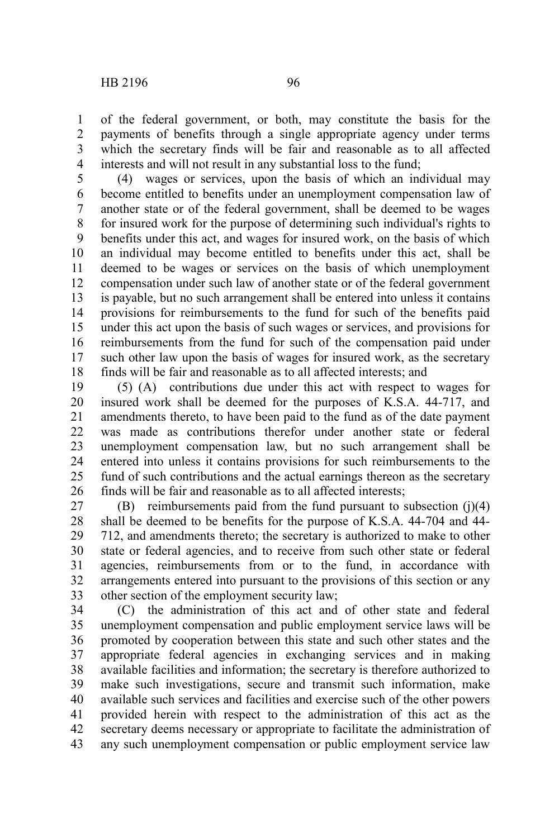of the federal government, or both, may constitute the basis for the payments of benefits through a single appropriate agency under terms which the secretary finds will be fair and reasonable as to all affected interests and will not result in any substantial loss to the fund; 1 2 3 4

(4) wages or services, upon the basis of which an individual may become entitled to benefits under an unemployment compensation law of another state or of the federal government, shall be deemed to be wages for insured work for the purpose of determining such individual's rights to benefits under this act, and wages for insured work, on the basis of which an individual may become entitled to benefits under this act, shall be deemed to be wages or services on the basis of which unemployment compensation under such law of another state or of the federal government is payable, but no such arrangement shall be entered into unless it contains provisions for reimbursements to the fund for such of the benefits paid under this act upon the basis of such wages or services, and provisions for reimbursements from the fund for such of the compensation paid under such other law upon the basis of wages for insured work, as the secretary finds will be fair and reasonable as to all affected interests; and 5 6 7 8 9 10 11 12 13 14 15 16 17 18

(5) (A) contributions due under this act with respect to wages for insured work shall be deemed for the purposes of K.S.A. 44-717, and amendments thereto, to have been paid to the fund as of the date payment was made as contributions therefor under another state or federal unemployment compensation law, but no such arrangement shall be entered into unless it contains provisions for such reimbursements to the fund of such contributions and the actual earnings thereon as the secretary finds will be fair and reasonable as to all affected interests; 19 20 21 22 23 24 25 26

(B) reimbursements paid from the fund pursuant to subsection (j)(4) shall be deemed to be benefits for the purpose of K.S.A. 44-704 and 44- 712, and amendments thereto; the secretary is authorized to make to other state or federal agencies, and to receive from such other state or federal agencies, reimbursements from or to the fund, in accordance with arrangements entered into pursuant to the provisions of this section or any other section of the employment security law; 27 28 29 30 31 32 33

(C) the administration of this act and of other state and federal unemployment compensation and public employment service laws will be promoted by cooperation between this state and such other states and the appropriate federal agencies in exchanging services and in making available facilities and information; the secretary is therefore authorized to make such investigations, secure and transmit such information, make available such services and facilities and exercise such of the other powers provided herein with respect to the administration of this act as the secretary deems necessary or appropriate to facilitate the administration of any such unemployment compensation or public employment service law 34 35 36 37 38 39 40 41 42 43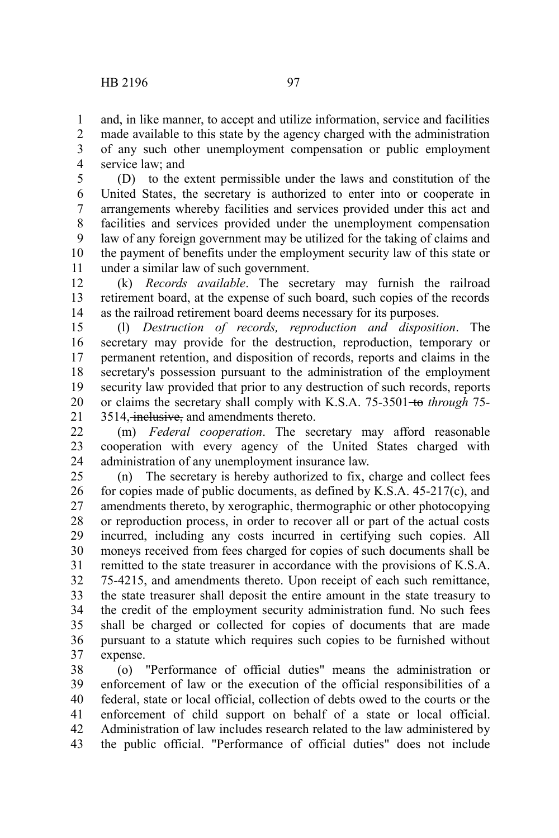and, in like manner, to accept and utilize information, service and facilities 1

made available to this state by the agency charged with the administration of any such other unemployment compensation or public employment service law; and 2 3 4

(D) to the extent permissible under the laws and constitution of the United States, the secretary is authorized to enter into or cooperate in arrangements whereby facilities and services provided under this act and facilities and services provided under the unemployment compensation law of any foreign government may be utilized for the taking of claims and the payment of benefits under the employment security law of this state or under a similar law of such government. 5 6 7 8 9 10 11

(k) *Records available*. The secretary may furnish the railroad retirement board, at the expense of such board, such copies of the records as the railroad retirement board deems necessary for its purposes. 12 13 14

(l) *Destruction of records, reproduction and disposition*. The secretary may provide for the destruction, reproduction, temporary or permanent retention, and disposition of records, reports and claims in the secretary's possession pursuant to the administration of the employment security law provided that prior to any destruction of such records, reports or claims the secretary shall comply with K.S.A. 75-3501 to *through* 75-3514, inclusive, and amendments thereto. 15 16 17 18 19 20 21

(m) *Federal cooperation*. The secretary may afford reasonable cooperation with every agency of the United States charged with administration of any unemployment insurance law.  $22$ 23 24

(n) The secretary is hereby authorized to fix, charge and collect fees for copies made of public documents, as defined by K.S.A. 45-217(c), and amendments thereto, by xerographic, thermographic or other photocopying or reproduction process, in order to recover all or part of the actual costs incurred, including any costs incurred in certifying such copies. All moneys received from fees charged for copies of such documents shall be remitted to the state treasurer in accordance with the provisions of K.S.A. 75-4215, and amendments thereto. Upon receipt of each such remittance, the state treasurer shall deposit the entire amount in the state treasury to the credit of the employment security administration fund. No such fees shall be charged or collected for copies of documents that are made pursuant to a statute which requires such copies to be furnished without expense. 25 26 27 28 29 30 31 32 33 34 35 36 37

(o) "Performance of official duties" means the administration or enforcement of law or the execution of the official responsibilities of a federal, state or local official, collection of debts owed to the courts or the enforcement of child support on behalf of a state or local official. Administration of law includes research related to the law administered by the public official. "Performance of official duties" does not include 38 39 40 41 42 43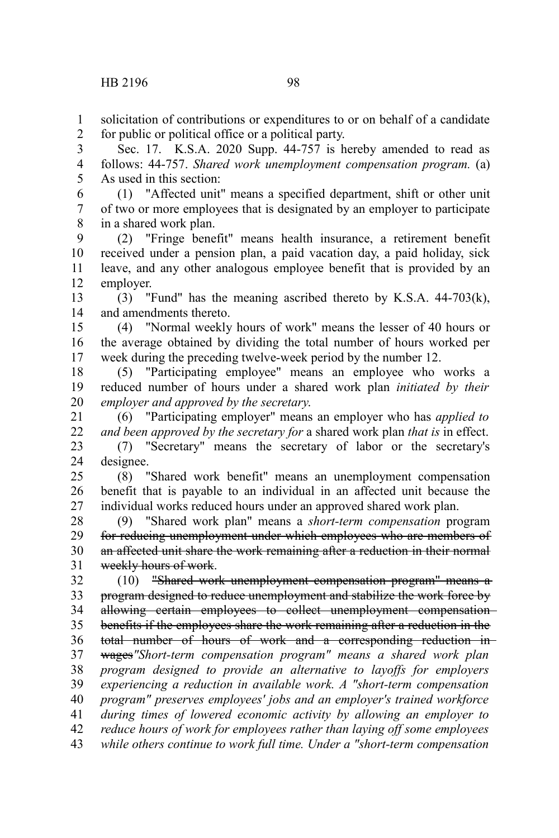solicitation of contributions or expenditures to or on behalf of a candidate for public or political office or a political party. 1 2

Sec. 17. K.S.A. 2020 Supp. 44-757 is hereby amended to read as follows: 44-757. *Shared work unemployment compensation program.* (a) As used in this section: 3 4 5

(1) "Affected unit" means a specified department, shift or other unit of two or more employees that is designated by an employer to participate in a shared work plan. 6 7 8

(2) "Fringe benefit" means health insurance, a retirement benefit received under a pension plan, a paid vacation day, a paid holiday, sick leave, and any other analogous employee benefit that is provided by an employer. 9 10 11 12

(3) "Fund" has the meaning ascribed thereto by K.S.A. 44-703(k), and amendments thereto. 13 14

(4) "Normal weekly hours of work" means the lesser of 40 hours or the average obtained by dividing the total number of hours worked per week during the preceding twelve-week period by the number 12. 15 16 17

(5) "Participating employee" means an employee who works a reduced number of hours under a shared work plan *initiated by their employer and approved by the secretary*. 18 19 20

(6) "Participating employer" means an employer who has *applied to and been approved by the secretary for* a shared work plan *that is* in effect. 21 22

(7) "Secretary" means the secretary of labor or the secretary's designee. 23 24

(8) "Shared work benefit" means an unemployment compensation benefit that is payable to an individual in an affected unit because the individual works reduced hours under an approved shared work plan. 25 26 27

(9) "Shared work plan" means a *short-term compensation* program for reducing unemployment under which employees who are members of an affected unit share the work remaining after a reduction in their normal weekly hours of work. 28 29 30 31

(10) "Shared work unemployment compensation program" means a program designed to reduce unemployment and stabilize the work force by allowing certain employees to collect unemployment compensationbenefits if the employees share the work remaining after a reduction in the 32 33 34 35

total number of hours of work and a corresponding reduction in 36

wages*"Short-term compensation program" means a shared work plan program designed to provide an alternative to layoffs for employers experiencing a reduction in available work. A "short-term compensation program" preserves employees' jobs and an employer's trained workforce* 37 38 39 40

*during times of lowered economic activity by allowing an employer to* 41

*reduce hours of work for employees rather than laying off some employees* 42

*while others continue to work full time. Under a "short-term compensation* 43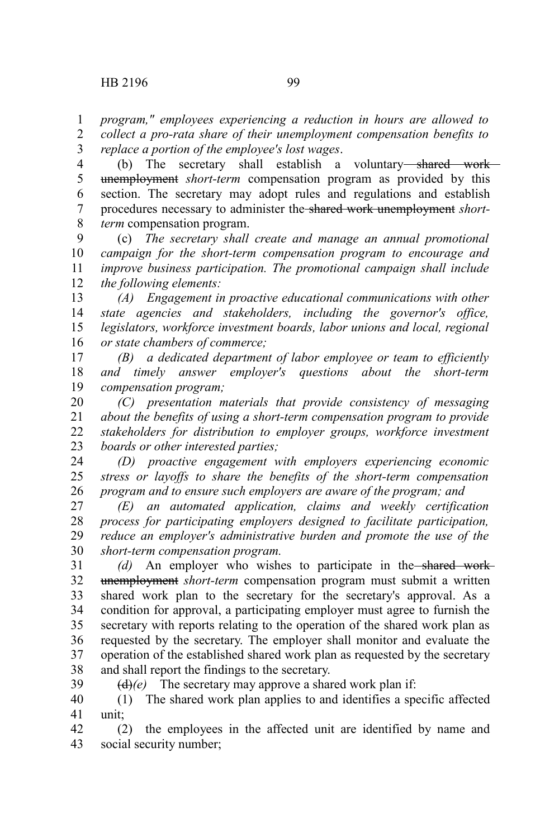*program," employees experiencing a reduction in hours are allowed to* 1

*collect a pro-rata share of their unemployment compensation benefits to replace a portion of the employee's lost wages*. 2 3

(b) The secretary shall establish a voluntary shared work unemployment *short-term* compensation program as provided by this section. The secretary may adopt rules and regulations and establish procedures necessary to administer the shared work unemployment *shortterm* compensation program. 4 5 6 7 8

(c) *The secretary shall create and manage an annual promotional campaign for the short-term compensation program to encourage and improve business participation. The promotional campaign shall include the following elements:* 9 10 11 12

*(A) Engagement in proactive educational communications with other state agencies and stakeholders, including the governor's office, legislators, workforce investment boards, labor unions and local, regional or state chambers of commerce;* 13 14 15 16

*(B) a dedicated department of labor employee or team to efficiently and timely answer employer's questions about the short-term compensation program;* 17 18 19

*(C) presentation materials that provide consistency of messaging about the benefits of using a short-term compensation program to provide stakeholders for distribution to employer groups, workforce investment boards or other interested parties;* 20 21 22 23

*(D) proactive engagement with employers experiencing economic stress or layoffs to share the benefits of the short-term compensation program and to ensure such employers are aware of the program; and* 24 25 26

*(E) an automated application, claims and weekly certification process for participating employers designed to facilitate participation, reduce an employer's administrative burden and promote the use of the short-term compensation program.* 27 28 29 30

*(d)* An employer who wishes to participate in the shared work unemployment *short-term* compensation program must submit a written shared work plan to the secretary for the secretary's approval. As a condition for approval, a participating employer must agree to furnish the secretary with reports relating to the operation of the shared work plan as requested by the secretary. The employer shall monitor and evaluate the operation of the established shared work plan as requested by the secretary and shall report the findings to the secretary. 31 32 33 34 35 36 37 38 39

 $(d)(e)$  The secretary may approve a shared work plan if:

(1) The shared work plan applies to and identifies a specific affected unit; 40 41

(2) the employees in the affected unit are identified by name and social security number; 42 43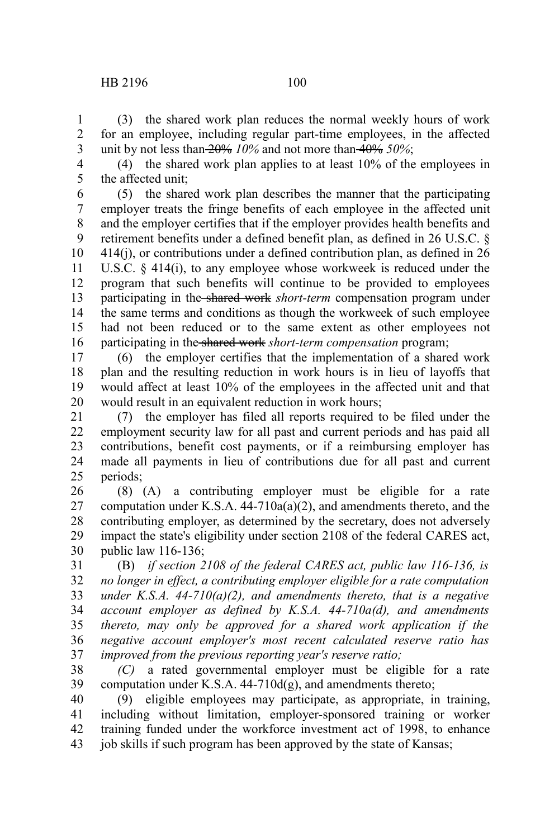## HB 2196 100

(3) the shared work plan reduces the normal weekly hours of work for an employee, including regular part-time employees, in the affected unit by not less than 20% *10%* and not more than 40% *50%*; 1 2 3

(4) the shared work plan applies to at least 10% of the employees in the affected unit; 4 5

(5) the shared work plan describes the manner that the participating employer treats the fringe benefits of each employee in the affected unit and the employer certifies that if the employer provides health benefits and retirement benefits under a defined benefit plan, as defined in 26 U.S.C. § 414(j), or contributions under a defined contribution plan, as defined in 26 U.S.C. § 414(i), to any employee whose workweek is reduced under the program that such benefits will continue to be provided to employees participating in the shared work *short-term* compensation program under the same terms and conditions as though the workweek of such employee had not been reduced or to the same extent as other employees not participating in the shared work *short-term compensation* program; 6 7 8 9 10 11 12 13 14 15 16

(6) the employer certifies that the implementation of a shared work plan and the resulting reduction in work hours is in lieu of layoffs that would affect at least 10% of the employees in the affected unit and that would result in an equivalent reduction in work hours; 17 18 19 20

(7) the employer has filed all reports required to be filed under the employment security law for all past and current periods and has paid all contributions, benefit cost payments, or if a reimbursing employer has made all payments in lieu of contributions due for all past and current periods; 21 22 23 24 25

(8) (A) a contributing employer must be eligible for a rate computation under K.S.A. 44-710a(a)(2), and amendments thereto, and the contributing employer, as determined by the secretary, does not adversely impact the state's eligibility under section 2108 of the federal CARES act, public law 116-136; 26 27 28 29 30

(B) *if section 2108 of the federal CARES act, public law 116-136, is no longer in effect, a contributing employer eligible for a rate computation under K.S.A. 44-710(a)(2), and amendments thereto, that is a negative account employer as defined by K.S.A. 44-710a(d), and amendments thereto, may only be approved for a shared work application if the negative account employer's most recent calculated reserve ratio has improved from the previous reporting year's reserve ratio;* 31 32 33 34 35 36 37

*(C)* a rated governmental employer must be eligible for a rate computation under K.S.A. 44-710d(g), and amendments thereto; 38 39

(9) eligible employees may participate, as appropriate, in training, including without limitation, employer-sponsored training or worker training funded under the workforce investment act of 1998, to enhance job skills if such program has been approved by the state of Kansas; 40 41 42 43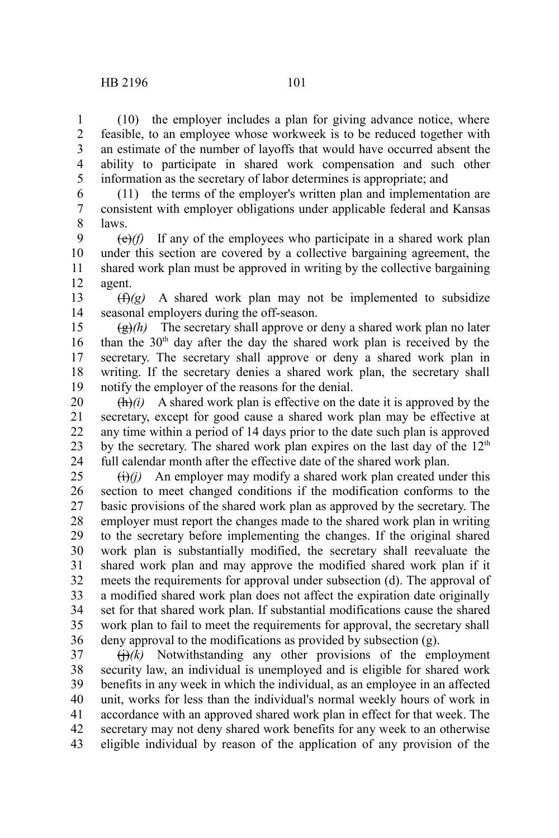(10) the employer includes a plan for giving advance notice, where feasible, to an employee whose workweek is to be reduced together with an estimate of the number of layoffs that would have occurred absent the ability to participate in shared work compensation and such other information as the secretary of labor determines is appropriate; and 1 2 3 4 5

(11) the terms of the employer's written plan and implementation are consistent with employer obligations under applicable federal and Kansas laws. 6 7 8

 $(e)(f)$  If any of the employees who participate in a shared work plan under this section are covered by a collective bargaining agreement, the shared work plan must be approved in writing by the collective bargaining agent. 9 10 11 12

 $(f(x))$  A shared work plan may not be implemented to subsidize seasonal employers during the off-season. 13 14

 $\left(\frac{g}{g}\right)$  The secretary shall approve or deny a shared work plan no later than the  $30<sup>th</sup>$  day after the day the shared work plan is received by the secretary. The secretary shall approve or deny a shared work plan in writing. If the secretary denies a shared work plan, the secretary shall notify the employer of the reasons for the denial. 15 16 17 18 19

 $\frac{f(h)}{i}$  A shared work plan is effective on the date it is approved by the secretary, except for good cause a shared work plan may be effective at any time within a period of 14 days prior to the date such plan is approved by the secretary. The shared work plan expires on the last day of the  $12<sup>th</sup>$ full calendar month after the effective date of the shared work plan. 20 21 22 23 24

 $\left(\frac{f}{f}\right)(i)$  An employer may modify a shared work plan created under this section to meet changed conditions if the modification conforms to the basic provisions of the shared work plan as approved by the secretary. The employer must report the changes made to the shared work plan in writing to the secretary before implementing the changes. If the original shared work plan is substantially modified, the secretary shall reevaluate the shared work plan and may approve the modified shared work plan if it meets the requirements for approval under subsection (d). The approval of a modified shared work plan does not affect the expiration date originally set for that shared work plan. If substantial modifications cause the shared work plan to fail to meet the requirements for approval, the secretary shall deny approval to the modifications as provided by subsection (g). 25 26 27 28 29 30 31 32 33 34 35 36

 $\left(\frac{1}{k}\right)(k)$  Notwithstanding any other provisions of the employment security law, an individual is unemployed and is eligible for shared work benefits in any week in which the individual, as an employee in an affected unit, works for less than the individual's normal weekly hours of work in accordance with an approved shared work plan in effect for that week. The secretary may not deny shared work benefits for any week to an otherwise eligible individual by reason of the application of any provision of the 37 38 39 40 41 42 43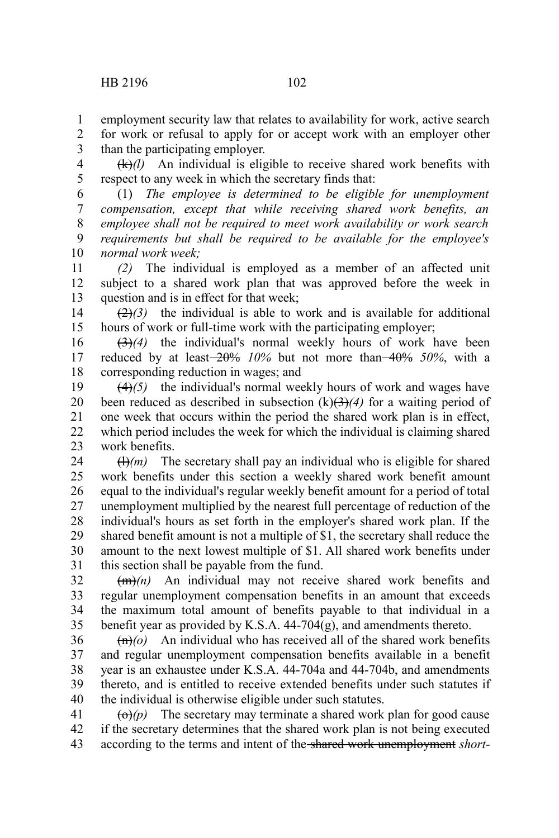employment security law that relates to availability for work, active search for work or refusal to apply for or accept work with an employer other than the participating employer. 1 2 3

(k)*(l)* An individual is eligible to receive shared work benefits with respect to any week in which the secretary finds that: 4 5

(1) *The employee is determined to be eligible for unemployment compensation, except that while receiving shared work benefits, an employee shall not be required to meet work availability or work search requirements but shall be required to be available for the employee's normal work week;* 6 7 8 9 10

*(2)* The individual is employed as a member of an affected unit subject to a shared work plan that was approved before the week in question and is in effect for that week; 11 12 13

 $(2)$ <sup>(2)</sup> $(3)$  the individual is able to work and is available for additional hours of work or full-time work with the participating employer; 14 15

(3)*(4)* the individual's normal weekly hours of work have been reduced by at least 20% *10%* but not more than 40% *50%*, with a corresponding reduction in wages; and 16 17 18

(4)*(5)* the individual's normal weekly hours of work and wages have been reduced as described in subsection  $(k)(3)(4)$  for a waiting period of one week that occurs within the period the shared work plan is in effect, which period includes the week for which the individual is claiming shared work benefits. 19 20 21 22 23

 $(H)(m)$  The secretary shall pay an individual who is eligible for shared work benefits under this section a weekly shared work benefit amount equal to the individual's regular weekly benefit amount for a period of total unemployment multiplied by the nearest full percentage of reduction of the individual's hours as set forth in the employer's shared work plan. If the shared benefit amount is not a multiple of \$1, the secretary shall reduce the amount to the next lowest multiple of \$1. All shared work benefits under this section shall be payable from the fund. 24 25 26 27 28 29 30 31

(m)*(n)* An individual may not receive shared work benefits and regular unemployment compensation benefits in an amount that exceeds the maximum total amount of benefits payable to that individual in a benefit year as provided by K.S.A. 44-704(g), and amendments thereto. 32 33 34 35

 $\left(\frac{m}{n}\right)$  An individual who has received all of the shared work benefits and regular unemployment compensation benefits available in a benefit year is an exhaustee under K.S.A. 44-704a and 44-704b, and amendments thereto, and is entitled to receive extended benefits under such statutes if the individual is otherwise eligible under such statutes. 36 37 38 39 40

 $\left(\frac{\Theta}{p}\right)$  The secretary may terminate a shared work plan for good cause if the secretary determines that the shared work plan is not being executed according to the terms and intent of the shared work unemployment *short-*41 42 43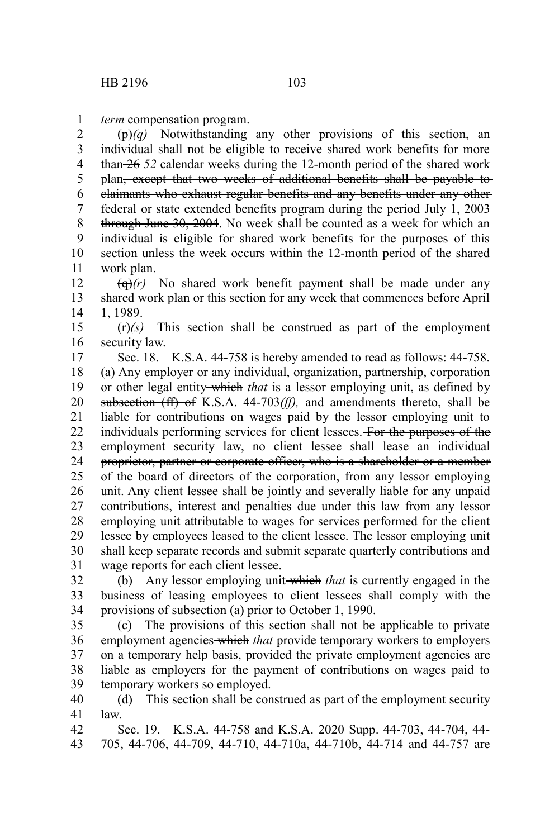*term* compensation program. 1

(p)*(q)* Notwithstanding any other provisions of this section, an individual shall not be eligible to receive shared work benefits for more than 26 *52* calendar weeks during the 12-month period of the shared work plan<del>, except that two weeks of additional benefits shall be payable to</del> claimants who exhaust regular benefits and any benefits under any other federal or state extended benefits program during the period July 1, 2003 through June 30, 2004. No week shall be counted as a week for which an individual is eligible for shared work benefits for the purposes of this section unless the week occurs within the 12-month period of the shared work plan. 2 3 4 5 6 7 8 9 10 11

 $\left(\frac{q}{r}\right)$  No shared work benefit payment shall be made under any shared work plan or this section for any week that commences before April 1, 1989. 12 13 14

 $(r)$ *(s)* This section shall be construed as part of the employment security law. 15 16

Sec. 18. K.S.A. 44-758 is hereby amended to read as follows: 44-758. (a) Any employer or any individual, organization, partnership, corporation or other legal entity which *that* is a lessor employing unit, as defined by subsection (ff) of K.S.A. 44-703*(ff),* and amendments thereto, shall be liable for contributions on wages paid by the lessor employing unit to individuals performing services for client lessees. For the purposes of the employment security law, no client lessee shall lease an individual proprietor, partner or corporate officer, who is a shareholder or a member of the board of directors of the corporation, from any lessor employing unit. Any client lessee shall be jointly and severally liable for any unpaid contributions, interest and penalties due under this law from any lessor employing unit attributable to wages for services performed for the client lessee by employees leased to the client lessee. The lessor employing unit shall keep separate records and submit separate quarterly contributions and wage reports for each client lessee. 17 18 19 20 21 22 23 24 25 26 27 28 29 30 31

(b) Any lessor employing unit which *that* is currently engaged in the business of leasing employees to client lessees shall comply with the provisions of subsection (a) prior to October 1, 1990. 32 33 34

(c) The provisions of this section shall not be applicable to private employment agencies which *that* provide temporary workers to employers on a temporary help basis, provided the private employment agencies are liable as employers for the payment of contributions on wages paid to temporary workers so employed. 35 36 37 38 39

(d) This section shall be construed as part of the employment security law. 40 41

Sec. 19. K.S.A. 44-758 and K.S.A. 2020 Supp. 44-703, 44-704, 44- 705, 44-706, 44-709, 44-710, 44-710a, 44-710b, 44-714 and 44-757 are 42 43